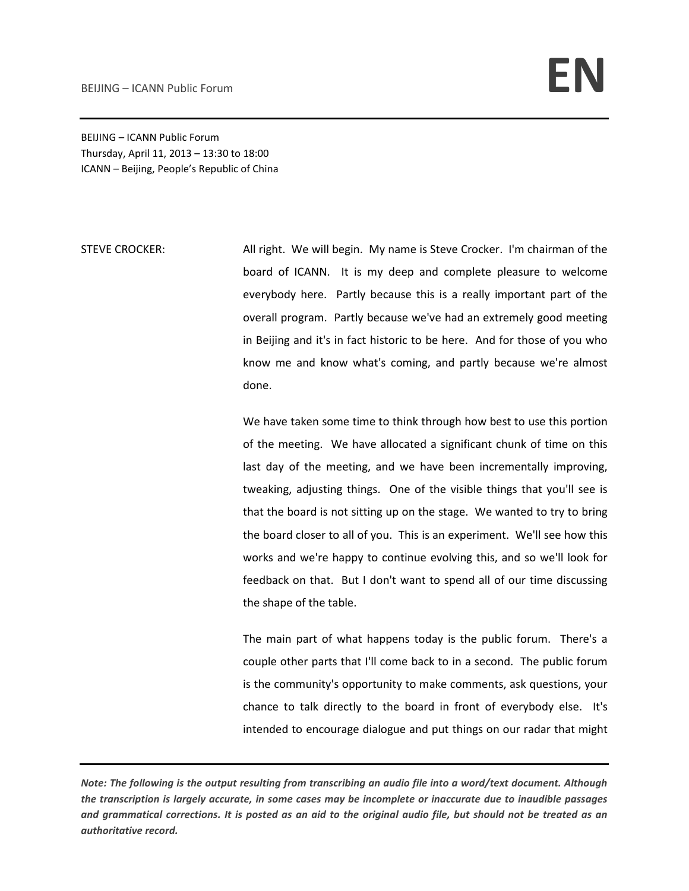BEIJING – ICANN Public Forum Thursday, April 11, 2013 – 13:30 to 18:00 ICANN – Beijing, People's Republic of China

STEVE CROCKER: All right. We will begin. My name is Steve Crocker. I'm chairman of the board of ICANN. It is my deep and complete pleasure to welcome everybody here. Partly because this is a really important part of the overall program. Partly because we've had an extremely good meeting in Beijing and it's in fact historic to be here. And for those of you who know me and know what's coming, and partly because we're almost done.

> We have taken some time to think through how best to use this portion of the meeting. We have allocated a significant chunk of time on this last day of the meeting, and we have been incrementally improving, tweaking, adjusting things. One of the visible things that you'll see is that the board is not sitting up on the stage. We wanted to try to bring the board closer to all of you. This is an experiment. We'll see how this works and we're happy to continue evolving this, and so we'll look for feedback on that. But I don't want to spend all of our time discussing the shape of the table.

> The main part of what happens today is the public forum. There's a couple other parts that I'll come back to in a second. The public forum is the community's opportunity to make comments, ask questions, your chance to talk directly to the board in front of everybody else. It's intended to encourage dialogue and put things on our radar that might

*Note: The following is the output resulting from transcribing an audio file into a word/text document. Although the transcription is largely accurate, in some cases may be incomplete or inaccurate due to inaudible passages and grammatical corrections. It is posted as an aid to the original audio file, but should not be treated as an authoritative record.*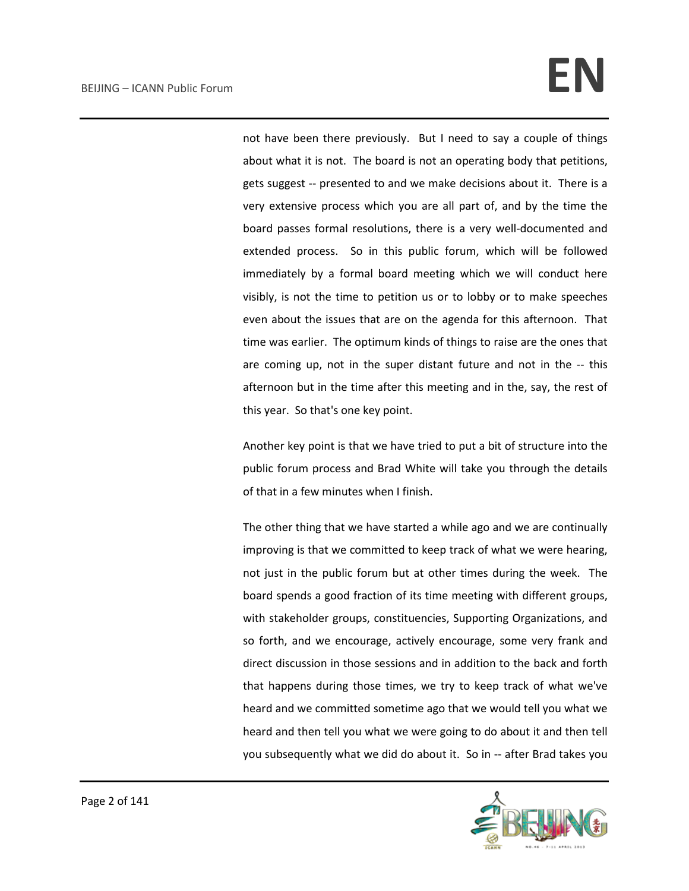### BEIJING – ICANN Public Forum **EN**

not have been there previously. But I need to say a couple of things about what it is not. The board is not an operating body that petitions, gets suggest -- presented to and we make decisions about it. There is a very extensive process which you are all part of, and by the time the board passes formal resolutions, there is a very well-documented and extended process. So in this public forum, which will be followed immediately by a formal board meeting which we will conduct here visibly, is not the time to petition us or to lobby or to make speeches even about the issues that are on the agenda for this afternoon. That time was earlier. The optimum kinds of things to raise are the ones that are coming up, not in the super distant future and not in the -- this afternoon but in the time after this meeting and in the, say, the rest of this year. So that's one key point.

Another key point is that we have tried to put a bit of structure into the public forum process and Brad White will take you through the details of that in a few minutes when I finish.

The other thing that we have started a while ago and we are continually improving is that we committed to keep track of what we were hearing, not just in the public forum but at other times during the week. The board spends a good fraction of its time meeting with different groups, with stakeholder groups, constituencies, Supporting Organizations, and so forth, and we encourage, actively encourage, some very frank and direct discussion in those sessions and in addition to the back and forth that happens during those times, we try to keep track of what we've heard and we committed sometime ago that we would tell you what we heard and then tell you what we were going to do about it and then tell you subsequently what we did do about it. So in -- after Brad takes you

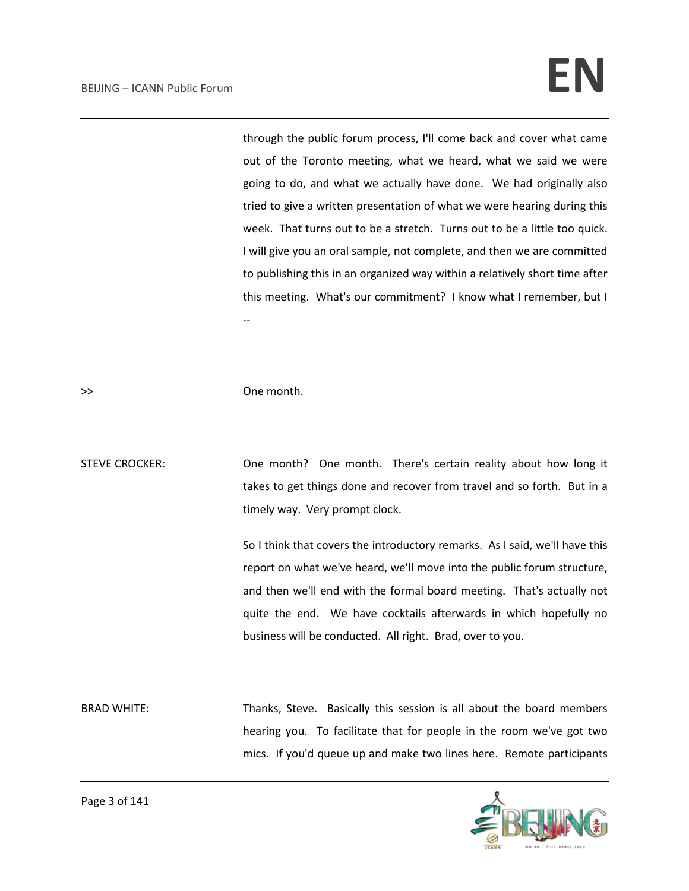through the public forum process, I'll come back and cover what came out of the Toronto meeting, what we heard, what we said we were going to do, and what we actually have done. We had originally also tried to give a written presentation of what we were hearing during this week. That turns out to be a stretch. Turns out to be a little too quick. I will give you an oral sample, not complete, and then we are committed to publishing this in an organized way within a relatively short time after this meeting. What's our commitment? I know what I remember, but I --

>> One month.

STEVE CROCKER: One month? One month. There's certain reality about how long it takes to get things done and recover from travel and so forth. But in a timely way. Very prompt clock.

> So I think that covers the introductory remarks. As I said, we'll have this report on what we've heard, we'll move into the public forum structure, and then we'll end with the formal board meeting. That's actually not quite the end. We have cocktails afterwards in which hopefully no business will be conducted. All right. Brad, over to you.

BRAD WHITE: Thanks, Steve. Basically this session is all about the board members hearing you. To facilitate that for people in the room we've got two mics. If you'd queue up and make two lines here. Remote participants

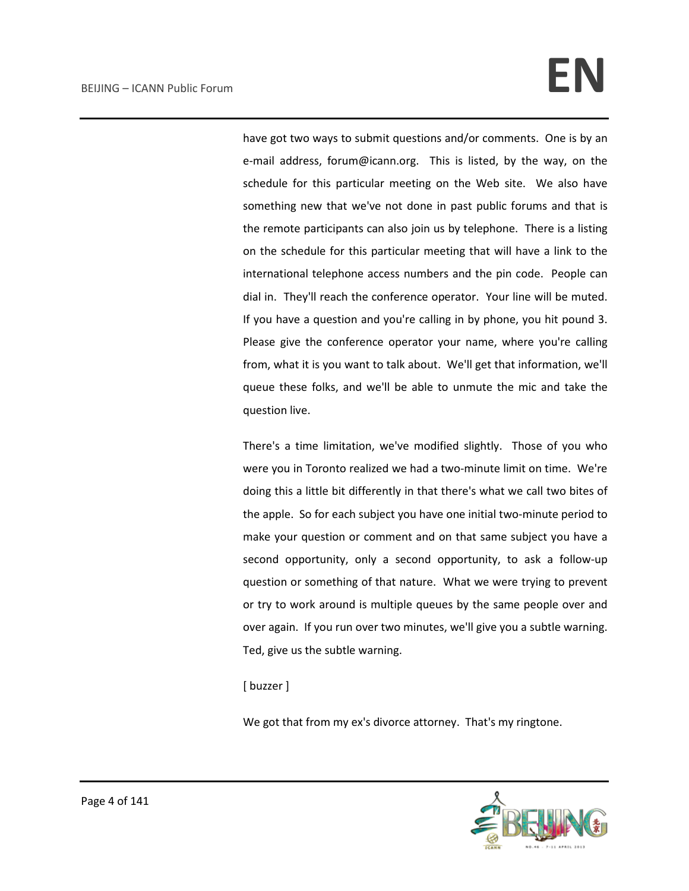### BEIJING – ICANN Public Forum **EN**

have got two ways to submit questions and/or comments. One is by an e-mail address, forum@icann.org. This is listed, by the way, on the schedule for this particular meeting on the Web site. We also have something new that we've not done in past public forums and that is the remote participants can also join us by telephone. There is a listing on the schedule for this particular meeting that will have a link to the international telephone access numbers and the pin code. People can dial in. They'll reach the conference operator. Your line will be muted. If you have a question and you're calling in by phone, you hit pound 3. Please give the conference operator your name, where you're calling from, what it is you want to talk about. We'll get that information, we'll queue these folks, and we'll be able to unmute the mic and take the question live.

There's a time limitation, we've modified slightly. Those of you who were you in Toronto realized we had a two-minute limit on time. We're doing this a little bit differently in that there's what we call two bites of the apple. So for each subject you have one initial two-minute period to make your question or comment and on that same subject you have a second opportunity, only a second opportunity, to ask a follow-up question or something of that nature. What we were trying to prevent or try to work around is multiple queues by the same people over and over again. If you run over two minutes, we'll give you a subtle warning. Ted, give us the subtle warning.

[ buzzer ]

We got that from my ex's divorce attorney. That's my ringtone.

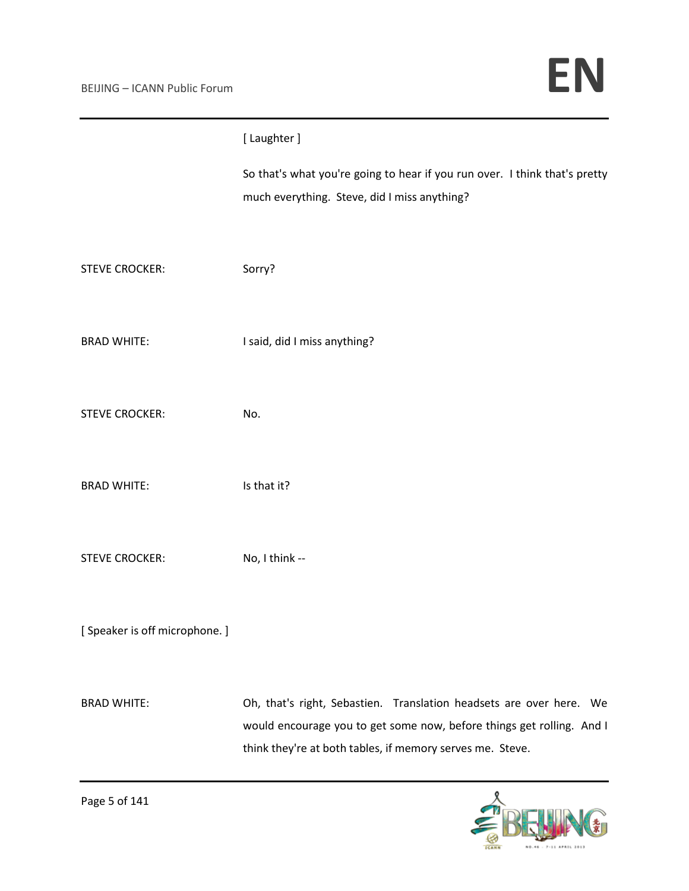|                              | [ Laughter ]                                                                                                                                                                                              |
|------------------------------|-----------------------------------------------------------------------------------------------------------------------------------------------------------------------------------------------------------|
|                              | So that's what you're going to hear if you run over. I think that's pretty<br>much everything. Steve, did I miss anything?                                                                                |
| <b>STEVE CROCKER:</b>        | Sorry?                                                                                                                                                                                                    |
| <b>BRAD WHITE:</b>           | I said, did I miss anything?                                                                                                                                                                              |
| <b>STEVE CROCKER:</b>        | No.                                                                                                                                                                                                       |
| <b>BRAD WHITE:</b>           | Is that it?                                                                                                                                                                                               |
| <b>STEVE CROCKER:</b>        | No, I think --                                                                                                                                                                                            |
| [Speaker is off microphone.] |                                                                                                                                                                                                           |
| <b>BRAD WHITE:</b>           | Oh, that's right, Sebastien. Translation headsets are over here. We<br>would encourage you to get some now, before things get rolling. And I<br>think they're at both tables, if memory serves me. Steve. |

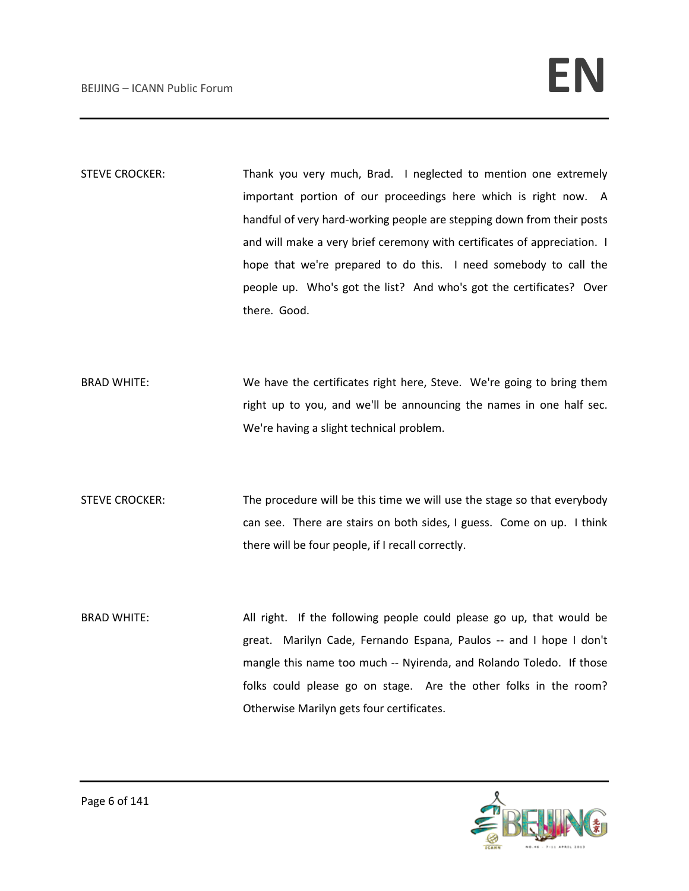STEVE CROCKER: Thank you very much, Brad. I neglected to mention one extremely important portion of our proceedings here which is right now. A handful of very hard-working people are stepping down from their posts and will make a very brief ceremony with certificates of appreciation. I hope that we're prepared to do this. I need somebody to call the people up. Who's got the list? And who's got the certificates? Over there. Good.

BRAD WHITE: We have the certificates right here, Steve. We're going to bring them right up to you, and we'll be announcing the names in one half sec. We're having a slight technical problem.

STEVE CROCKER: The procedure will be this time we will use the stage so that everybody can see. There are stairs on both sides, I guess. Come on up. I think there will be four people, if I recall correctly.

BRAD WHITE: All right. If the following people could please go up, that would be great. Marilyn Cade, Fernando Espana, Paulos -- and I hope I don't mangle this name too much -- Nyirenda, and Rolando Toledo. If those folks could please go on stage. Are the other folks in the room? Otherwise Marilyn gets four certificates.

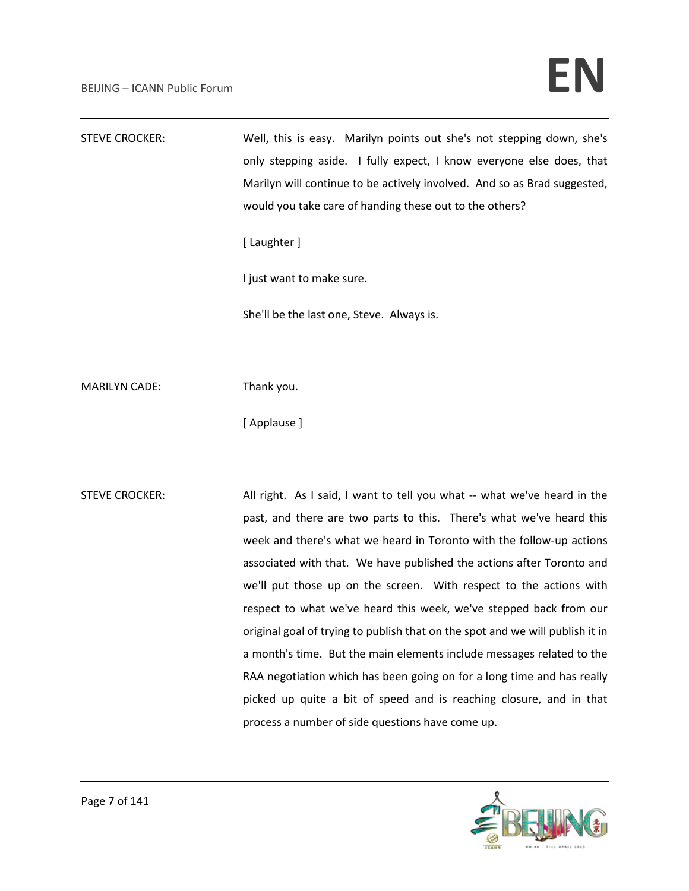## BEIJING – ICANN Public Forum **EN**

| <b>STEVE CROCKER:</b> | Well, this is easy. Marilyn points out she's not stepping down, she's    |
|-----------------------|--------------------------------------------------------------------------|
|                       | only stepping aside. I fully expect, I know everyone else does, that     |
|                       | Marilyn will continue to be actively involved. And so as Brad suggested, |
|                       | would you take care of handing these out to the others?                  |

[ Laughter ]

I just want to make sure.

She'll be the last one, Steve. Always is.

MARILYN CADE: Thank you.

[ Applause ]

STEVE CROCKER: All right. As I said, I want to tell you what -- what we've heard in the past, and there are two parts to this. There's what we've heard this week and there's what we heard in Toronto with the follow-up actions associated with that. We have published the actions after Toronto and we'll put those up on the screen. With respect to the actions with respect to what we've heard this week, we've stepped back from our original goal of trying to publish that on the spot and we will publish it in a month's time. But the main elements include messages related to the RAA negotiation which has been going on for a long time and has really picked up quite a bit of speed and is reaching closure, and in that process a number of side questions have come up.

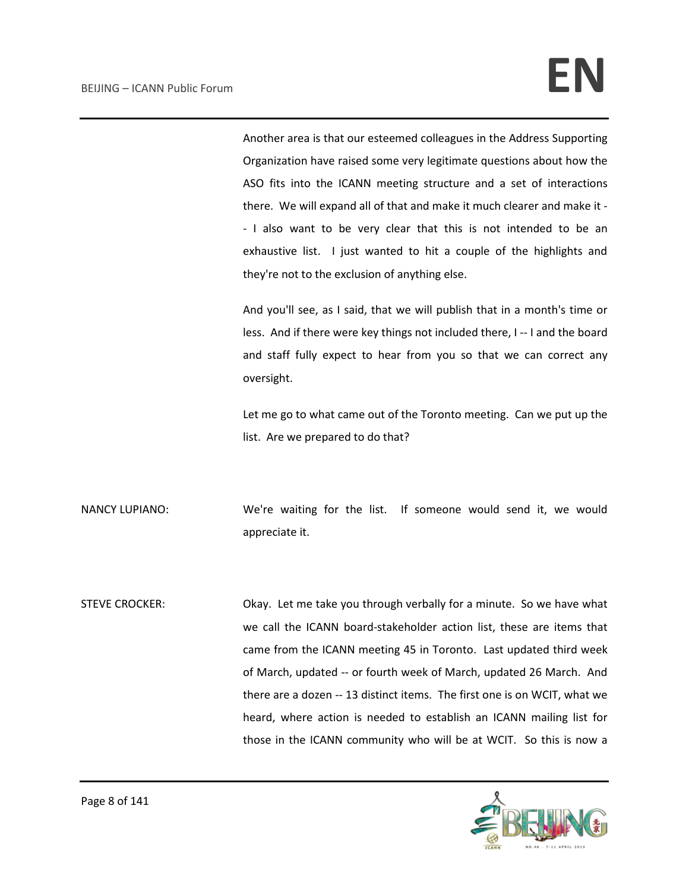Another area is that our esteemed colleagues in the Address Supporting Organization have raised some very legitimate questions about how the ASO fits into the ICANN meeting structure and a set of interactions there. We will expand all of that and make it much clearer and make it - - I also want to be very clear that this is not intended to be an exhaustive list. I just wanted to hit a couple of the highlights and they're not to the exclusion of anything else.

And you'll see, as I said, that we will publish that in a month's time or less. And if there were key things not included there, I -- I and the board and staff fully expect to hear from you so that we can correct any oversight.

Let me go to what came out of the Toronto meeting. Can we put up the list. Are we prepared to do that?

NANCY LUPIANO: We're waiting for the list. If someone would send it, we would appreciate it.

STEVE CROCKER: Okay. Let me take you through verbally for a minute. So we have what we call the ICANN board-stakeholder action list, these are items that came from the ICANN meeting 45 in Toronto. Last updated third week of March, updated -- or fourth week of March, updated 26 March. And there are a dozen -- 13 distinct items. The first one is on WCIT, what we heard, where action is needed to establish an ICANN mailing list for those in the ICANN community who will be at WCIT. So this is now a

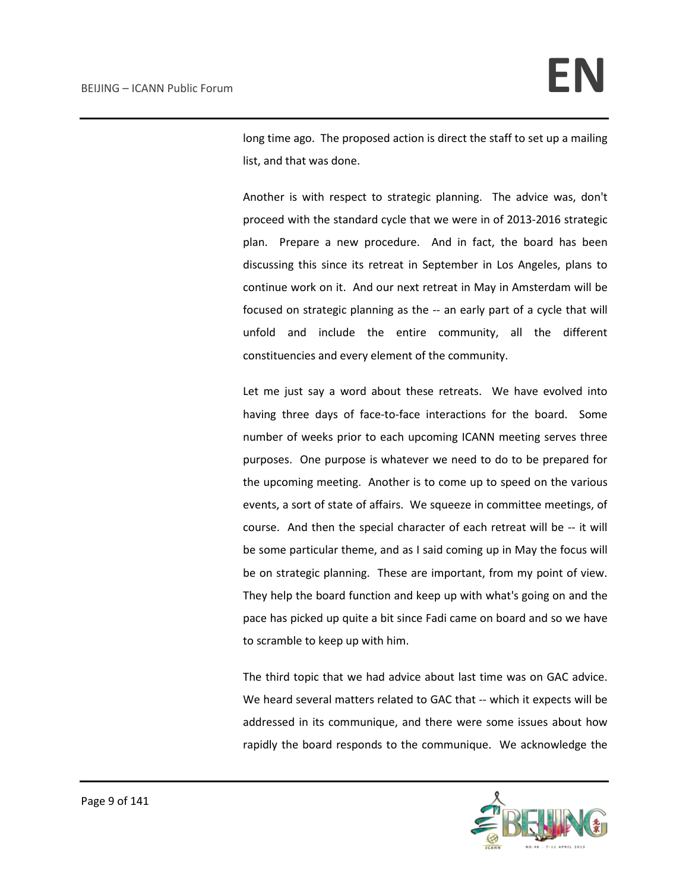long time ago. The proposed action is direct the staff to set up a mailing list, and that was done.

Another is with respect to strategic planning. The advice was, don't proceed with the standard cycle that we were in of 2013-2016 strategic plan. Prepare a new procedure. And in fact, the board has been discussing this since its retreat in September in Los Angeles, plans to continue work on it. And our next retreat in May in Amsterdam will be focused on strategic planning as the -- an early part of a cycle that will unfold and include the entire community, all the different constituencies and every element of the community.

Let me just say a word about these retreats. We have evolved into having three days of face-to-face interactions for the board. Some number of weeks prior to each upcoming ICANN meeting serves three purposes. One purpose is whatever we need to do to be prepared for the upcoming meeting. Another is to come up to speed on the various events, a sort of state of affairs. We squeeze in committee meetings, of course. And then the special character of each retreat will be -- it will be some particular theme, and as I said coming up in May the focus will be on strategic planning. These are important, from my point of view. They help the board function and keep up with what's going on and the pace has picked up quite a bit since Fadi came on board and so we have to scramble to keep up with him.

The third topic that we had advice about last time was on GAC advice. We heard several matters related to GAC that -- which it expects will be addressed in its communique, and there were some issues about how rapidly the board responds to the communique. We acknowledge the

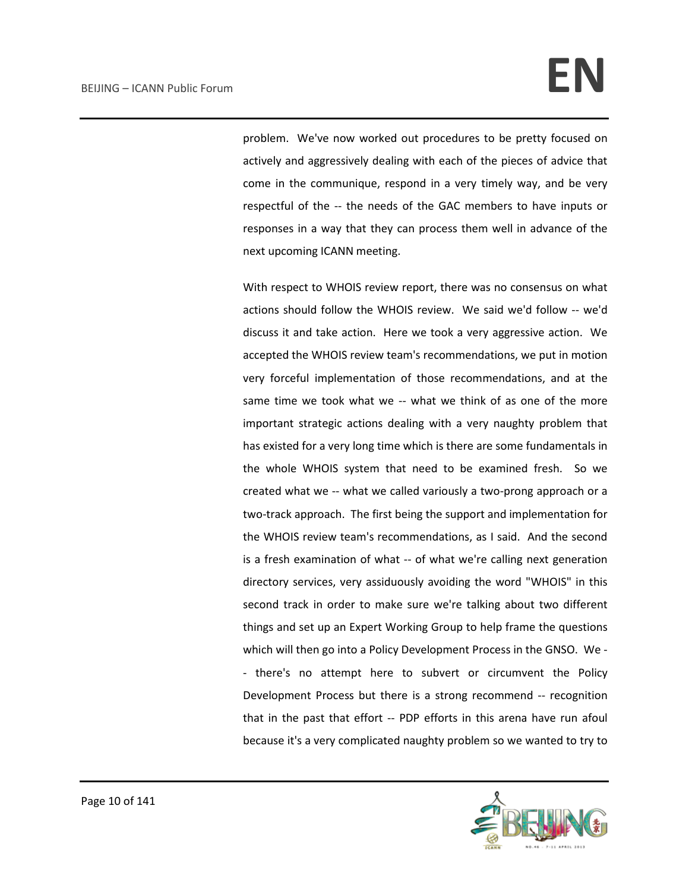problem. We've now worked out procedures to be pretty focused on actively and aggressively dealing with each of the pieces of advice that come in the communique, respond in a very timely way, and be very respectful of the -- the needs of the GAC members to have inputs or responses in a way that they can process them well in advance of the next upcoming ICANN meeting.

With respect to WHOIS review report, there was no consensus on what actions should follow the WHOIS review. We said we'd follow -- we'd discuss it and take action. Here we took a very aggressive action. We accepted the WHOIS review team's recommendations, we put in motion very forceful implementation of those recommendations, and at the same time we took what we -- what we think of as one of the more important strategic actions dealing with a very naughty problem that has existed for a very long time which is there are some fundamentals in the whole WHOIS system that need to be examined fresh. So we created what we -- what we called variously a two-prong approach or a two-track approach. The first being the support and implementation for the WHOIS review team's recommendations, as I said. And the second is a fresh examination of what -- of what we're calling next generation directory services, very assiduously avoiding the word "WHOIS" in this second track in order to make sure we're talking about two different things and set up an Expert Working Group to help frame the questions which will then go into a Policy Development Process in the GNSO. We - - there's no attempt here to subvert or circumvent the Policy Development Process but there is a strong recommend -- recognition that in the past that effort -- PDP efforts in this arena have run afoul because it's a very complicated naughty problem so we wanted to try to

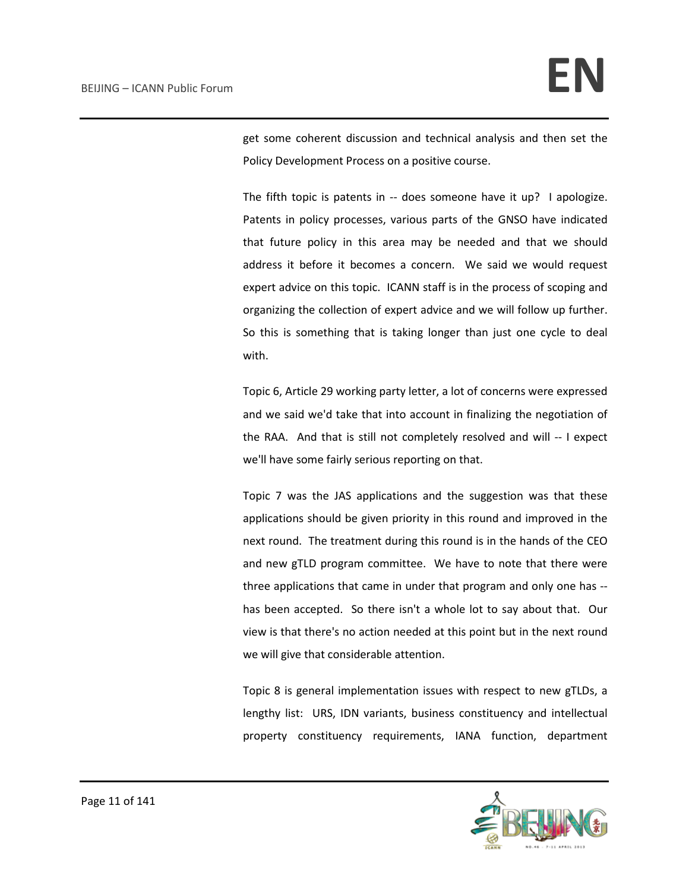get some coherent discussion and technical analysis and then set the Policy Development Process on a positive course.

The fifth topic is patents in -- does someone have it up? I apologize. Patents in policy processes, various parts of the GNSO have indicated that future policy in this area may be needed and that we should address it before it becomes a concern. We said we would request expert advice on this topic. ICANN staff is in the process of scoping and organizing the collection of expert advice and we will follow up further. So this is something that is taking longer than just one cycle to deal with.

Topic 6, Article 29 working party letter, a lot of concerns were expressed and we said we'd take that into account in finalizing the negotiation of the RAA. And that is still not completely resolved and will -- I expect we'll have some fairly serious reporting on that.

Topic 7 was the JAS applications and the suggestion was that these applications should be given priority in this round and improved in the next round. The treatment during this round is in the hands of the CEO and new gTLD program committee. We have to note that there were three applications that came in under that program and only one has - has been accepted. So there isn't a whole lot to say about that. Our view is that there's no action needed at this point but in the next round we will give that considerable attention.

Topic 8 is general implementation issues with respect to new gTLDs, a lengthy list: URS, IDN variants, business constituency and intellectual property constituency requirements, IANA function, department

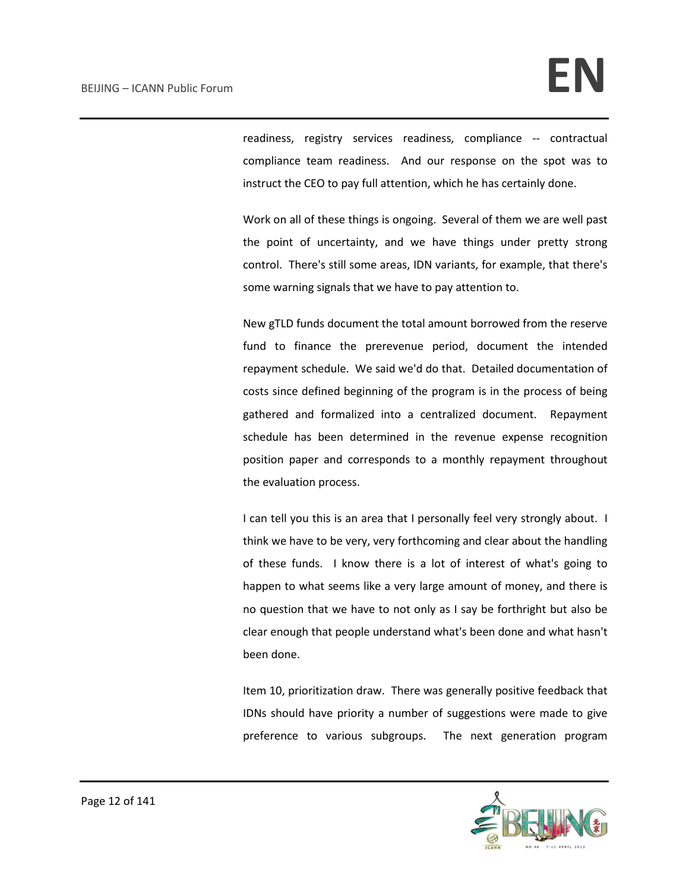readiness, registry services readiness, compliance -- contractual compliance team readiness. And our response on the spot was to instruct the CEO to pay full attention, which he has certainly done.

Work on all of these things is ongoing. Several of them we are well past the point of uncertainty, and we have things under pretty strong control. There's still some areas, IDN variants, for example, that there's some warning signals that we have to pay attention to.

New gTLD funds document the total amount borrowed from the reserve fund to finance the prerevenue period, document the intended repayment schedule. We said we'd do that. Detailed documentation of costs since defined beginning of the program is in the process of being gathered and formalized into a centralized document. Repayment schedule has been determined in the revenue expense recognition position paper and corresponds to a monthly repayment throughout the evaluation process.

I can tell you this is an area that I personally feel very strongly about. I think we have to be very, very forthcoming and clear about the handling of these funds. I know there is a lot of interest of what's going to happen to what seems like a very large amount of money, and there is no question that we have to not only as I say be forthright but also be clear enough that people understand what's been done and what hasn't been done.

Item 10, prioritization draw. There was generally positive feedback that IDNs should have priority a number of suggestions were made to give preference to various subgroups. The next generation program

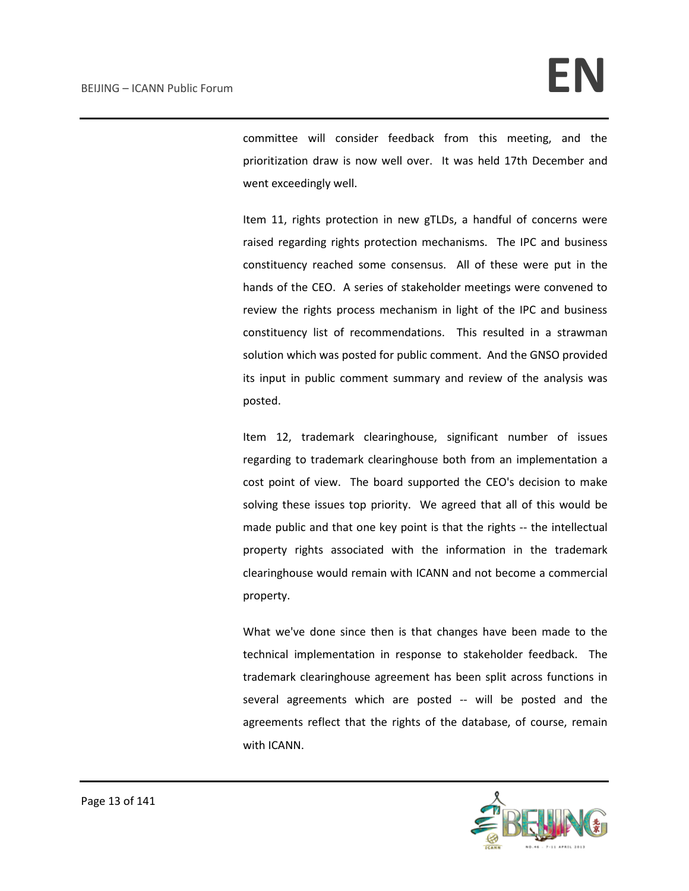committee will consider feedback from this meeting, and the prioritization draw is now well over. It was held 17th December and went exceedingly well.

Item 11, rights protection in new gTLDs, a handful of concerns were raised regarding rights protection mechanisms. The IPC and business constituency reached some consensus. All of these were put in the hands of the CEO. A series of stakeholder meetings were convened to review the rights process mechanism in light of the IPC and business constituency list of recommendations. This resulted in a strawman solution which was posted for public comment. And the GNSO provided its input in public comment summary and review of the analysis was posted.

Item 12, trademark clearinghouse, significant number of issues regarding to trademark clearinghouse both from an implementation a cost point of view. The board supported the CEO's decision to make solving these issues top priority. We agreed that all of this would be made public and that one key point is that the rights -- the intellectual property rights associated with the information in the trademark clearinghouse would remain with ICANN and not become a commercial property.

What we've done since then is that changes have been made to the technical implementation in response to stakeholder feedback. The trademark clearinghouse agreement has been split across functions in several agreements which are posted -- will be posted and the agreements reflect that the rights of the database, of course, remain with ICANN.

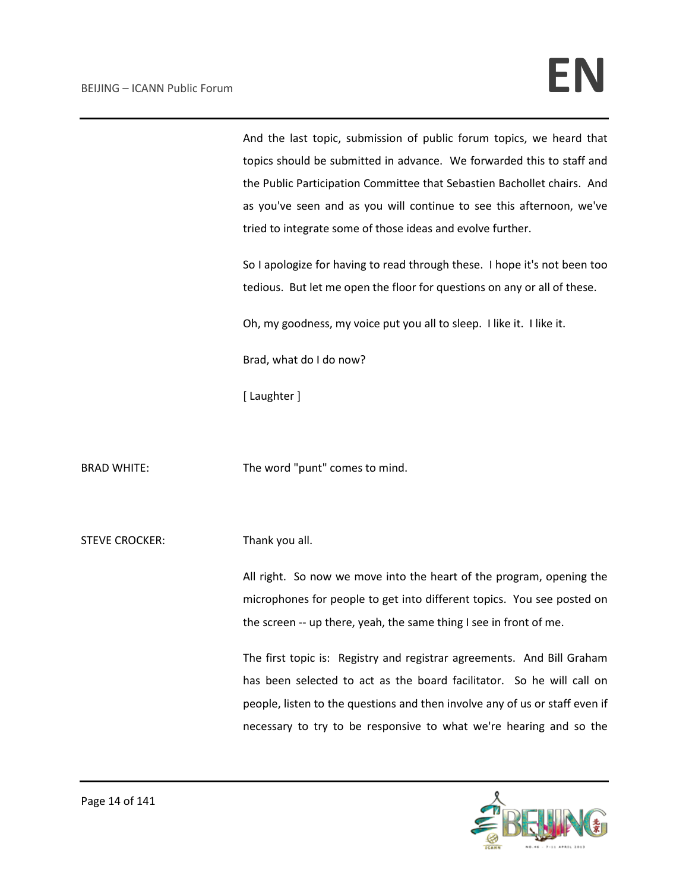And the last topic, submission of public forum topics, we heard that topics should be submitted in advance. We forwarded this to staff and the Public Participation Committee that Sebastien Bachollet chairs. And as you've seen and as you will continue to see this afternoon, we've tried to integrate some of those ideas and evolve further.

So I apologize for having to read through these. I hope it's not been too tedious. But let me open the floor for questions on any or all of these.

Oh, my goodness, my voice put you all to sleep. I like it. I like it.

Brad, what do I do now?

[ Laughter ]

BRAD WHITE: The word "punt" comes to mind.

STEVE CROCKER: Thank you all.

All right. So now we move into the heart of the program, opening the microphones for people to get into different topics. You see posted on the screen -- up there, yeah, the same thing I see in front of me.

The first topic is: Registry and registrar agreements. And Bill Graham has been selected to act as the board facilitator. So he will call on people, listen to the questions and then involve any of us or staff even if necessary to try to be responsive to what we're hearing and so the

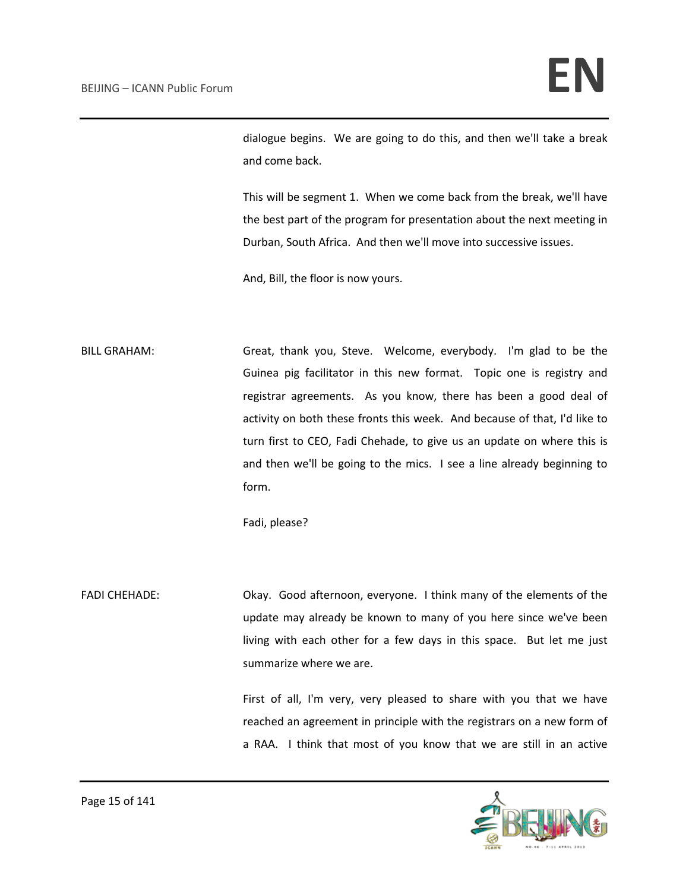dialogue begins. We are going to do this, and then we'll take a break and come back.

This will be segment 1. When we come back from the break, we'll have the best part of the program for presentation about the next meeting in Durban, South Africa. And then we'll move into successive issues.

And, Bill, the floor is now yours.

BILL GRAHAM: Great, thank you, Steve. Welcome, everybody. I'm glad to be the Guinea pig facilitator in this new format. Topic one is registry and registrar agreements. As you know, there has been a good deal of activity on both these fronts this week. And because of that, I'd like to turn first to CEO, Fadi Chehade, to give us an update on where this is and then we'll be going to the mics. I see a line already beginning to form.

Fadi, please?

FADI CHEHADE: Okay. Good afternoon, everyone. I think many of the elements of the update may already be known to many of you here since we've been living with each other for a few days in this space. But let me just summarize where we are.

> First of all, I'm very, very pleased to share with you that we have reached an agreement in principle with the registrars on a new form of a RAA. I think that most of you know that we are still in an active

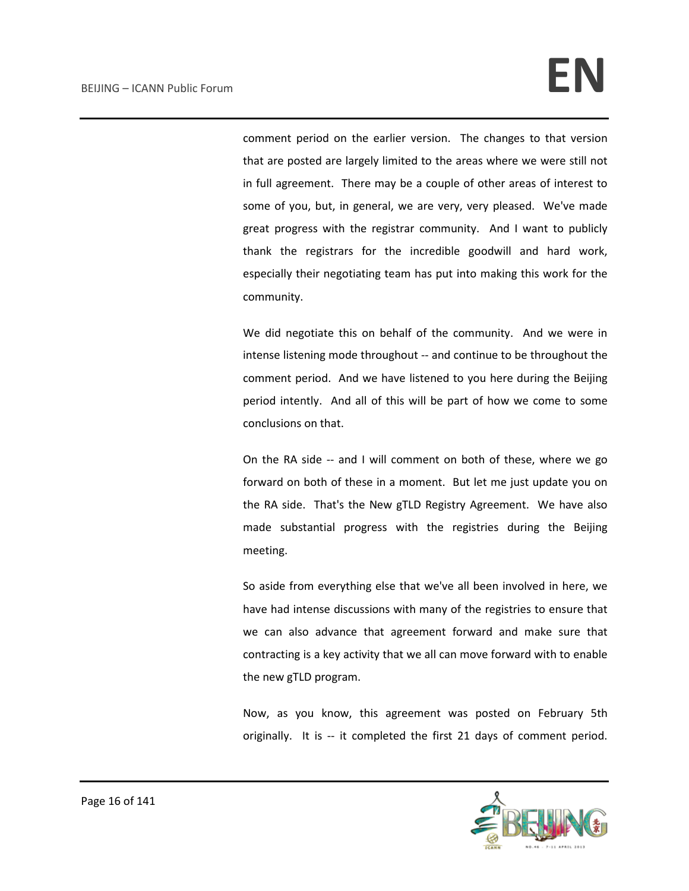comment period on the earlier version. The changes to that version that are posted are largely limited to the areas where we were still not in full agreement. There may be a couple of other areas of interest to some of you, but, in general, we are very, very pleased. We've made great progress with the registrar community. And I want to publicly thank the registrars for the incredible goodwill and hard work, especially their negotiating team has put into making this work for the community.

We did negotiate this on behalf of the community. And we were in intense listening mode throughout -- and continue to be throughout the comment period. And we have listened to you here during the Beijing period intently. And all of this will be part of how we come to some conclusions on that.

On the RA side -- and I will comment on both of these, where we go forward on both of these in a moment. But let me just update you on the RA side. That's the New gTLD Registry Agreement. We have also made substantial progress with the registries during the Beijing meeting.

So aside from everything else that we've all been involved in here, we have had intense discussions with many of the registries to ensure that we can also advance that agreement forward and make sure that contracting is a key activity that we all can move forward with to enable the new gTLD program.

Now, as you know, this agreement was posted on February 5th originally. It is -- it completed the first 21 days of comment period.

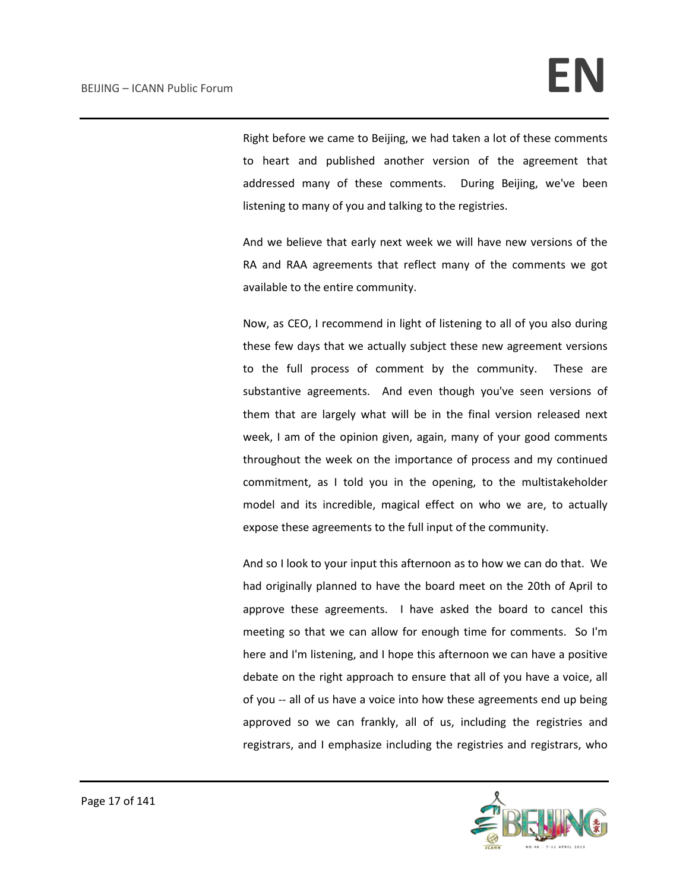Right before we came to Beijing, we had taken a lot of these comments to heart and published another version of the agreement that addressed many of these comments. During Beijing, we've been listening to many of you and talking to the registries.

And we believe that early next week we will have new versions of the RA and RAA agreements that reflect many of the comments we got available to the entire community.

Now, as CEO, I recommend in light of listening to all of you also during these few days that we actually subject these new agreement versions to the full process of comment by the community. These are substantive agreements. And even though you've seen versions of them that are largely what will be in the final version released next week, I am of the opinion given, again, many of your good comments throughout the week on the importance of process and my continued commitment, as I told you in the opening, to the multistakeholder model and its incredible, magical effect on who we are, to actually expose these agreements to the full input of the community.

And so I look to your input this afternoon as to how we can do that. We had originally planned to have the board meet on the 20th of April to approve these agreements. I have asked the board to cancel this meeting so that we can allow for enough time for comments. So I'm here and I'm listening, and I hope this afternoon we can have a positive debate on the right approach to ensure that all of you have a voice, all of you -- all of us have a voice into how these agreements end up being approved so we can frankly, all of us, including the registries and registrars, and I emphasize including the registries and registrars, who

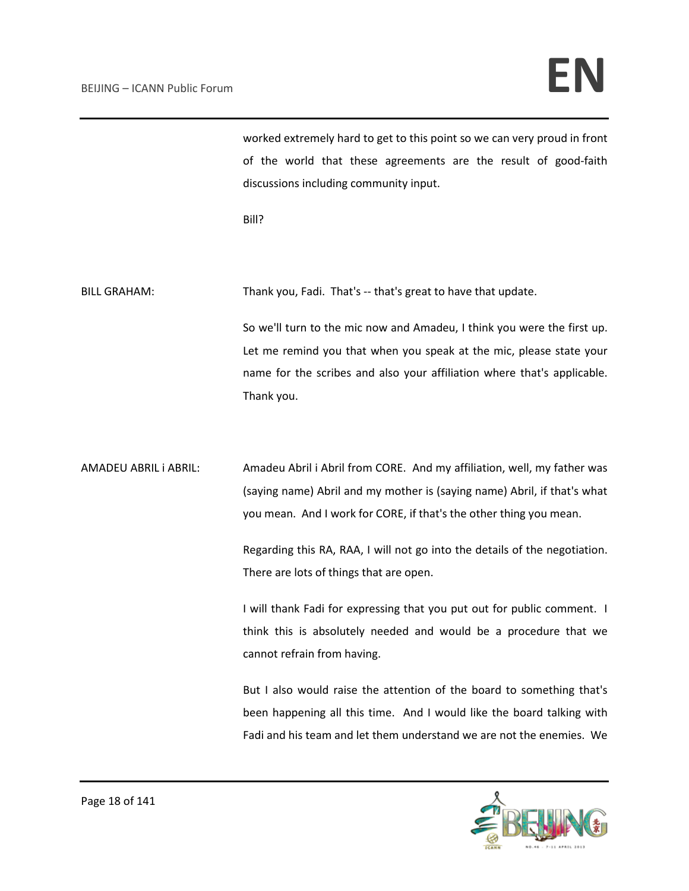worked extremely hard to get to this point so we can very proud in front of the world that these agreements are the result of good-faith discussions including community input.

Bill?

BILL GRAHAM: Thank you, Fadi. That's -- that's great to have that update.

So we'll turn to the mic now and Amadeu, I think you were the first up. Let me remind you that when you speak at the mic, please state your name for the scribes and also your affiliation where that's applicable. Thank you.

AMADEU ABRIL i ABRIL: Amadeu Abril i Abril from CORE. And my affiliation, well, my father was (saying name) Abril and my mother is (saying name) Abril, if that's what you mean. And I work for CORE, if that's the other thing you mean.

> Regarding this RA, RAA, I will not go into the details of the negotiation. There are lots of things that are open.

> I will thank Fadi for expressing that you put out for public comment. I think this is absolutely needed and would be a procedure that we cannot refrain from having.

> But I also would raise the attention of the board to something that's been happening all this time. And I would like the board talking with Fadi and his team and let them understand we are not the enemies. We

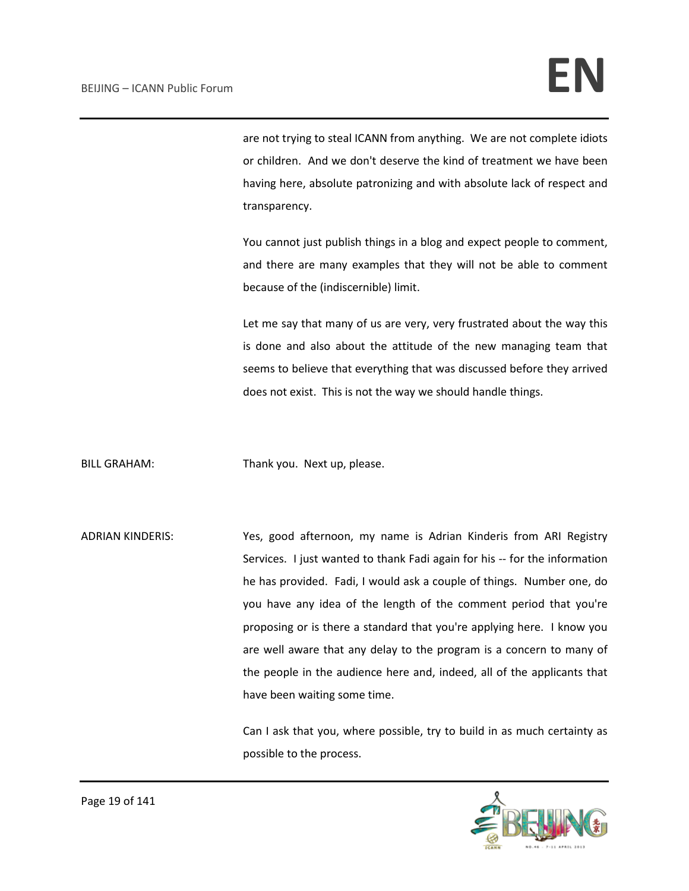are not trying to steal ICANN from anything. We are not complete idiots or children. And we don't deserve the kind of treatment we have been having here, absolute patronizing and with absolute lack of respect and transparency.

You cannot just publish things in a blog and expect people to comment, and there are many examples that they will not be able to comment because of the (indiscernible) limit.

Let me say that many of us are very, very frustrated about the way this is done and also about the attitude of the new managing team that seems to believe that everything that was discussed before they arrived does not exist. This is not the way we should handle things.

BILL GRAHAM: Thank you. Next up, please.

ADRIAN KINDERIS: Yes, good afternoon, my name is Adrian Kinderis from ARI Registry Services. I just wanted to thank Fadi again for his -- for the information he has provided. Fadi, I would ask a couple of things. Number one, do you have any idea of the length of the comment period that you're proposing or is there a standard that you're applying here. I know you are well aware that any delay to the program is a concern to many of the people in the audience here and, indeed, all of the applicants that have been waiting some time.

> Can I ask that you, where possible, try to build in as much certainty as possible to the process.

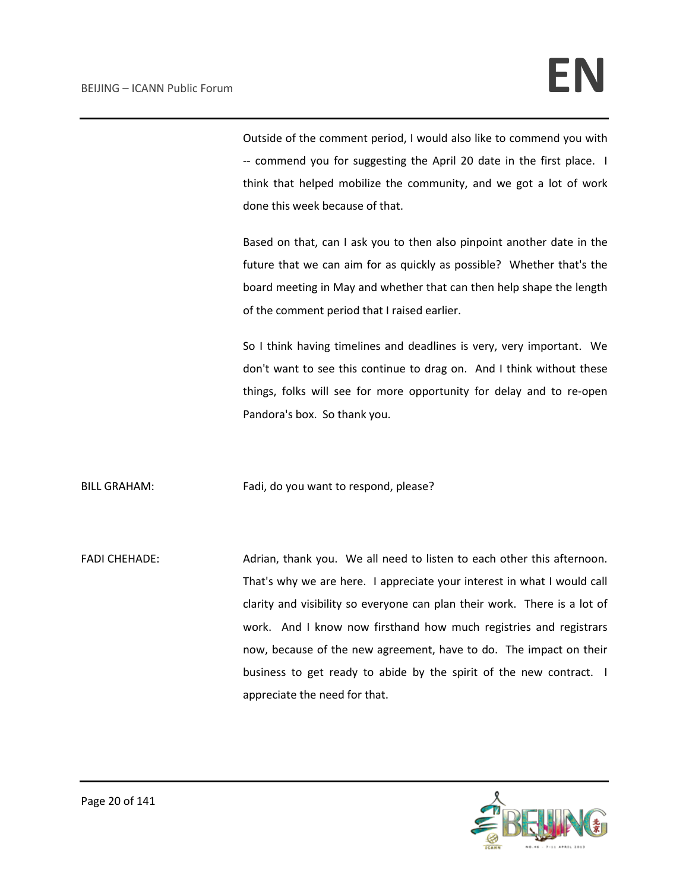Outside of the comment period, I would also like to commend you with -- commend you for suggesting the April 20 date in the first place. I think that helped mobilize the community, and we got a lot of work done this week because of that.

Based on that, can I ask you to then also pinpoint another date in the future that we can aim for as quickly as possible? Whether that's the board meeting in May and whether that can then help shape the length of the comment period that I raised earlier.

So I think having timelines and deadlines is very, very important. We don't want to see this continue to drag on. And I think without these things, folks will see for more opportunity for delay and to re-open Pandora's box. So thank you.

BILL GRAHAM: Fadi, do you want to respond, please?

FADI CHEHADE: Adrian, thank you. We all need to listen to each other this afternoon. That's why we are here. I appreciate your interest in what I would call clarity and visibility so everyone can plan their work. There is a lot of work. And I know now firsthand how much registries and registrars now, because of the new agreement, have to do. The impact on their business to get ready to abide by the spirit of the new contract. I appreciate the need for that.

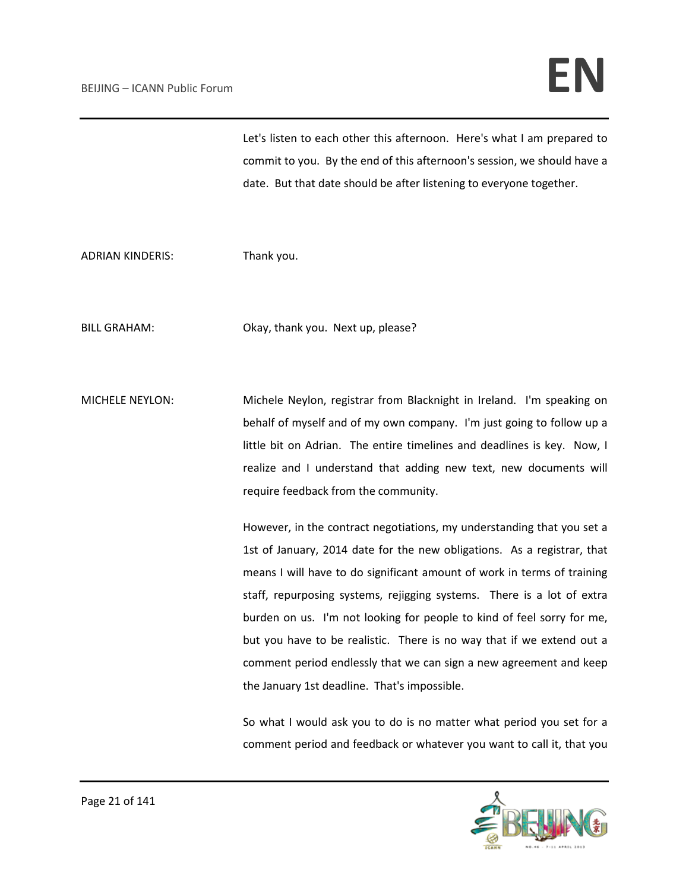### BEIJING – ICANN Public Forum **EN**

Let's listen to each other this afternoon. Here's what I am prepared to commit to you. By the end of this afternoon's session, we should have a date. But that date should be after listening to everyone together.

ADRIAN KINDERIS: Thank you.

BILL GRAHAM: Okay, thank you. Next up, please?

MICHELE NEYLON: Michele Neylon, registrar from Blacknight in Ireland. I'm speaking on behalf of myself and of my own company. I'm just going to follow up a little bit on Adrian. The entire timelines and deadlines is key. Now, I realize and I understand that adding new text, new documents will require feedback from the community.

> However, in the contract negotiations, my understanding that you set a 1st of January, 2014 date for the new obligations. As a registrar, that means I will have to do significant amount of work in terms of training staff, repurposing systems, rejigging systems. There is a lot of extra burden on us. I'm not looking for people to kind of feel sorry for me, but you have to be realistic. There is no way that if we extend out a comment period endlessly that we can sign a new agreement and keep the January 1st deadline. That's impossible.

> So what I would ask you to do is no matter what period you set for a comment period and feedback or whatever you want to call it, that you

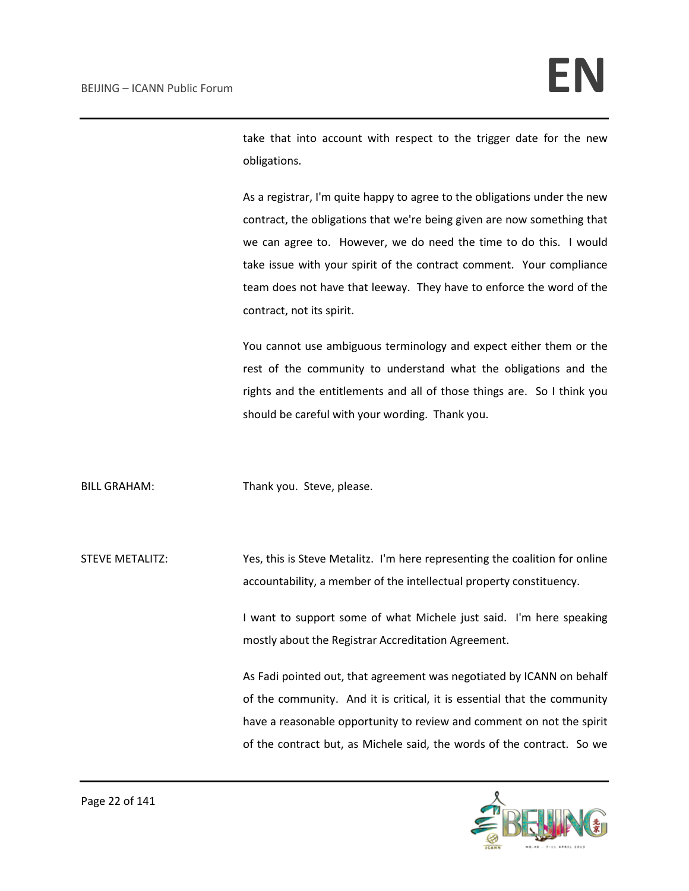take that into account with respect to the trigger date for the new obligations.

As a registrar, I'm quite happy to agree to the obligations under the new contract, the obligations that we're being given are now something that we can agree to. However, we do need the time to do this. I would take issue with your spirit of the contract comment. Your compliance team does not have that leeway. They have to enforce the word of the contract, not its spirit.

You cannot use ambiguous terminology and expect either them or the rest of the community to understand what the obligations and the rights and the entitlements and all of those things are. So I think you should be careful with your wording. Thank you.

BILL GRAHAM: Thank you. Steve, please.

STEVE METALITZ: Yes, this is Steve Metalitz. I'm here representing the coalition for online accountability, a member of the intellectual property constituency.

> I want to support some of what Michele just said. I'm here speaking mostly about the Registrar Accreditation Agreement.

> As Fadi pointed out, that agreement was negotiated by ICANN on behalf of the community. And it is critical, it is essential that the community have a reasonable opportunity to review and comment on not the spirit of the contract but, as Michele said, the words of the contract. So we

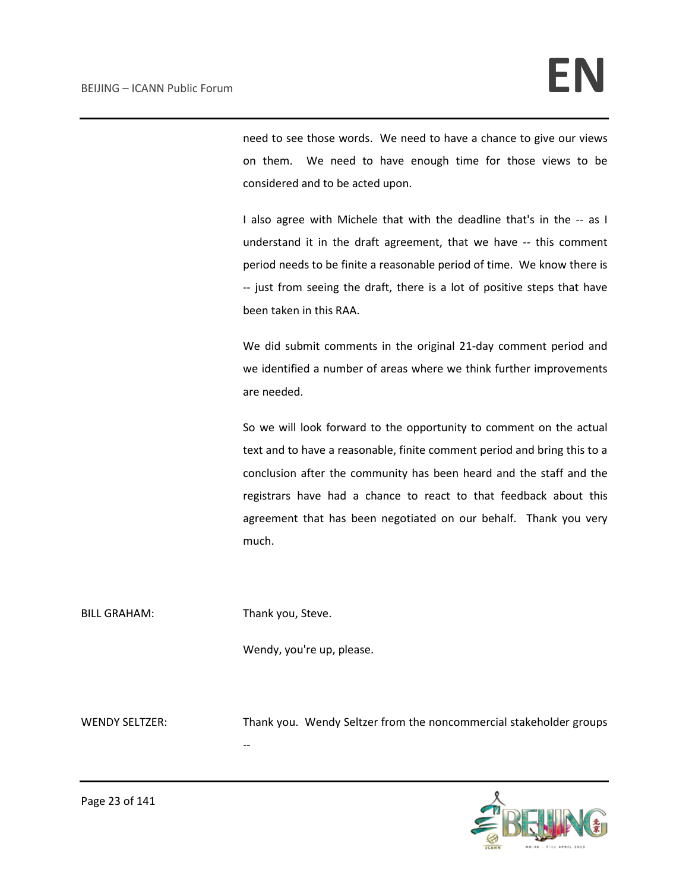need to see those words. We need to have a chance to give our views on them. We need to have enough time for those views to be considered and to be acted upon.

I also agree with Michele that with the deadline that's in the -- as I understand it in the draft agreement, that we have -- this comment period needs to be finite a reasonable period of time. We know there is -- just from seeing the draft, there is a lot of positive steps that have been taken in this RAA.

We did submit comments in the original 21-day comment period and we identified a number of areas where we think further improvements are needed.

So we will look forward to the opportunity to comment on the actual text and to have a reasonable, finite comment period and bring this to a conclusion after the community has been heard and the staff and the registrars have had a chance to react to that feedback about this agreement that has been negotiated on our behalf. Thank you very much.

BILL GRAHAM: Thank you, Steve.

Wendy, you're up, please.

WENDY SELTZER: Thank you. Wendy Seltzer from the noncommercial stakeholder groups --

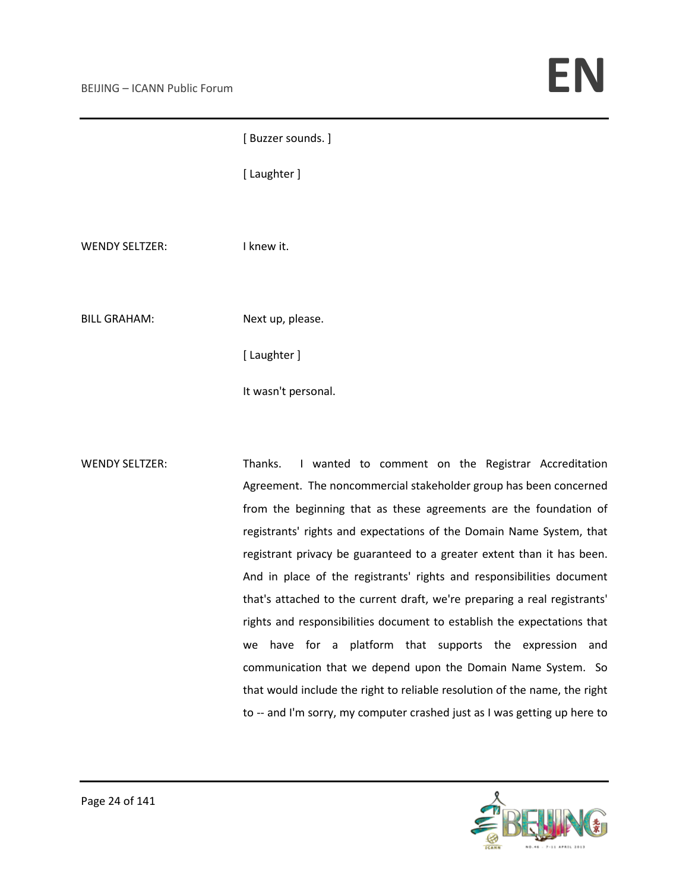# [ Laughter ] WENDY SELTZER: I knew it. BILL GRAHAM: Next up, please. [ Laughter ]

[ Buzzer sounds. ]

It wasn't personal.

WENDY SELTZER: Thanks. I wanted to comment on the Registrar Accreditation Agreement. The noncommercial stakeholder group has been concerned from the beginning that as these agreements are the foundation of registrants' rights and expectations of the Domain Name System, that registrant privacy be guaranteed to a greater extent than it has been. And in place of the registrants' rights and responsibilities document that's attached to the current draft, we're preparing a real registrants' rights and responsibilities document to establish the expectations that we have for a platform that supports the expression and communication that we depend upon the Domain Name System. So that would include the right to reliable resolution of the name, the right to -- and I'm sorry, my computer crashed just as I was getting up here to

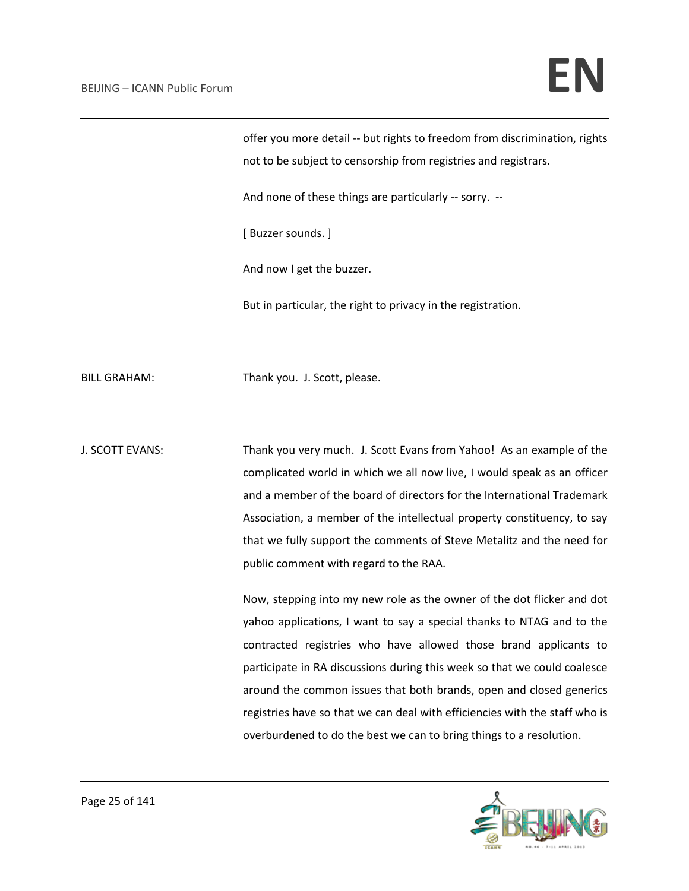offer you more detail -- but rights to freedom from discrimination, rights not to be subject to censorship from registries and registrars.

And none of these things are particularly -- sorry. --

[ Buzzer sounds. ]

And now I get the buzzer.

But in particular, the right to privacy in the registration.

BILL GRAHAM: Thank you. J. Scott, please.

J. SCOTT EVANS: Thank you very much. J. Scott Evans from Yahoo! As an example of the complicated world in which we all now live, I would speak as an officer and a member of the board of directors for the International Trademark Association, a member of the intellectual property constituency, to say that we fully support the comments of Steve Metalitz and the need for public comment with regard to the RAA.

> Now, stepping into my new role as the owner of the dot flicker and dot yahoo applications, I want to say a special thanks to NTAG and to the contracted registries who have allowed those brand applicants to participate in RA discussions during this week so that we could coalesce around the common issues that both brands, open and closed generics registries have so that we can deal with efficiencies with the staff who is overburdened to do the best we can to bring things to a resolution.

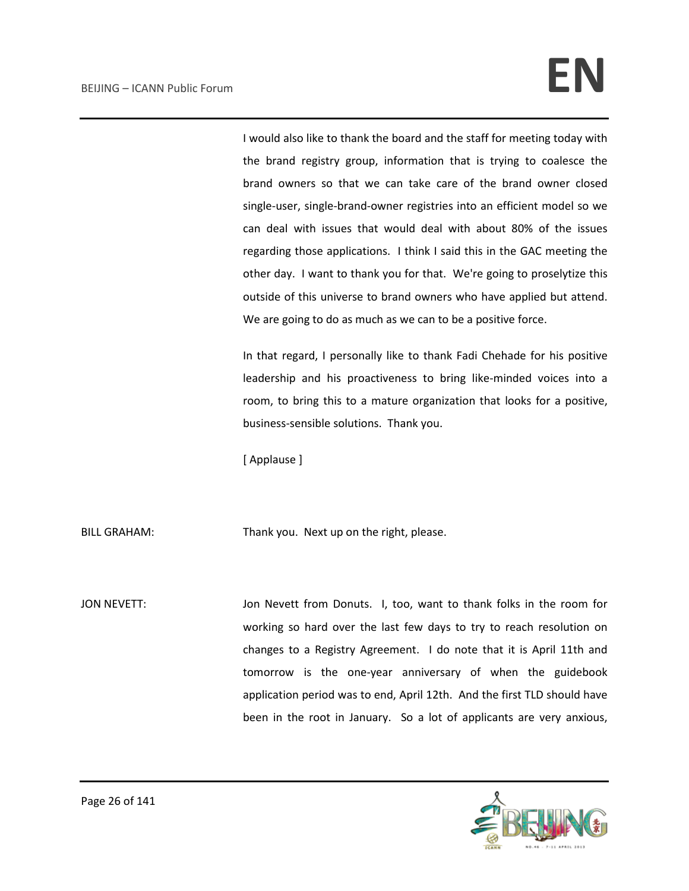I would also like to thank the board and the staff for meeting today with the brand registry group, information that is trying to coalesce the brand owners so that we can take care of the brand owner closed single-user, single-brand-owner registries into an efficient model so we can deal with issues that would deal with about 80% of the issues regarding those applications. I think I said this in the GAC meeting the other day. I want to thank you for that. We're going to proselytize this outside of this universe to brand owners who have applied but attend. We are going to do as much as we can to be a positive force.

In that regard, I personally like to thank Fadi Chehade for his positive leadership and his proactiveness to bring like-minded voices into a room, to bring this to a mature organization that looks for a positive, business-sensible solutions. Thank you.

[ Applause ]

BILL GRAHAM: Thank you. Next up on the right, please.

JON NEVETT: Jon Nevett from Donuts. I, too, want to thank folks in the room for working so hard over the last few days to try to reach resolution on changes to a Registry Agreement. I do note that it is April 11th and tomorrow is the one-year anniversary of when the guidebook application period was to end, April 12th. And the first TLD should have been in the root in January. So a lot of applicants are very anxious,

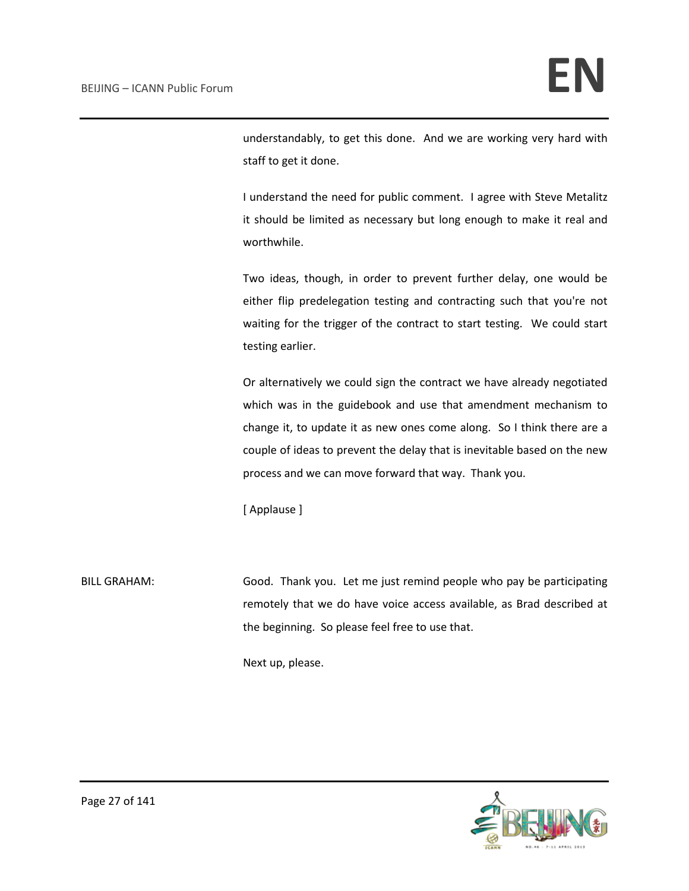understandably, to get this done. And we are working very hard with staff to get it done.

I understand the need for public comment. I agree with Steve Metalitz it should be limited as necessary but long enough to make it real and worthwhile.

Two ideas, though, in order to prevent further delay, one would be either flip predelegation testing and contracting such that you're not waiting for the trigger of the contract to start testing. We could start testing earlier.

Or alternatively we could sign the contract we have already negotiated which was in the guidebook and use that amendment mechanism to change it, to update it as new ones come along. So I think there are a couple of ideas to prevent the delay that is inevitable based on the new process and we can move forward that way. Thank you.

[ Applause ]

BILL GRAHAM: Good. Thank you. Let me just remind people who pay be participating remotely that we do have voice access available, as Brad described at the beginning. So please feel free to use that.

Next up, please.

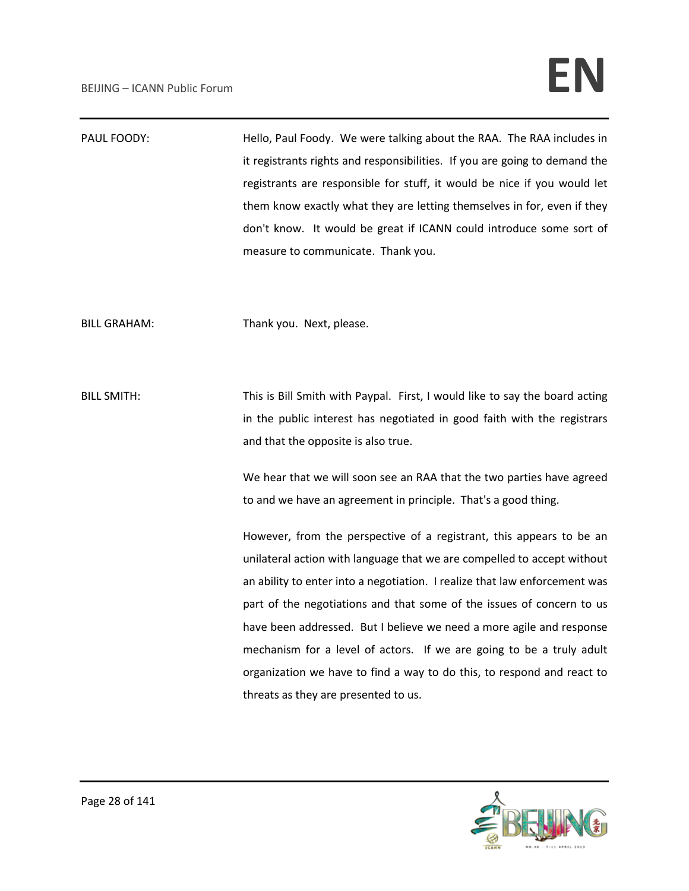### BEIJING – ICANN Public Forum **EN**

| PAUL FOODY: | Hello, Paul Foody. We were talking about the RAA. The RAA includes in      |
|-------------|----------------------------------------------------------------------------|
|             | it registrants rights and responsibilities. If you are going to demand the |
|             | registrants are responsible for stuff, it would be nice if you would let   |
|             | them know exactly what they are letting themselves in for, even if they    |
|             | don't know. It would be great if ICANN could introduce some sort of        |
|             | measure to communicate. Thank you.                                         |

BILL GRAHAM: Thank you. Next, please.

BILL SMITH: This is Bill Smith with Paypal. First, I would like to say the board acting in the public interest has negotiated in good faith with the registrars and that the opposite is also true.

> We hear that we will soon see an RAA that the two parties have agreed to and we have an agreement in principle. That's a good thing.

> However, from the perspective of a registrant, this appears to be an unilateral action with language that we are compelled to accept without an ability to enter into a negotiation. I realize that law enforcement was part of the negotiations and that some of the issues of concern to us have been addressed. But I believe we need a more agile and response mechanism for a level of actors. If we are going to be a truly adult organization we have to find a way to do this, to respond and react to threats as they are presented to us.

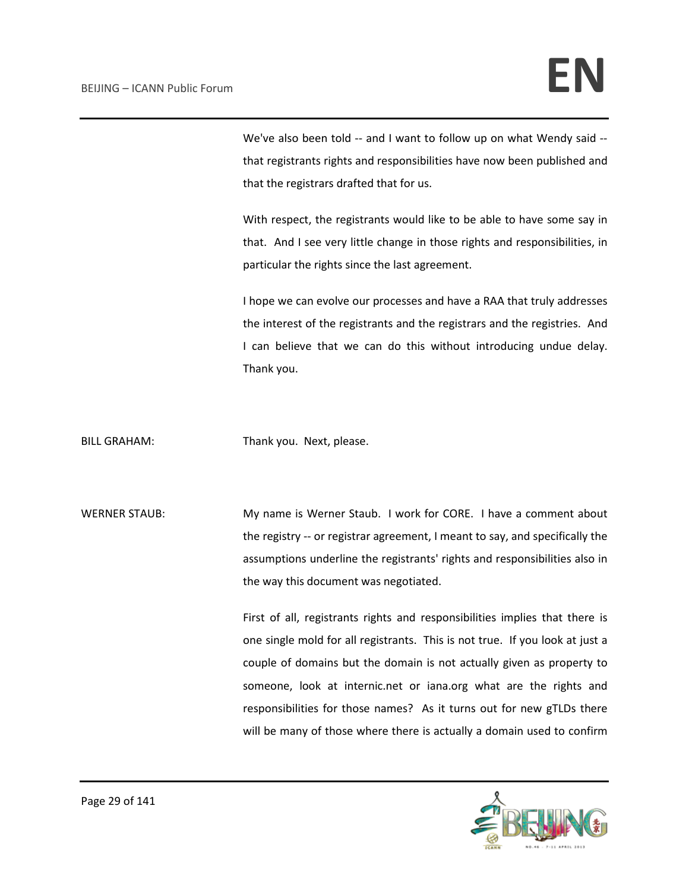We've also been told -- and I want to follow up on what Wendy said - that registrants rights and responsibilities have now been published and that the registrars drafted that for us.

With respect, the registrants would like to be able to have some say in that. And I see very little change in those rights and responsibilities, in particular the rights since the last agreement.

I hope we can evolve our processes and have a RAA that truly addresses the interest of the registrants and the registrars and the registries. And I can believe that we can do this without introducing undue delay. Thank you.

BILL GRAHAM: Thank you. Next, please.

WERNER STAUB: My name is Werner Staub. I work for CORE. I have a comment about the registry -- or registrar agreement, I meant to say, and specifically the assumptions underline the registrants' rights and responsibilities also in the way this document was negotiated.

> First of all, registrants rights and responsibilities implies that there is one single mold for all registrants. This is not true. If you look at just a couple of domains but the domain is not actually given as property to someone, look at internic.net or iana.org what are the rights and responsibilities for those names? As it turns out for new gTLDs there will be many of those where there is actually a domain used to confirm

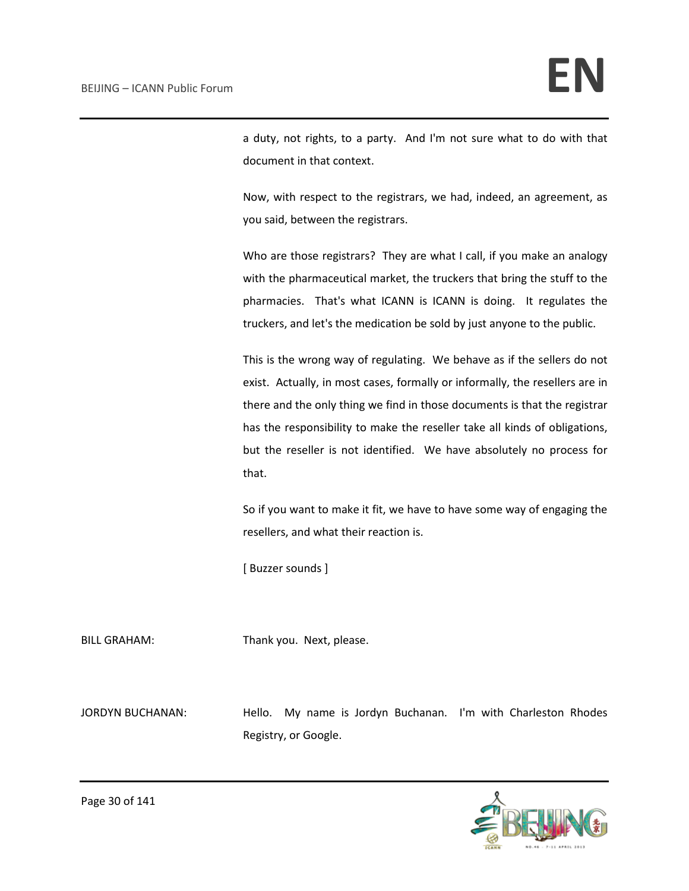a duty, not rights, to a party. And I'm not sure what to do with that document in that context.

Now, with respect to the registrars, we had, indeed, an agreement, as you said, between the registrars.

Who are those registrars? They are what I call, if you make an analogy with the pharmaceutical market, the truckers that bring the stuff to the pharmacies. That's what ICANN is ICANN is doing. It regulates the truckers, and let's the medication be sold by just anyone to the public.

This is the wrong way of regulating. We behave as if the sellers do not exist. Actually, in most cases, formally or informally, the resellers are in there and the only thing we find in those documents is that the registrar has the responsibility to make the reseller take all kinds of obligations, but the reseller is not identified. We have absolutely no process for that.

So if you want to make it fit, we have to have some way of engaging the resellers, and what their reaction is.

[ Buzzer sounds ]

BILL GRAHAM: Thank you. Next, please.

JORDYN BUCHANAN: Hello. My name is Jordyn Buchanan. I'm with Charleston Rhodes Registry, or Google.

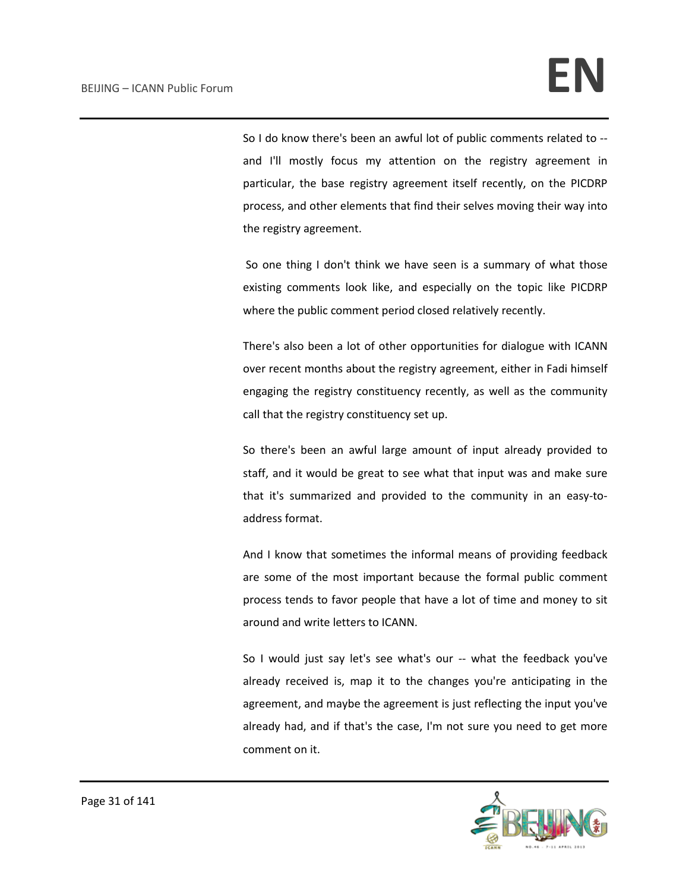So I do know there's been an awful lot of public comments related to - and I'll mostly focus my attention on the registry agreement in particular, the base registry agreement itself recently, on the PICDRP process, and other elements that find their selves moving their way into the registry agreement.

So one thing I don't think we have seen is a summary of what those existing comments look like, and especially on the topic like PICDRP where the public comment period closed relatively recently.

There's also been a lot of other opportunities for dialogue with ICANN over recent months about the registry agreement, either in Fadi himself engaging the registry constituency recently, as well as the community call that the registry constituency set up.

So there's been an awful large amount of input already provided to staff, and it would be great to see what that input was and make sure that it's summarized and provided to the community in an easy-toaddress format.

And I know that sometimes the informal means of providing feedback are some of the most important because the formal public comment process tends to favor people that have a lot of time and money to sit around and write letters to ICANN.

So I would just say let's see what's our -- what the feedback you've already received is, map it to the changes you're anticipating in the agreement, and maybe the agreement is just reflecting the input you've already had, and if that's the case, I'm not sure you need to get more comment on it.

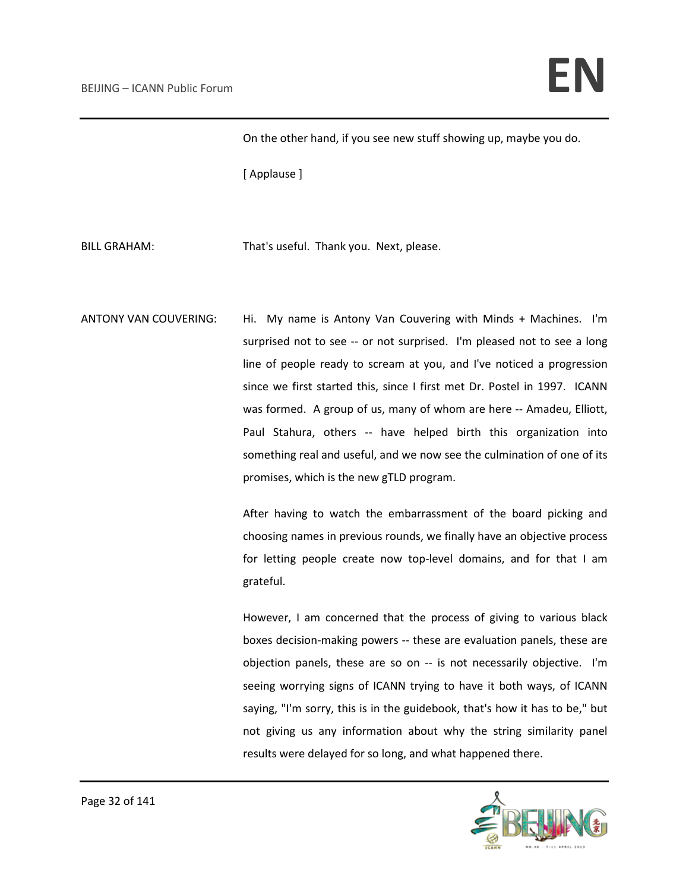On the other hand, if you see new stuff showing up, maybe you do.

[ Applause ]

BILL GRAHAM: That's useful. Thank you. Next, please.

ANTONY VAN COUVERING: Hi. My name is Antony Van Couvering with Minds + Machines. I'm surprised not to see -- or not surprised. I'm pleased not to see a long line of people ready to scream at you, and I've noticed a progression since we first started this, since I first met Dr. Postel in 1997. ICANN was formed. A group of us, many of whom are here -- Amadeu, Elliott, Paul Stahura, others -- have helped birth this organization into something real and useful, and we now see the culmination of one of its promises, which is the new gTLD program.

> After having to watch the embarrassment of the board picking and choosing names in previous rounds, we finally have an objective process for letting people create now top-level domains, and for that I am grateful.

> However, I am concerned that the process of giving to various black boxes decision-making powers -- these are evaluation panels, these are objection panels, these are so on -- is not necessarily objective. I'm seeing worrying signs of ICANN trying to have it both ways, of ICANN saying, "I'm sorry, this is in the guidebook, that's how it has to be," but not giving us any information about why the string similarity panel results were delayed for so long, and what happened there.

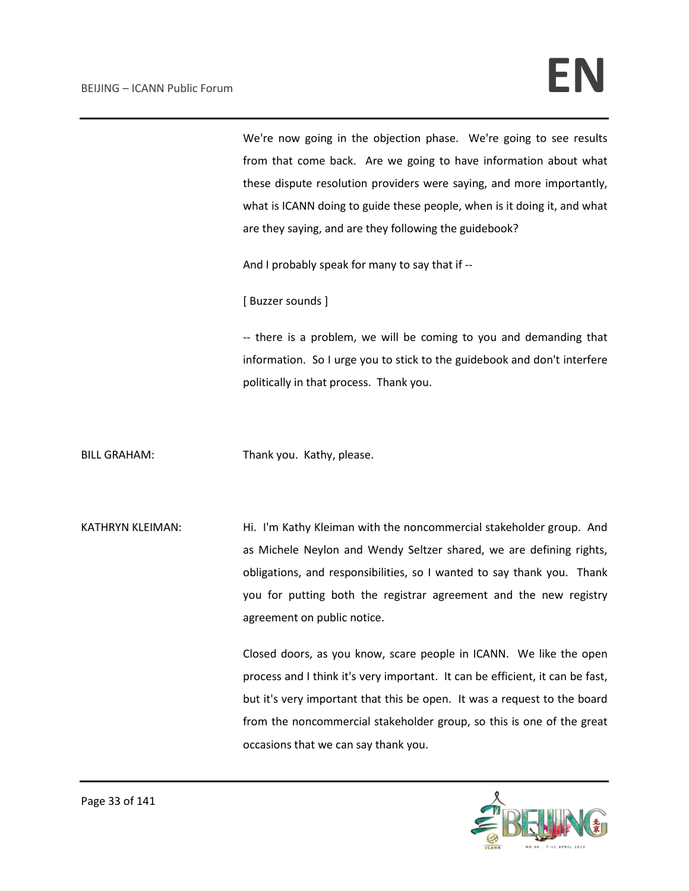We're now going in the objection phase. We're going to see results from that come back. Are we going to have information about what these dispute resolution providers were saying, and more importantly, what is ICANN doing to guide these people, when is it doing it, and what are they saying, and are they following the guidebook?

And I probably speak for many to say that if --

[ Buzzer sounds ]

-- there is a problem, we will be coming to you and demanding that information. So I urge you to stick to the guidebook and don't interfere politically in that process. Thank you.

BILL GRAHAM: Thank you. Kathy, please.

KATHRYN KLEIMAN: Hi. I'm Kathy Kleiman with the noncommercial stakeholder group. And as Michele Neylon and Wendy Seltzer shared, we are defining rights, obligations, and responsibilities, so I wanted to say thank you. Thank you for putting both the registrar agreement and the new registry agreement on public notice.

> Closed doors, as you know, scare people in ICANN. We like the open process and I think it's very important. It can be efficient, it can be fast, but it's very important that this be open. It was a request to the board from the noncommercial stakeholder group, so this is one of the great occasions that we can say thank you.

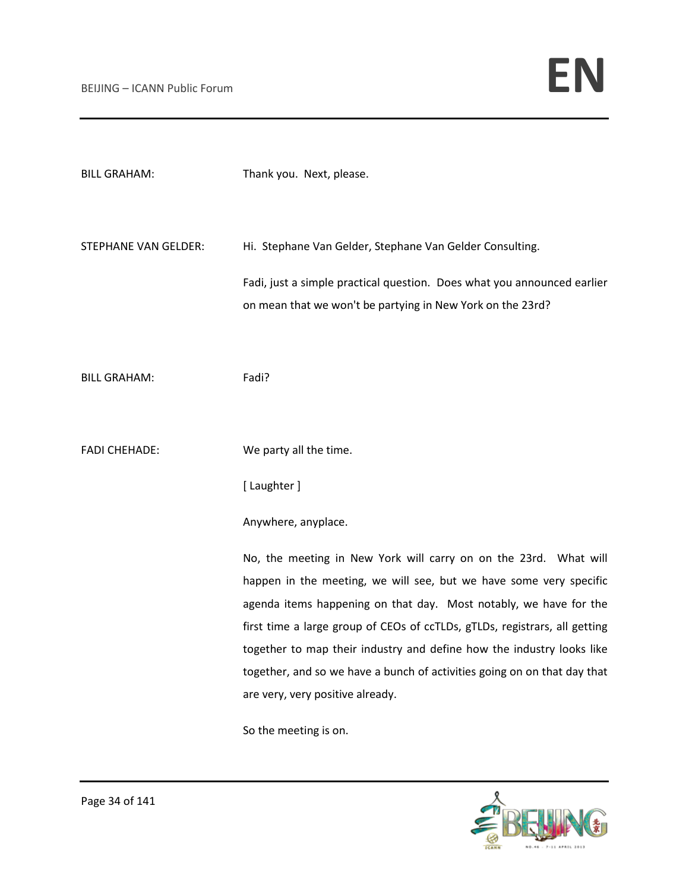| <b>BILL GRAHAM:</b>         | Thank you. Next, please.                                                                                                                          |
|-----------------------------|---------------------------------------------------------------------------------------------------------------------------------------------------|
| <b>STEPHANE VAN GELDER:</b> | Hi. Stephane Van Gelder, Stephane Van Gelder Consulting.<br>Fadi, just a simple practical question. Does what you announced earlier               |
|                             | on mean that we won't be partying in New York on the 23rd?                                                                                        |
| <b>BILL GRAHAM:</b>         | Fadi?                                                                                                                                             |
| <b>FADI CHEHADE:</b>        | We party all the time.                                                                                                                            |
|                             | [ Laughter ]                                                                                                                                      |
|                             | Anywhere, anyplace.                                                                                                                               |
|                             | No, the meeting in New York will carry on on the 23rd. What will                                                                                  |
|                             | happen in the meeting, we will see, but we have some very specific<br>agenda items happening on that day. Most notably, we have for the           |
|                             | first time a large group of CEOs of ccTLDs, gTLDs, registrars, all getting                                                                        |
|                             | together to map their industry and define how the industry looks like<br>together, and so we have a bunch of activities going on on that day that |
|                             | are very, very positive already.                                                                                                                  |
|                             |                                                                                                                                                   |

So the meeting is on.

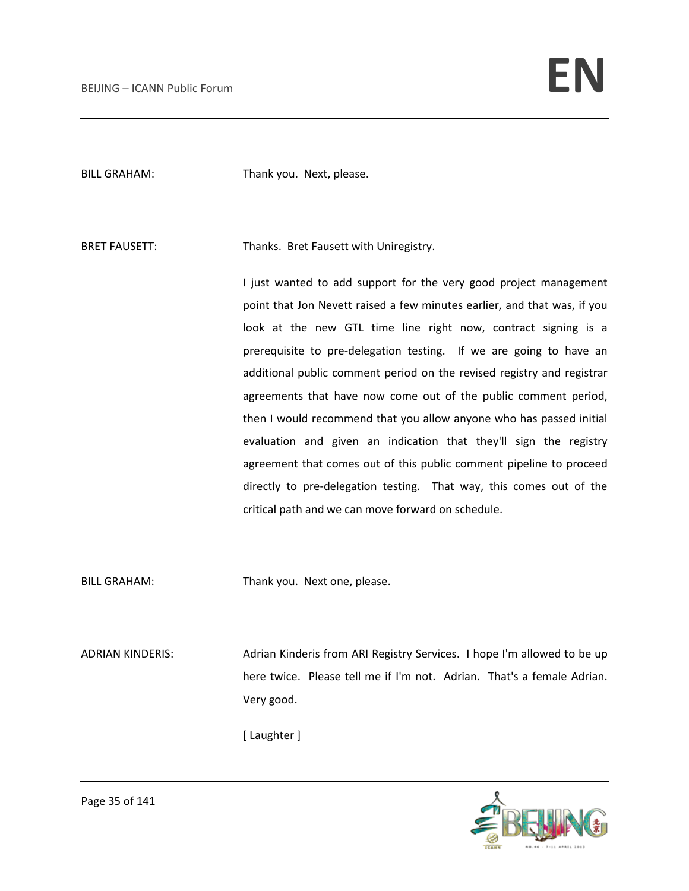BILL GRAHAM: Thank you. Next, please.

BRET FAUSETT: Thanks. Bret Fausett with Uniregistry.

I just wanted to add support for the very good project management point that Jon Nevett raised a few minutes earlier, and that was, if you look at the new GTL time line right now, contract signing is a prerequisite to pre-delegation testing. If we are going to have an additional public comment period on the revised registry and registrar agreements that have now come out of the public comment period, then I would recommend that you allow anyone who has passed initial evaluation and given an indication that they'll sign the registry agreement that comes out of this public comment pipeline to proceed directly to pre-delegation testing. That way, this comes out of the critical path and we can move forward on schedule.

BILL GRAHAM: Thank you. Next one, please.

ADRIAN KINDERIS: Adrian Kinderis from ARI Registry Services. I hope I'm allowed to be up here twice. Please tell me if I'm not. Adrian. That's a female Adrian. Very good.

[ Laughter ]

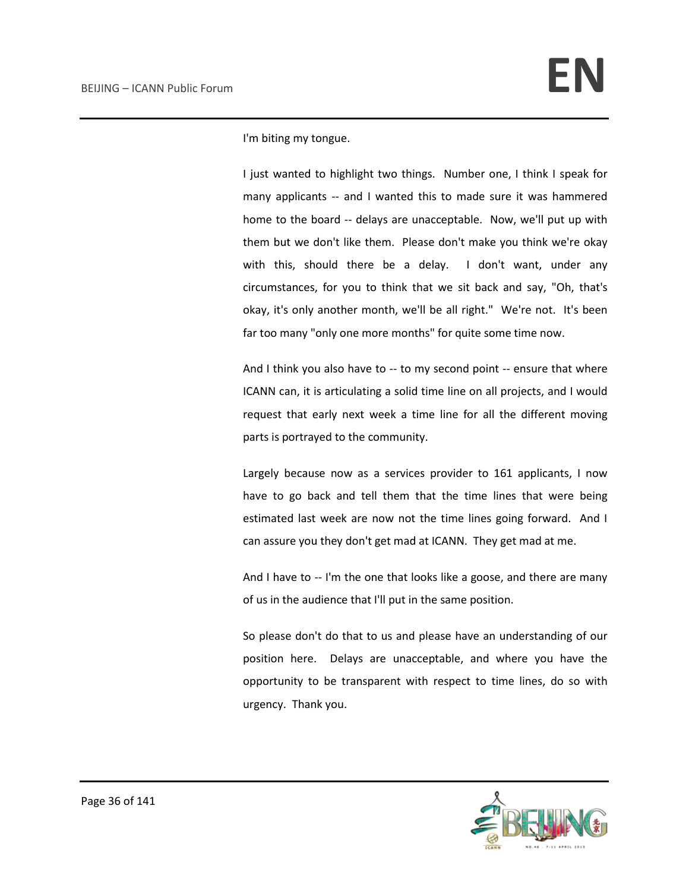I'm biting my tongue.

I just wanted to highlight two things. Number one, I think I speak for many applicants -- and I wanted this to made sure it was hammered home to the board -- delays are unacceptable. Now, we'll put up with them but we don't like them. Please don't make you think we're okay with this, should there be a delay. I don't want, under any circumstances, for you to think that we sit back and say, "Oh, that's okay, it's only another month, we'll be all right." We're not. It's been far too many "only one more months" for quite some time now.

And I think you also have to -- to my second point -- ensure that where ICANN can, it is articulating a solid time line on all projects, and I would request that early next week a time line for all the different moving parts is portrayed to the community.

Largely because now as a services provider to 161 applicants, I now have to go back and tell them that the time lines that were being estimated last week are now not the time lines going forward. And I can assure you they don't get mad at ICANN. They get mad at me.

And I have to -- I'm the one that looks like a goose, and there are many of us in the audience that I'll put in the same position.

So please don't do that to us and please have an understanding of our position here. Delays are unacceptable, and where you have the opportunity to be transparent with respect to time lines, do so with urgency. Thank you.

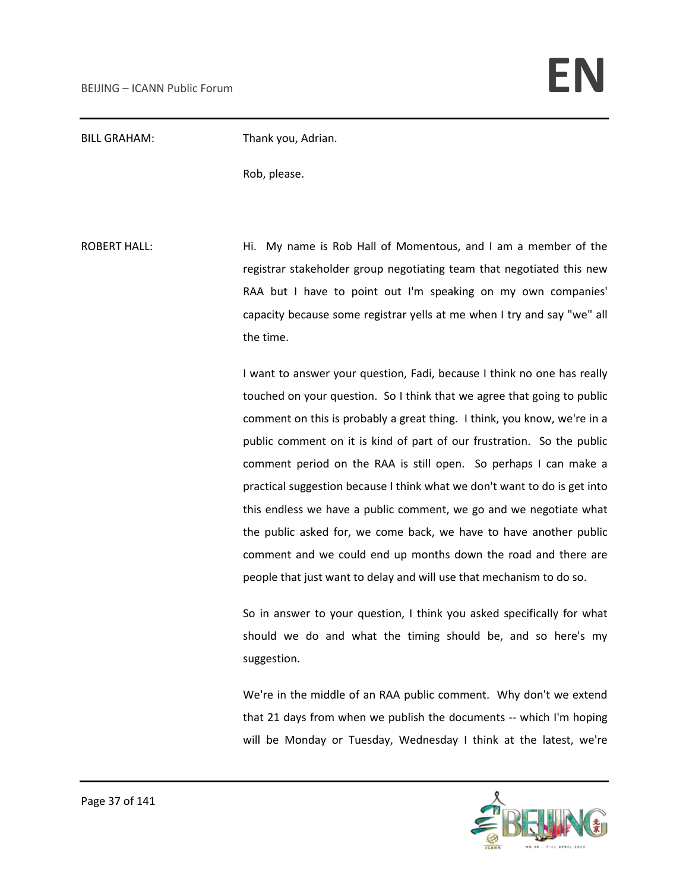BILL GRAHAM: Thank you, Adrian. Rob, please. ROBERT HALL: Hi. My name is Rob Hall of Momentous, and I am a member of the registrar stakeholder group negotiating team that negotiated this new RAA but I have to point out I'm speaking on my own companies' capacity because some registrar yells at me when I try and say "we" all the time. I want to answer your question, Fadi, because I think no one has really touched on your question. So I think that we agree that going to public comment on this is probably a great thing. I think, you know, we're in a public comment on it is kind of part of our frustration. So the public comment period on the RAA is still open. So perhaps I can make a practical suggestion because I think what we don't want to do is get into this endless we have a public comment, we go and we negotiate what the public asked for, we come back, we have to have another public comment and we could end up months down the road and there are people that just want to delay and will use that mechanism to do so. So in answer to your question, I think you asked specifically for what should we do and what the timing should be, and so here's my

suggestion.

We're in the middle of an RAA public comment. Why don't we extend that 21 days from when we publish the documents -- which I'm hoping will be Monday or Tuesday, Wednesday I think at the latest, we're

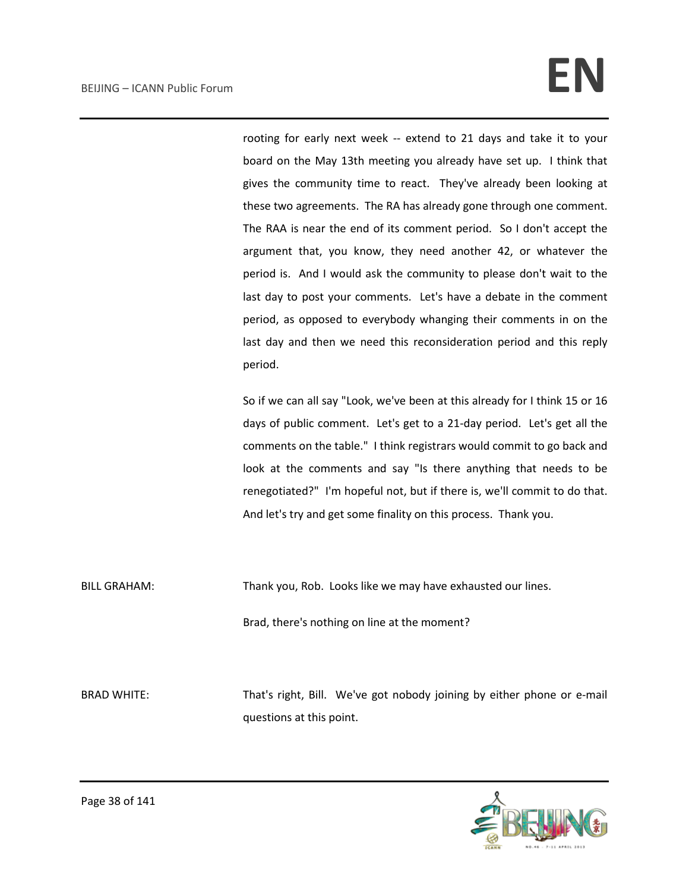rooting for early next week -- extend to 21 days and take it to your board on the May 13th meeting you already have set up. I think that gives the community time to react. They've already been looking at these two agreements. The RA has already gone through one comment. The RAA is near the end of its comment period. So I don't accept the argument that, you know, they need another 42, or whatever the period is. And I would ask the community to please don't wait to the last day to post your comments. Let's have a debate in the comment period, as opposed to everybody whanging their comments in on the last day and then we need this reconsideration period and this reply period.

So if we can all say "Look, we've been at this already for I think 15 or 16 days of public comment. Let's get to a 21-day period. Let's get all the comments on the table." I think registrars would commit to go back and look at the comments and say "Is there anything that needs to be renegotiated?" I'm hopeful not, but if there is, we'll commit to do that. And let's try and get some finality on this process. Thank you.

BILL GRAHAM: Thank you, Rob. Looks like we may have exhausted our lines.

Brad, there's nothing on line at the moment?

BRAD WHITE: That's right, Bill. We've got nobody joining by either phone or e-mail questions at this point.

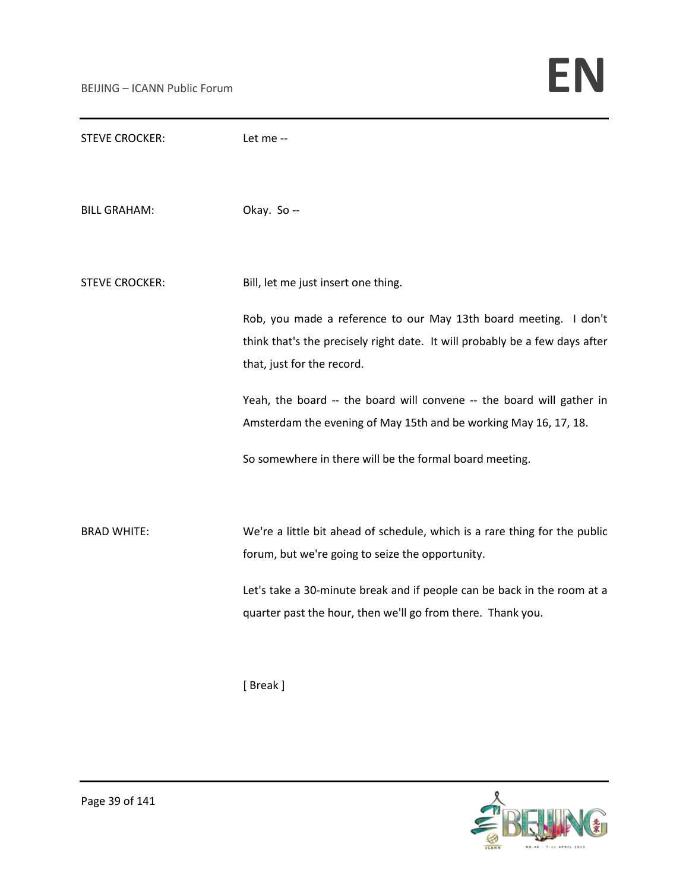| <b>STEVE CROCKER:</b> | Let me --                                                                                                                                                                                                                                                                                                                                                                             |
|-----------------------|---------------------------------------------------------------------------------------------------------------------------------------------------------------------------------------------------------------------------------------------------------------------------------------------------------------------------------------------------------------------------------------|
| <b>BILL GRAHAM:</b>   | Okay. So --                                                                                                                                                                                                                                                                                                                                                                           |
| <b>STEVE CROCKER:</b> | Bill, let me just insert one thing.                                                                                                                                                                                                                                                                                                                                                   |
|                       | Rob, you made a reference to our May 13th board meeting. I don't<br>think that's the precisely right date. It will probably be a few days after<br>that, just for the record.<br>Yeah, the board -- the board will convene -- the board will gather in<br>Amsterdam the evening of May 15th and be working May 16, 17, 18.<br>So somewhere in there will be the formal board meeting. |
| <b>BRAD WHITE:</b>    | We're a little bit ahead of schedule, which is a rare thing for the public<br>forum, but we're going to seize the opportunity.<br>Let's take a 30-minute break and if people can be back in the room at a<br>quarter past the hour, then we'll go from there. Thank you.                                                                                                              |

[ Break ]

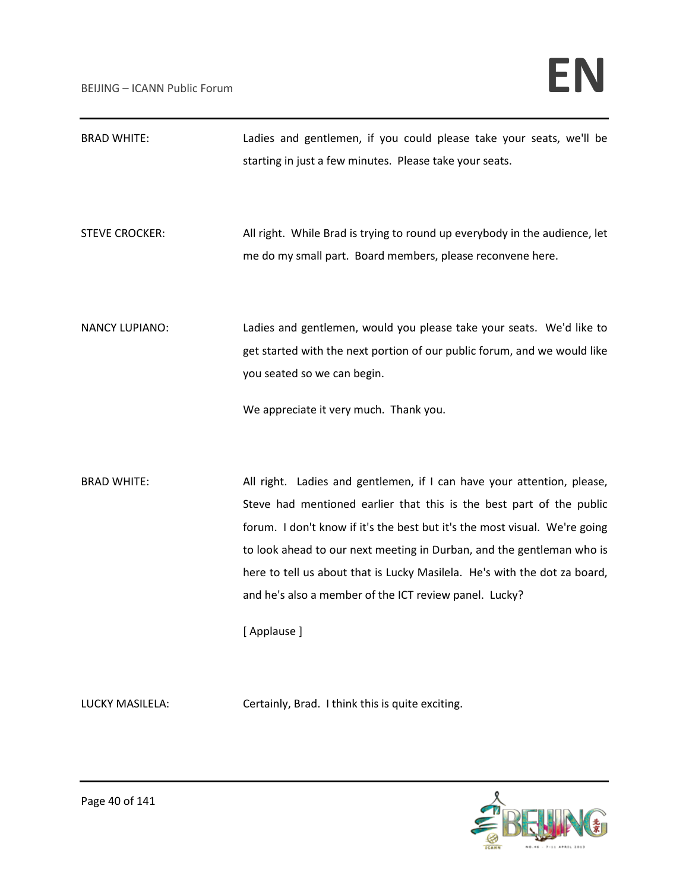| <b>BRAD WHITE:</b>    | Ladies and gentlemen, if you could please take your seats, we'll be<br>starting in just a few minutes. Please take your seats.                                                                                                                                                                                                                                                                                                                              |
|-----------------------|-------------------------------------------------------------------------------------------------------------------------------------------------------------------------------------------------------------------------------------------------------------------------------------------------------------------------------------------------------------------------------------------------------------------------------------------------------------|
| <b>STEVE CROCKER:</b> | All right. While Brad is trying to round up everybody in the audience, let<br>me do my small part. Board members, please reconvene here.                                                                                                                                                                                                                                                                                                                    |
| <b>NANCY LUPIANO:</b> | Ladies and gentlemen, would you please take your seats. We'd like to<br>get started with the next portion of our public forum, and we would like<br>you seated so we can begin.<br>We appreciate it very much. Thank you.                                                                                                                                                                                                                                   |
| <b>BRAD WHITE:</b>    | All right. Ladies and gentlemen, if I can have your attention, please,<br>Steve had mentioned earlier that this is the best part of the public<br>forum. I don't know if it's the best but it's the most visual. We're going<br>to look ahead to our next meeting in Durban, and the gentleman who is<br>here to tell us about that is Lucky Masilela. He's with the dot za board,<br>and he's also a member of the ICT review panel. Lucky?<br>[Applause ] |
| LUCKY MASILELA:       | Certainly, Brad. I think this is quite exciting.                                                                                                                                                                                                                                                                                                                                                                                                            |

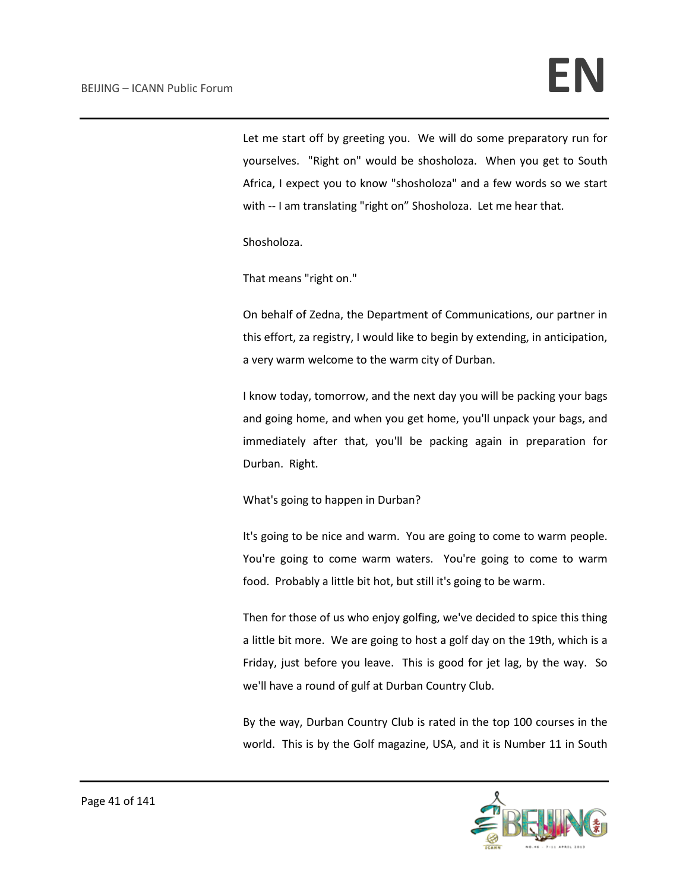Let me start off by greeting you. We will do some preparatory run for yourselves. "Right on" would be shosholoza. When you get to South Africa, I expect you to know "shosholoza" and a few words so we start with -- I am translating "right on" Shosholoza. Let me hear that.

Shosholoza.

That means "right on."

On behalf of Zedna, the Department of Communications, our partner in this effort, za registry, I would like to begin by extending, in anticipation, a very warm welcome to the warm city of Durban.

I know today, tomorrow, and the next day you will be packing your bags and going home, and when you get home, you'll unpack your bags, and immediately after that, you'll be packing again in preparation for Durban. Right.

What's going to happen in Durban?

It's going to be nice and warm. You are going to come to warm people. You're going to come warm waters. You're going to come to warm food. Probably a little bit hot, but still it's going to be warm.

Then for those of us who enjoy golfing, we've decided to spice this thing a little bit more. We are going to host a golf day on the 19th, which is a Friday, just before you leave. This is good for jet lag, by the way. So we'll have a round of gulf at Durban Country Club.

By the way, Durban Country Club is rated in the top 100 courses in the world. This is by the Golf magazine, USA, and it is Number 11 in South

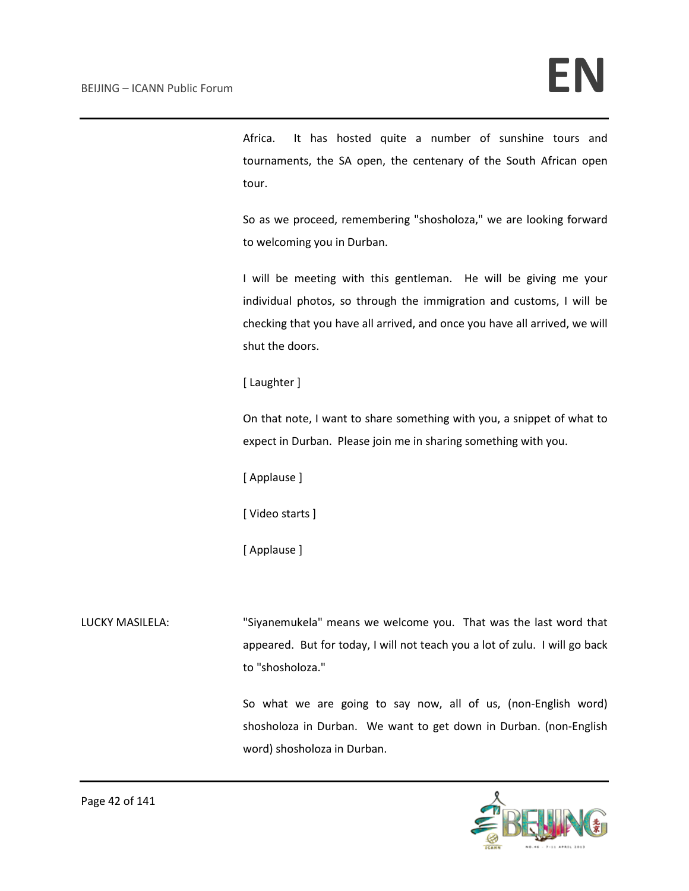Africa. It has hosted quite a number of sunshine tours and tournaments, the SA open, the centenary of the South African open tour.

So as we proceed, remembering "shosholoza," we are looking forward to welcoming you in Durban.

I will be meeting with this gentleman. He will be giving me your individual photos, so through the immigration and customs, I will be checking that you have all arrived, and once you have all arrived, we will shut the doors.

[ Laughter ]

On that note, I want to share something with you, a snippet of what to expect in Durban. Please join me in sharing something with you.

[ Applause ]

[ Video starts ]

[ Applause ]

LUCKY MASILELA: "Siyanemukela" means we welcome you. That was the last word that appeared. But for today, I will not teach you a lot of zulu. I will go back to "shosholoza."

> So what we are going to say now, all of us, (non-English word) shosholoza in Durban. We want to get down in Durban. (non-English word) shosholoza in Durban.

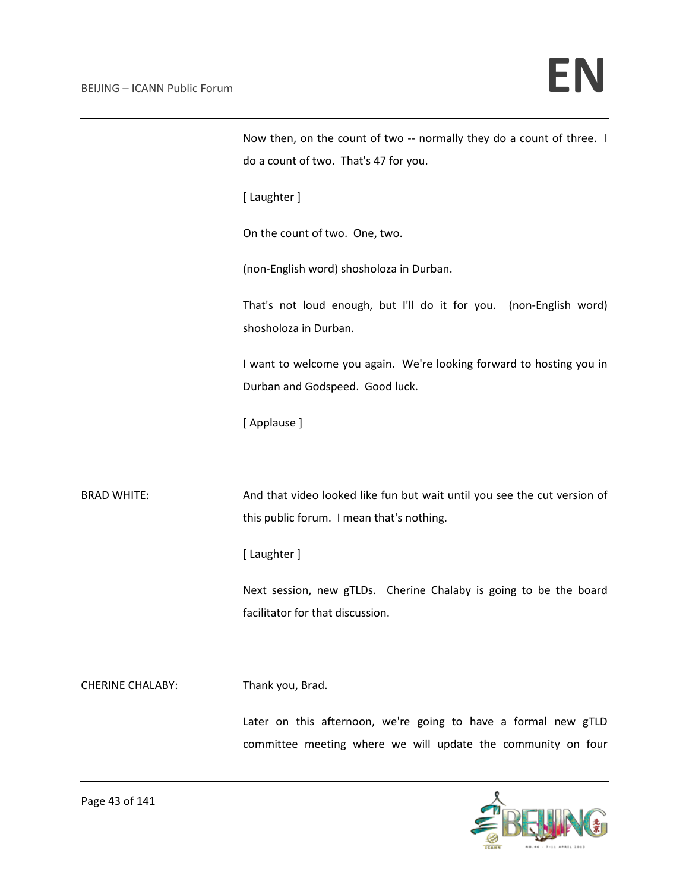Now then, on the count of two -- normally they do a count of three. I do a count of two. That's 47 for you.

[ Laughter ]

On the count of two. One, two.

(non-English word) shosholoza in Durban.

That's not loud enough, but I'll do it for you. (non-English word) shosholoza in Durban.

I want to welcome you again. We're looking forward to hosting you in Durban and Godspeed. Good luck.

[ Applause ]

BRAD WHITE: And that video looked like fun but wait until you see the cut version of this public forum. I mean that's nothing.

[ Laughter ]

Next session, new gTLDs. Cherine Chalaby is going to be the board facilitator for that discussion.

CHERINE CHALABY: Thank you, Brad.

Later on this afternoon, we're going to have a formal new gTLD committee meeting where we will update the community on four

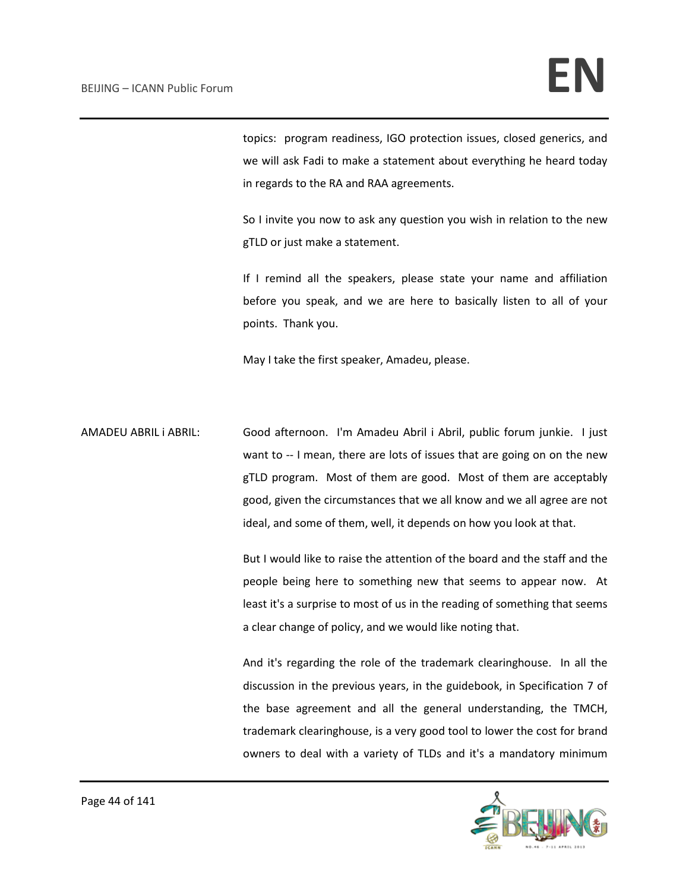topics: program readiness, IGO protection issues, closed generics, and we will ask Fadi to make a statement about everything he heard today in regards to the RA and RAA agreements.

So I invite you now to ask any question you wish in relation to the new gTLD or just make a statement.

If I remind all the speakers, please state your name and affiliation before you speak, and we are here to basically listen to all of your points. Thank you.

May I take the first speaker, Amadeu, please.

AMADEU ABRIL i ABRIL: Good afternoon. I'm Amadeu Abril i Abril, public forum junkie. I just want to -- I mean, there are lots of issues that are going on on the new gTLD program. Most of them are good. Most of them are acceptably good, given the circumstances that we all know and we all agree are not ideal, and some of them, well, it depends on how you look at that.

> But I would like to raise the attention of the board and the staff and the people being here to something new that seems to appear now. At least it's a surprise to most of us in the reading of something that seems a clear change of policy, and we would like noting that.

> And it's regarding the role of the trademark clearinghouse. In all the discussion in the previous years, in the guidebook, in Specification 7 of the base agreement and all the general understanding, the TMCH, trademark clearinghouse, is a very good tool to lower the cost for brand owners to deal with a variety of TLDs and it's a mandatory minimum

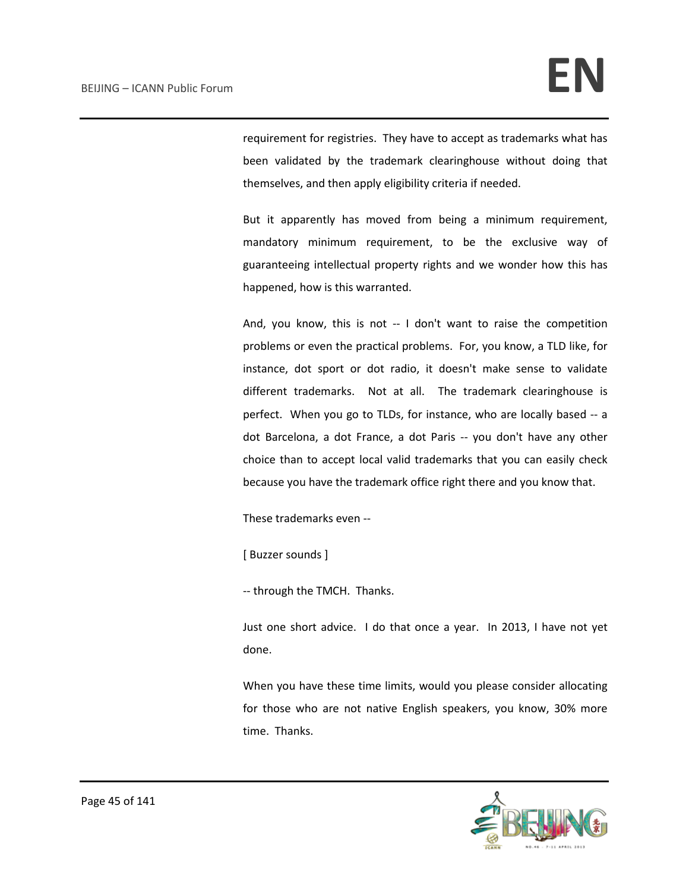requirement for registries. They have to accept as trademarks what has been validated by the trademark clearinghouse without doing that themselves, and then apply eligibility criteria if needed.

But it apparently has moved from being a minimum requirement, mandatory minimum requirement, to be the exclusive way of guaranteeing intellectual property rights and we wonder how this has happened, how is this warranted.

And, you know, this is not -- I don't want to raise the competition problems or even the practical problems. For, you know, a TLD like, for instance, dot sport or dot radio, it doesn't make sense to validate different trademarks. Not at all. The trademark clearinghouse is perfect. When you go to TLDs, for instance, who are locally based -- a dot Barcelona, a dot France, a dot Paris -- you don't have any other choice than to accept local valid trademarks that you can easily check because you have the trademark office right there and you know that.

These trademarks even --

[ Buzzer sounds ]

-- through the TMCH. Thanks.

Just one short advice. I do that once a year. In 2013, I have not yet done.

When you have these time limits, would you please consider allocating for those who are not native English speakers, you know, 30% more time. Thanks.

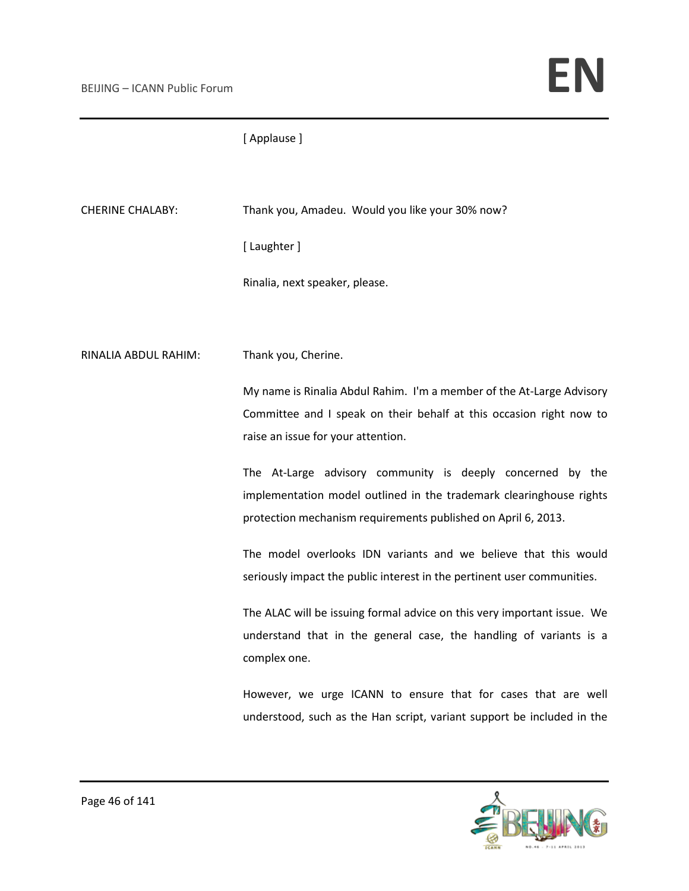#### [ Applause ]

CHERINE CHALABY: Thank you, Amadeu. Would you like your 30% now?

[ Laughter ]

Rinalia, next speaker, please.

RINALIA ABDUL RAHIM: Thank you, Cherine.

My name is Rinalia Abdul Rahim. I'm a member of the At-Large Advisory Committee and I speak on their behalf at this occasion right now to raise an issue for your attention.

The At-Large advisory community is deeply concerned by the implementation model outlined in the trademark clearinghouse rights protection mechanism requirements published on April 6, 2013.

The model overlooks IDN variants and we believe that this would seriously impact the public interest in the pertinent user communities.

The ALAC will be issuing formal advice on this very important issue. We understand that in the general case, the handling of variants is a complex one.

However, we urge ICANN to ensure that for cases that are well understood, such as the Han script, variant support be included in the

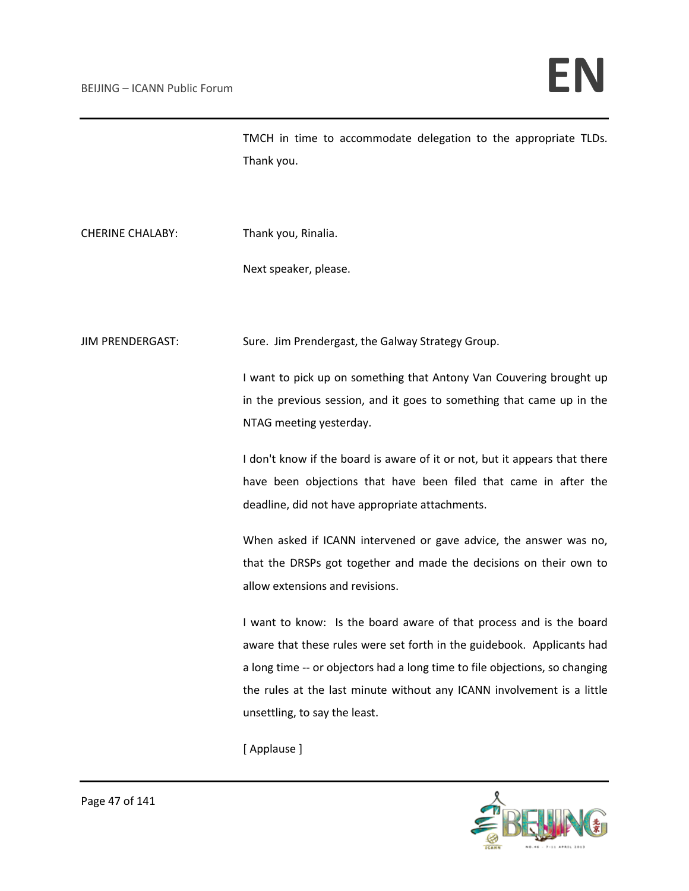TMCH in time to accommodate delegation to the appropriate TLDs. Thank you.

CHERINE CHALABY: Thank you, Rinalia.

Next speaker, please.

JIM PRENDERGAST: Sure. Jim Prendergast, the Galway Strategy Group.

I want to pick up on something that Antony Van Couvering brought up in the previous session, and it goes to something that came up in the NTAG meeting yesterday.

I don't know if the board is aware of it or not, but it appears that there have been objections that have been filed that came in after the deadline, did not have appropriate attachments.

When asked if ICANN intervened or gave advice, the answer was no, that the DRSPs got together and made the decisions on their own to allow extensions and revisions.

I want to know: Is the board aware of that process and is the board aware that these rules were set forth in the guidebook. Applicants had a long time -- or objectors had a long time to file objections, so changing the rules at the last minute without any ICANN involvement is a little unsettling, to say the least.

[ Applause ]

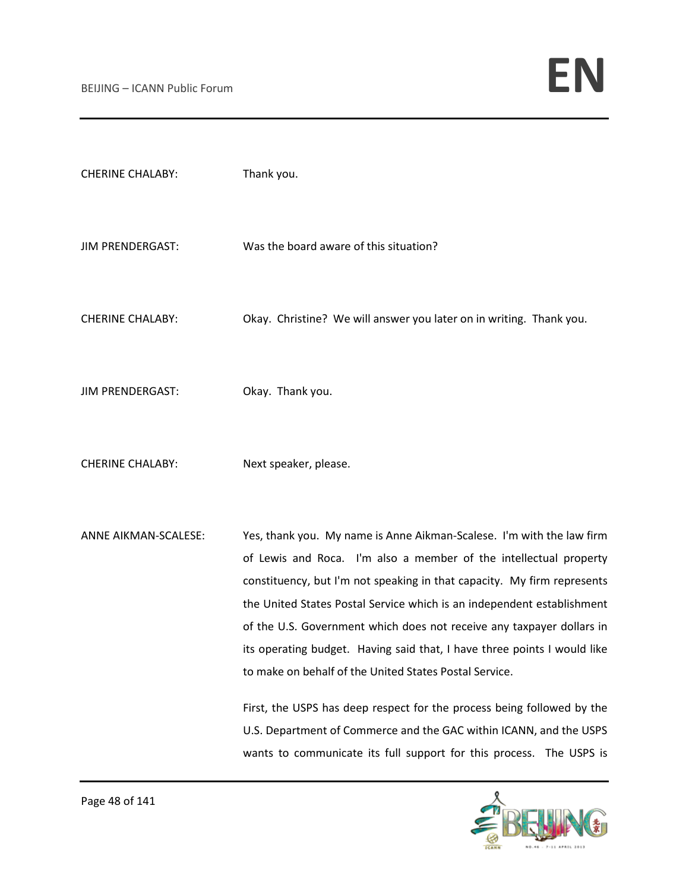| <b>CHERINE CHALABY:</b> | Thank you.                                                                                                                                                                                                                                                                                                                                                                                                                                                                                                     |
|-------------------------|----------------------------------------------------------------------------------------------------------------------------------------------------------------------------------------------------------------------------------------------------------------------------------------------------------------------------------------------------------------------------------------------------------------------------------------------------------------------------------------------------------------|
| <b>JIM PRENDERGAST:</b> | Was the board aware of this situation?                                                                                                                                                                                                                                                                                                                                                                                                                                                                         |
| <b>CHERINE CHALABY:</b> | Okay. Christine? We will answer you later on in writing. Thank you.                                                                                                                                                                                                                                                                                                                                                                                                                                            |
| <b>JIM PRENDERGAST:</b> | Okay. Thank you.                                                                                                                                                                                                                                                                                                                                                                                                                                                                                               |
| <b>CHERINE CHALABY:</b> | Next speaker, please.                                                                                                                                                                                                                                                                                                                                                                                                                                                                                          |
| ANNE AIKMAN-SCALESE:    | Yes, thank you. My name is Anne Aikman-Scalese. I'm with the law firm<br>of Lewis and Roca. I'm also a member of the intellectual property<br>constituency, but I'm not speaking in that capacity. My firm represents<br>the United States Postal Service which is an independent establishment<br>of the U.S. Government which does not receive any taxpayer dollars in<br>its operating budget. Having said that, I have three points I would like<br>to make on behalf of the United States Postal Service. |
|                         | First, the USPS has deep respect for the process being followed by the<br>U.S. Department of Commerce and the GAC within ICANN, and the USPS<br>wants to communicate its full support for this process. The USPS is                                                                                                                                                                                                                                                                                            |

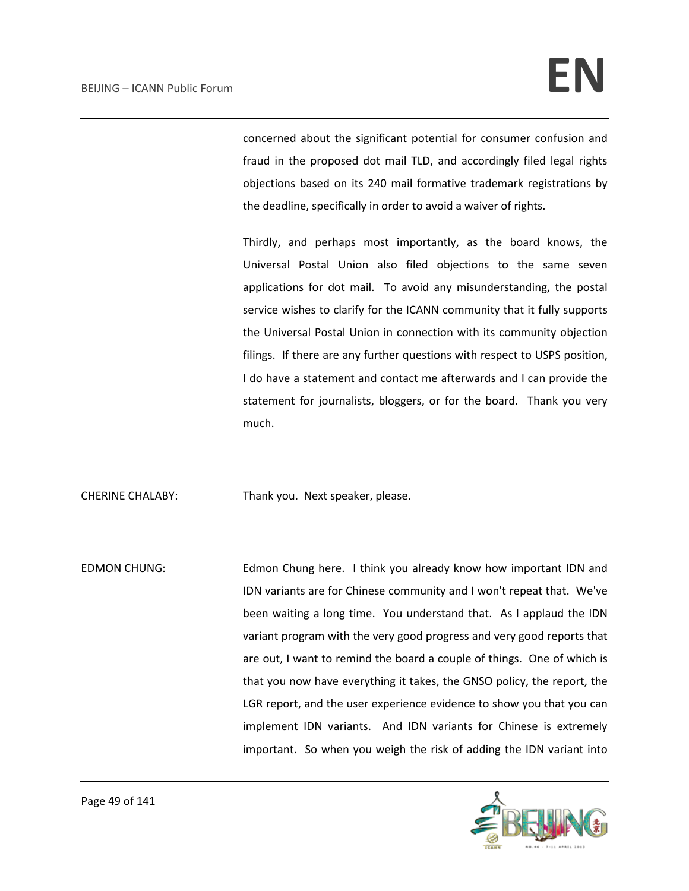concerned about the significant potential for consumer confusion and fraud in the proposed dot mail TLD, and accordingly filed legal rights objections based on its 240 mail formative trademark registrations by the deadline, specifically in order to avoid a waiver of rights.

Thirdly, and perhaps most importantly, as the board knows, the Universal Postal Union also filed objections to the same seven applications for dot mail. To avoid any misunderstanding, the postal service wishes to clarify for the ICANN community that it fully supports the Universal Postal Union in connection with its community objection filings. If there are any further questions with respect to USPS position, I do have a statement and contact me afterwards and I can provide the statement for journalists, bloggers, or for the board. Thank you very much.

CHERINE CHALABY: Thank you. Next speaker, please.

EDMON CHUNG: Edmon Chung here. I think you already know how important IDN and IDN variants are for Chinese community and I won't repeat that. We've been waiting a long time. You understand that. As I applaud the IDN variant program with the very good progress and very good reports that are out, I want to remind the board a couple of things. One of which is that you now have everything it takes, the GNSO policy, the report, the LGR report, and the user experience evidence to show you that you can implement IDN variants. And IDN variants for Chinese is extremely important. So when you weigh the risk of adding the IDN variant into

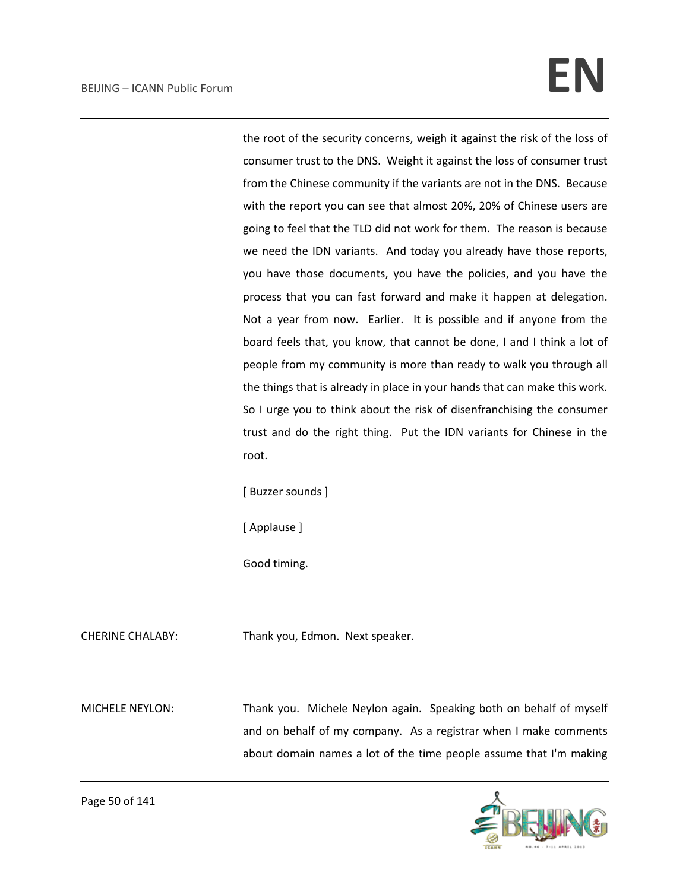the root of the security concerns, weigh it against the risk of the loss of consumer trust to the DNS. Weight it against the loss of consumer trust from the Chinese community if the variants are not in the DNS. Because with the report you can see that almost 20%, 20% of Chinese users are going to feel that the TLD did not work for them. The reason is because we need the IDN variants. And today you already have those reports, you have those documents, you have the policies, and you have the process that you can fast forward and make it happen at delegation. Not a year from now. Earlier. It is possible and if anyone from the board feels that, you know, that cannot be done, I and I think a lot of people from my community is more than ready to walk you through all the things that is already in place in your hands that can make this work. So I urge you to think about the risk of disenfranchising the consumer trust and do the right thing. Put the IDN variants for Chinese in the root.

[ Buzzer sounds ]

[ Applause ]

Good timing.

CHERINE CHALABY: Thank you, Edmon. Next speaker.

MICHELE NEYLON: Thank you. Michele Neylon again. Speaking both on behalf of myself and on behalf of my company. As a registrar when I make comments about domain names a lot of the time people assume that I'm making

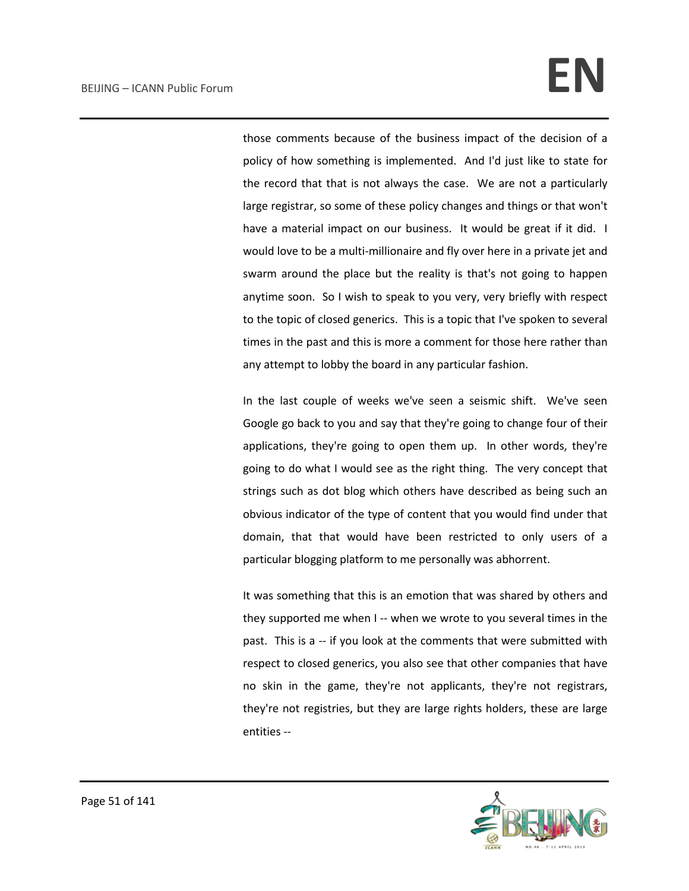those comments because of the business impact of the decision of a policy of how something is implemented. And I'd just like to state for the record that that is not always the case. We are not a particularly large registrar, so some of these policy changes and things or that won't have a material impact on our business. It would be great if it did. I would love to be a multi-millionaire and fly over here in a private jet and swarm around the place but the reality is that's not going to happen anytime soon. So I wish to speak to you very, very briefly with respect to the topic of closed generics. This is a topic that I've spoken to several times in the past and this is more a comment for those here rather than any attempt to lobby the board in any particular fashion.

In the last couple of weeks we've seen a seismic shift. We've seen Google go back to you and say that they're going to change four of their applications, they're going to open them up. In other words, they're going to do what I would see as the right thing. The very concept that strings such as dot blog which others have described as being such an obvious indicator of the type of content that you would find under that domain, that that would have been restricted to only users of a particular blogging platform to me personally was abhorrent.

It was something that this is an emotion that was shared by others and they supported me when I -- when we wrote to you several times in the past. This is a -- if you look at the comments that were submitted with respect to closed generics, you also see that other companies that have no skin in the game, they're not applicants, they're not registrars, they're not registries, but they are large rights holders, these are large entities --

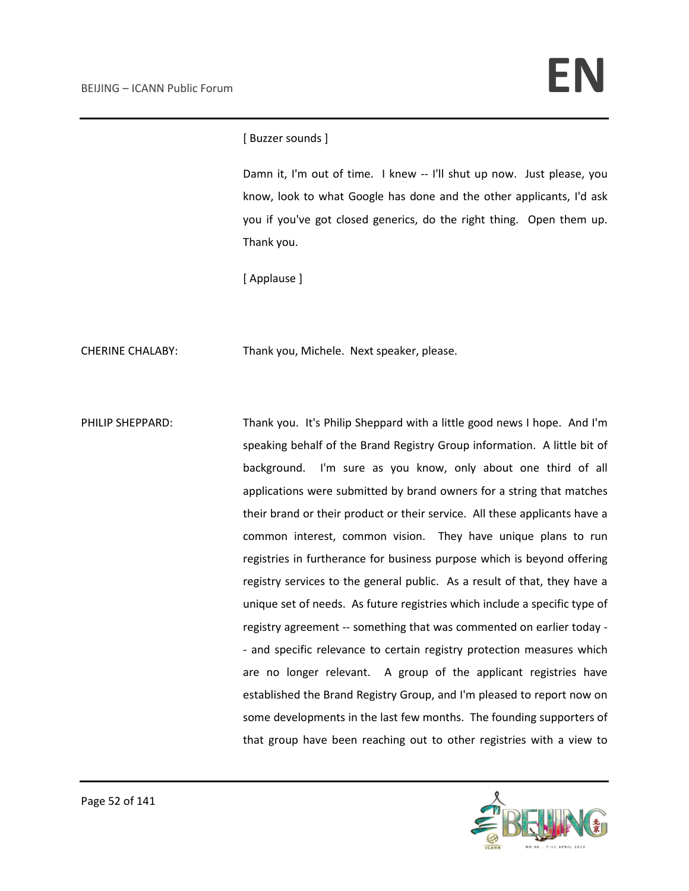#### [ Buzzer sounds ]

Damn it, I'm out of time. I knew -- I'll shut up now. Just please, you know, look to what Google has done and the other applicants, I'd ask you if you've got closed generics, do the right thing. Open them up. Thank you.

[ Applause ]

CHERINE CHALABY: Thank you, Michele. Next speaker, please.

PHILIP SHEPPARD: Thank you. It's Philip Sheppard with a little good news I hope. And I'm speaking behalf of the Brand Registry Group information. A little bit of background. I'm sure as you know, only about one third of all applications were submitted by brand owners for a string that matches their brand or their product or their service. All these applicants have a common interest, common vision. They have unique plans to run registries in furtherance for business purpose which is beyond offering registry services to the general public. As a result of that, they have a unique set of needs. As future registries which include a specific type of registry agreement -- something that was commented on earlier today - - and specific relevance to certain registry protection measures which are no longer relevant. A group of the applicant registries have established the Brand Registry Group, and I'm pleased to report now on some developments in the last few months. The founding supporters of that group have been reaching out to other registries with a view to

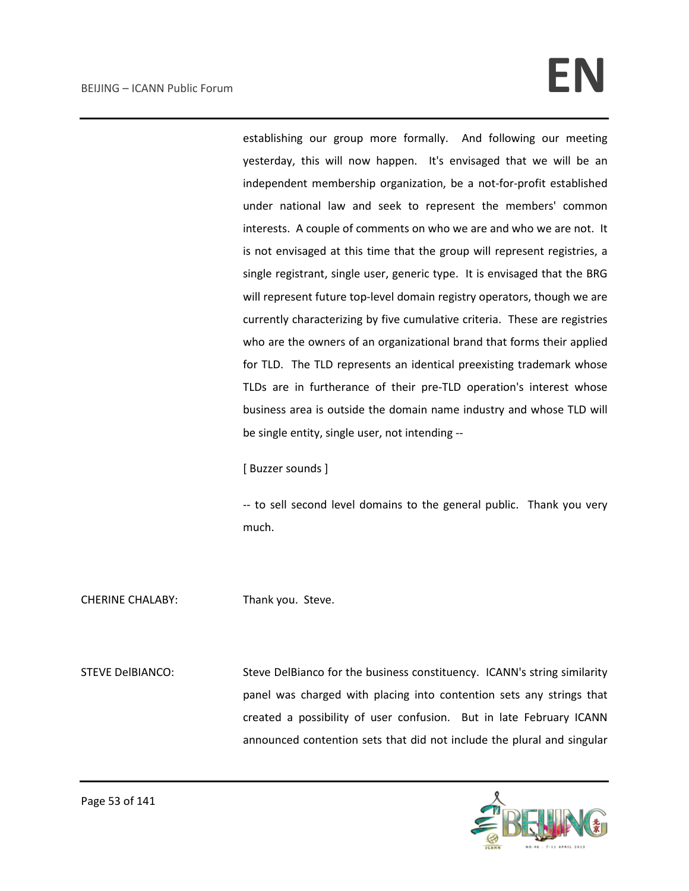establishing our group more formally. And following our meeting yesterday, this will now happen. It's envisaged that we will be an independent membership organization, be a not-for-profit established under national law and seek to represent the members' common interests. A couple of comments on who we are and who we are not. It is not envisaged at this time that the group will represent registries, a single registrant, single user, generic type. It is envisaged that the BRG will represent future top-level domain registry operators, though we are currently characterizing by five cumulative criteria. These are registries who are the owners of an organizational brand that forms their applied for TLD. The TLD represents an identical preexisting trademark whose TLDs are in furtherance of their pre-TLD operation's interest whose business area is outside the domain name industry and whose TLD will be single entity, single user, not intending --

[ Buzzer sounds ]

-- to sell second level domains to the general public. Thank you very much.

CHERINE CHALABY: Thank you. Steve.

STEVE DelBIANCO: Steve DelBianco for the business constituency. ICANN's string similarity panel was charged with placing into contention sets any strings that created a possibility of user confusion. But in late February ICANN announced contention sets that did not include the plural and singular

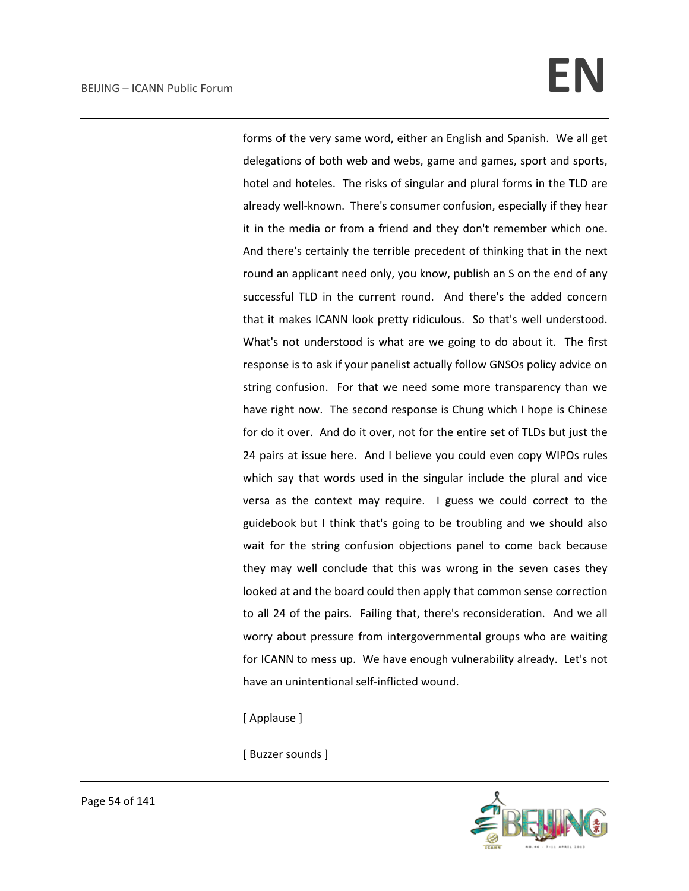forms of the very same word, either an English and Spanish. We all get delegations of both web and webs, game and games, sport and sports, hotel and hoteles. The risks of singular and plural forms in the TLD are already well-known. There's consumer confusion, especially if they hear it in the media or from a friend and they don't remember which one. And there's certainly the terrible precedent of thinking that in the next round an applicant need only, you know, publish an S on the end of any successful TLD in the current round. And there's the added concern that it makes ICANN look pretty ridiculous. So that's well understood. What's not understood is what are we going to do about it. The first response is to ask if your panelist actually follow GNSOs policy advice on string confusion. For that we need some more transparency than we have right now. The second response is Chung which I hope is Chinese for do it over. And do it over, not for the entire set of TLDs but just the 24 pairs at issue here. And I believe you could even copy WIPOs rules which say that words used in the singular include the plural and vice versa as the context may require. I guess we could correct to the guidebook but I think that's going to be troubling and we should also wait for the string confusion objections panel to come back because they may well conclude that this was wrong in the seven cases they looked at and the board could then apply that common sense correction to all 24 of the pairs. Failing that, there's reconsideration. And we all worry about pressure from intergovernmental groups who are waiting for ICANN to mess up. We have enough vulnerability already. Let's not have an unintentional self-inflicted wound.

[ Applause ]

[ Buzzer sounds ]

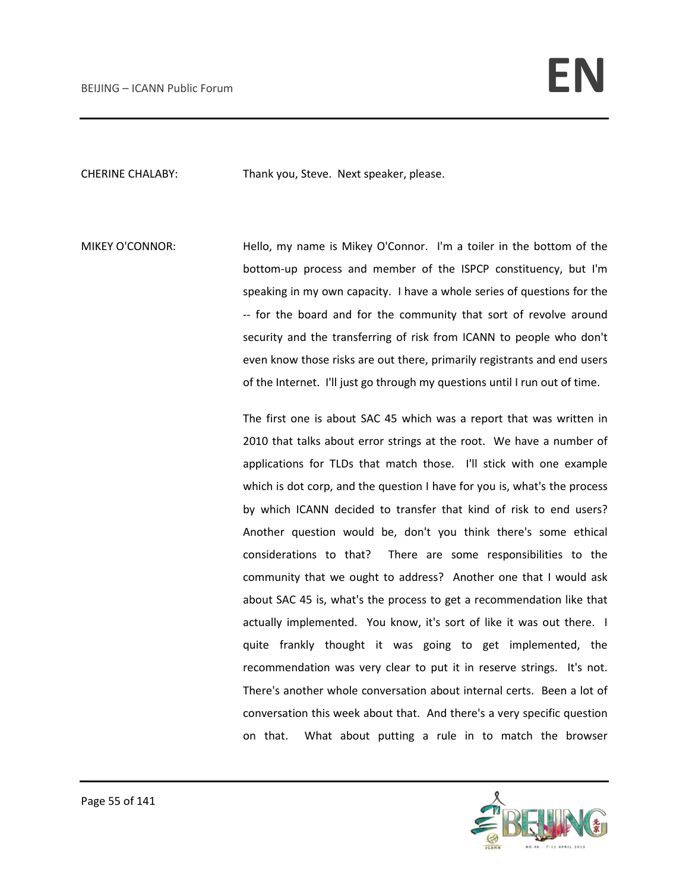CHERINE CHALABY: Thank you, Steve. Next speaker, please.

MIKEY O'CONNOR: Hello, my name is Mikey O'Connor. I'm a toiler in the bottom of the bottom-up process and member of the ISPCP constituency, but I'm speaking in my own capacity. I have a whole series of questions for the -- for the board and for the community that sort of revolve around security and the transferring of risk from ICANN to people who don't even know those risks are out there, primarily registrants and end users of the Internet. I'll just go through my questions until I run out of time.

> The first one is about SAC 45 which was a report that was written in 2010 that talks about error strings at the root. We have a number of applications for TLDs that match those. I'll stick with one example which is dot corp, and the question I have for you is, what's the process by which ICANN decided to transfer that kind of risk to end users? Another question would be, don't you think there's some ethical considerations to that? There are some responsibilities to the community that we ought to address? Another one that I would ask about SAC 45 is, what's the process to get a recommendation like that actually implemented. You know, it's sort of like it was out there. I quite frankly thought it was going to get implemented, the recommendation was very clear to put it in reserve strings. It's not. There's another whole conversation about internal certs. Been a lot of conversation this week about that. And there's a very specific question on that. What about putting a rule in to match the browser

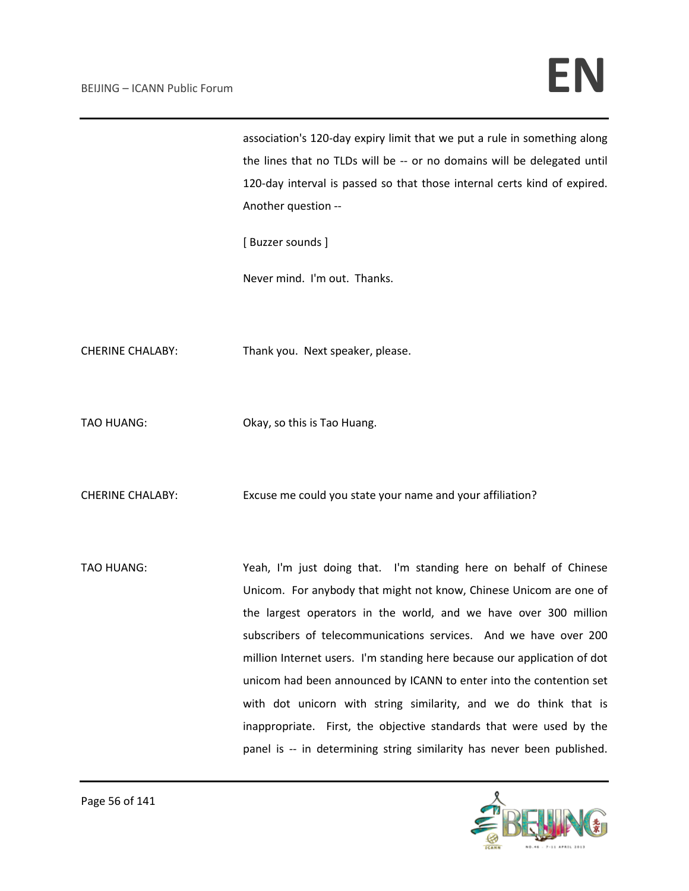association's 120-day expiry limit that we put a rule in something along the lines that no TLDs will be -- or no domains will be delegated until 120-day interval is passed so that those internal certs kind of expired. Another question --

[ Buzzer sounds ]

Never mind. I'm out. Thanks.

CHERINE CHALABY: Thank you. Next speaker, please.

TAO HUANG: Okay, so this is Tao Huang.

CHERINE CHALABY: Excuse me could you state your name and your affiliation?

TAO HUANG: Yeah, I'm just doing that. I'm standing here on behalf of Chinese Unicom. For anybody that might not know, Chinese Unicom are one of the largest operators in the world, and we have over 300 million subscribers of telecommunications services. And we have over 200 million Internet users. I'm standing here because our application of dot unicom had been announced by ICANN to enter into the contention set with dot unicorn with string similarity, and we do think that is inappropriate. First, the objective standards that were used by the panel is -- in determining string similarity has never been published.

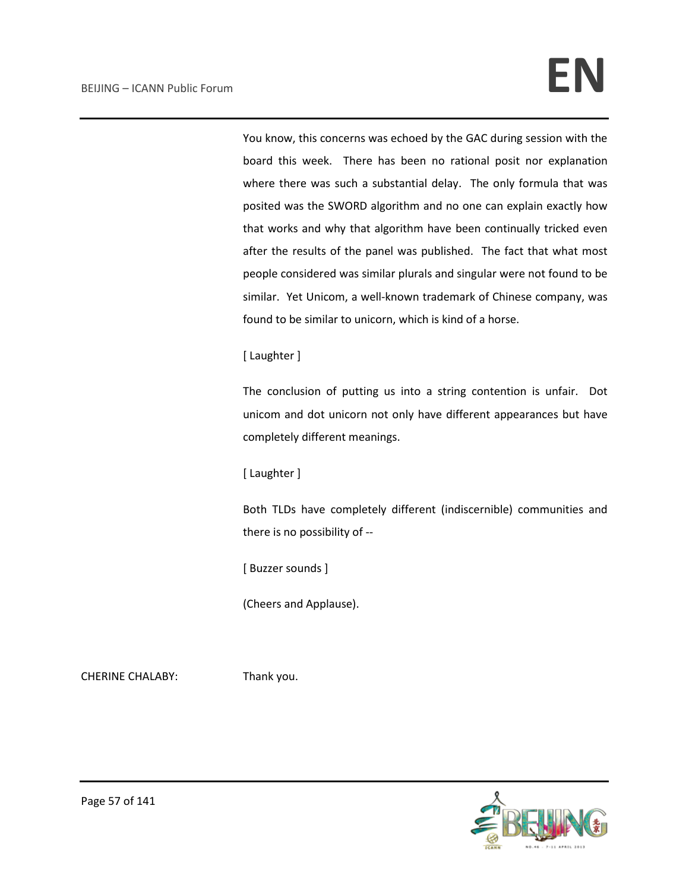You know, this concerns was echoed by the GAC during session with the board this week. There has been no rational posit nor explanation where there was such a substantial delay. The only formula that was posited was the SWORD algorithm and no one can explain exactly how that works and why that algorithm have been continually tricked even after the results of the panel was published. The fact that what most people considered was similar plurals and singular were not found to be similar. Yet Unicom, a well-known trademark of Chinese company, was found to be similar to unicorn, which is kind of a horse.

### [ Laughter ]

The conclusion of putting us into a string contention is unfair. Dot unicom and dot unicorn not only have different appearances but have completely different meanings.

### [ Laughter ]

Both TLDs have completely different (indiscernible) communities and there is no possibility of --

[ Buzzer sounds ]

(Cheers and Applause).

CHERINE CHALABY: Thank you.

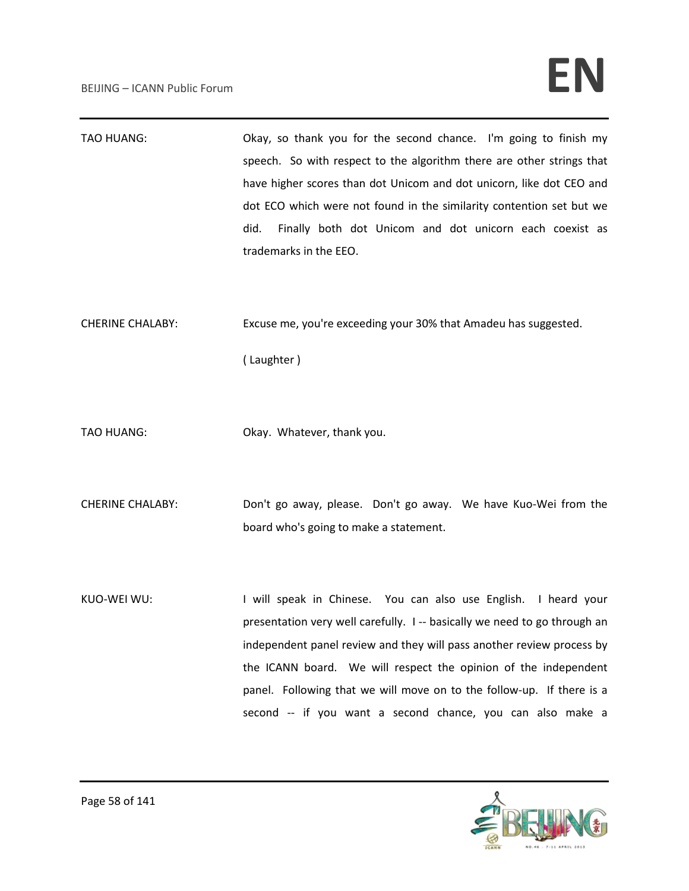TAO HUANG: Okay, so thank you for the second chance. I'm going to finish my speech. So with respect to the algorithm there are other strings that have higher scores than dot Unicom and dot unicorn, like dot CEO and dot ECO which were not found in the similarity contention set but we did. Finally both dot Unicom and dot unicorn each coexist as trademarks in the EEO.

CHERINE CHALABY: Excuse me, you're exceeding your 30% that Amadeu has suggested.

( Laughter )

- TAO HUANG: Okay. Whatever, thank you.
- CHERINE CHALABY: Don't go away, please. Don't go away. We have Kuo-Wei from the board who's going to make a statement.
- KUO-WEI WU: I will speak in Chinese. You can also use English. I heard your presentation very well carefully. I -- basically we need to go through an independent panel review and they will pass another review process by the ICANN board. We will respect the opinion of the independent panel. Following that we will move on to the follow-up. If there is a second -- if you want a second chance, you can also make a

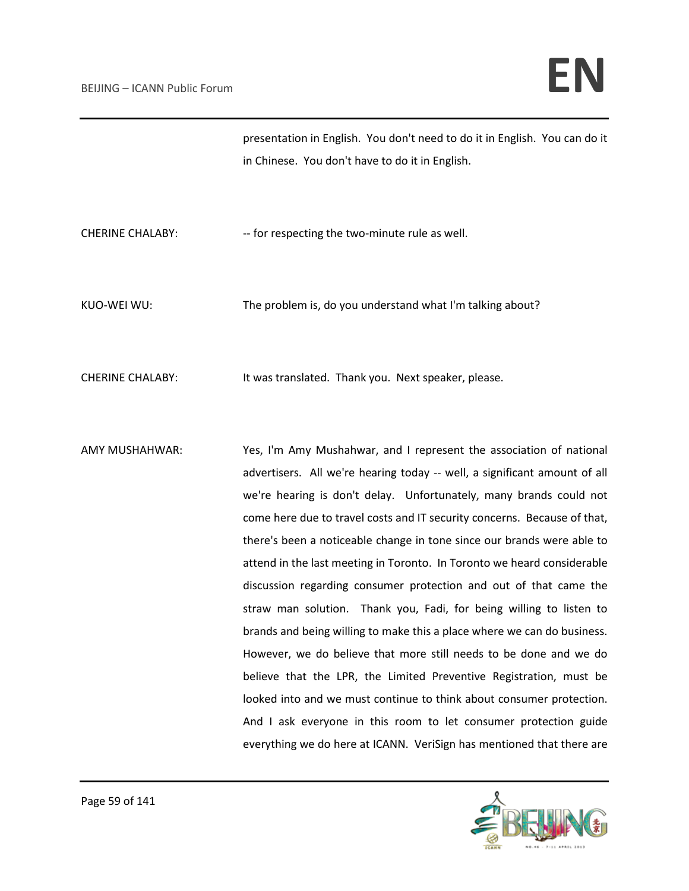presentation in English. You don't need to do it in English. You can do it in Chinese. You don't have to do it in English.

CHERINE CHALABY: -- for respecting the two-minute rule as well.

KUO-WEI WU: The problem is, do you understand what I'm talking about?

CHERINE CHALABY: It was translated. Thank you. Next speaker, please.

AMY MUSHAHWAR: Yes, I'm Amy Mushahwar, and I represent the association of national advertisers. All we're hearing today -- well, a significant amount of all we're hearing is don't delay. Unfortunately, many brands could not come here due to travel costs and IT security concerns. Because of that, there's been a noticeable change in tone since our brands were able to attend in the last meeting in Toronto. In Toronto we heard considerable discussion regarding consumer protection and out of that came the straw man solution. Thank you, Fadi, for being willing to listen to brands and being willing to make this a place where we can do business. However, we do believe that more still needs to be done and we do believe that the LPR, the Limited Preventive Registration, must be looked into and we must continue to think about consumer protection. And I ask everyone in this room to let consumer protection guide everything we do here at ICANN. VeriSign has mentioned that there are

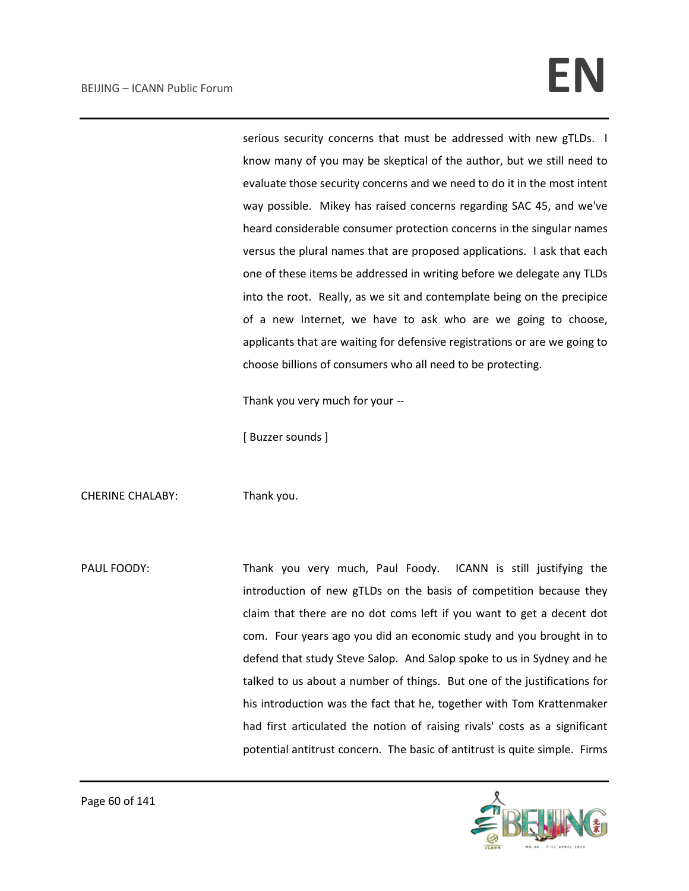serious security concerns that must be addressed with new gTLDs. I know many of you may be skeptical of the author, but we still need to evaluate those security concerns and we need to do it in the most intent way possible. Mikey has raised concerns regarding SAC 45, and we've heard considerable consumer protection concerns in the singular names versus the plural names that are proposed applications. I ask that each one of these items be addressed in writing before we delegate any TLDs into the root. Really, as we sit and contemplate being on the precipice of a new Internet, we have to ask who are we going to choose, applicants that are waiting for defensive registrations or are we going to choose billions of consumers who all need to be protecting.

Thank you very much for your --

[ Buzzer sounds ]

CHERINE CHALABY: Thank you.

PAUL FOODY: Thank you very much, Paul Foody. ICANN is still justifying the introduction of new gTLDs on the basis of competition because they claim that there are no dot coms left if you want to get a decent dot com. Four years ago you did an economic study and you brought in to defend that study Steve Salop. And Salop spoke to us in Sydney and he talked to us about a number of things. But one of the justifications for his introduction was the fact that he, together with Tom Krattenmaker had first articulated the notion of raising rivals' costs as a significant potential antitrust concern. The basic of antitrust is quite simple. Firms

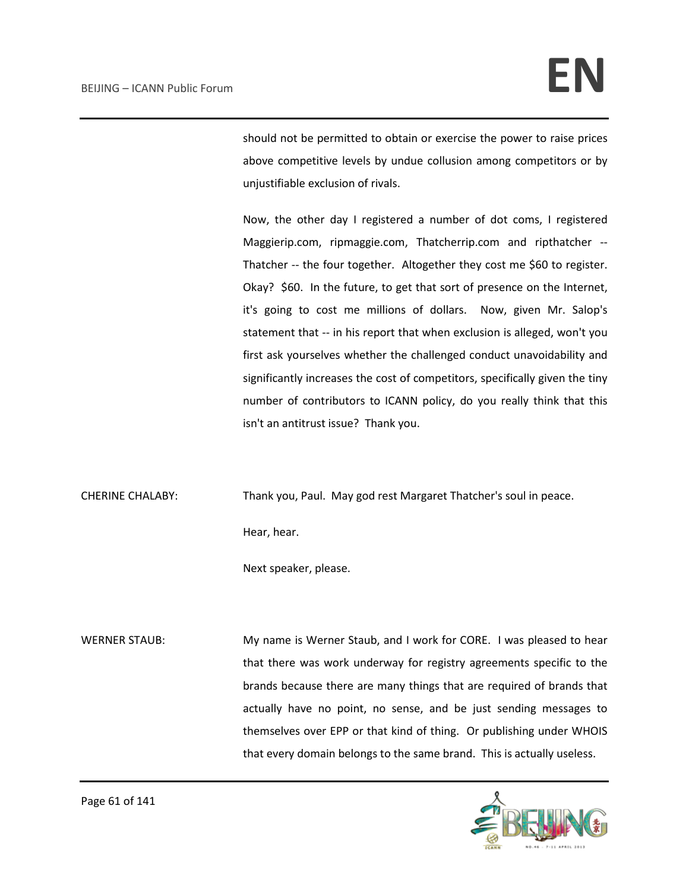should not be permitted to obtain or exercise the power to raise prices above competitive levels by undue collusion among competitors or by unjustifiable exclusion of rivals.

Now, the other day I registered a number of dot coms, I registered Maggierip.com, ripmaggie.com, Thatcherrip.com and ripthatcher -- Thatcher -- the four together. Altogether they cost me \$60 to register. Okay? \$60. In the future, to get that sort of presence on the Internet, it's going to cost me millions of dollars. Now, given Mr. Salop's statement that -- in his report that when exclusion is alleged, won't you first ask yourselves whether the challenged conduct unavoidability and significantly increases the cost of competitors, specifically given the tiny number of contributors to ICANN policy, do you really think that this isn't an antitrust issue? Thank you.

CHERINE CHALABY: Thank you, Paul. May god rest Margaret Thatcher's soul in peace.

Hear, hear.

Next speaker, please.

WERNER STAUB: My name is Werner Staub, and I work for CORE. I was pleased to hear that there was work underway for registry agreements specific to the brands because there are many things that are required of brands that actually have no point, no sense, and be just sending messages to themselves over EPP or that kind of thing. Or publishing under WHOIS that every domain belongs to the same brand. This is actually useless.

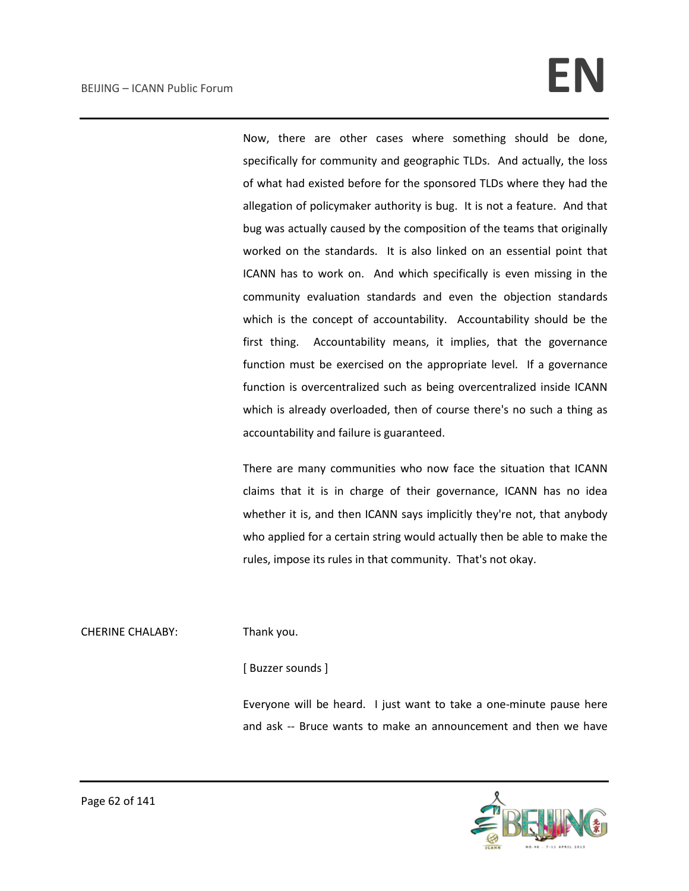Now, there are other cases where something should be done, specifically for community and geographic TLDs. And actually, the loss of what had existed before for the sponsored TLDs where they had the allegation of policymaker authority is bug. It is not a feature. And that bug was actually caused by the composition of the teams that originally worked on the standards. It is also linked on an essential point that ICANN has to work on. And which specifically is even missing in the community evaluation standards and even the objection standards which is the concept of accountability. Accountability should be the first thing. Accountability means, it implies, that the governance function must be exercised on the appropriate level. If a governance function is overcentralized such as being overcentralized inside ICANN which is already overloaded, then of course there's no such a thing as accountability and failure is guaranteed.

There are many communities who now face the situation that ICANN claims that it is in charge of their governance, ICANN has no idea whether it is, and then ICANN says implicitly they're not, that anybody who applied for a certain string would actually then be able to make the rules, impose its rules in that community. That's not okay.

### CHERINE CHALABY: Thank you.

### [ Buzzer sounds ]

Everyone will be heard. I just want to take a one-minute pause here and ask -- Bruce wants to make an announcement and then we have

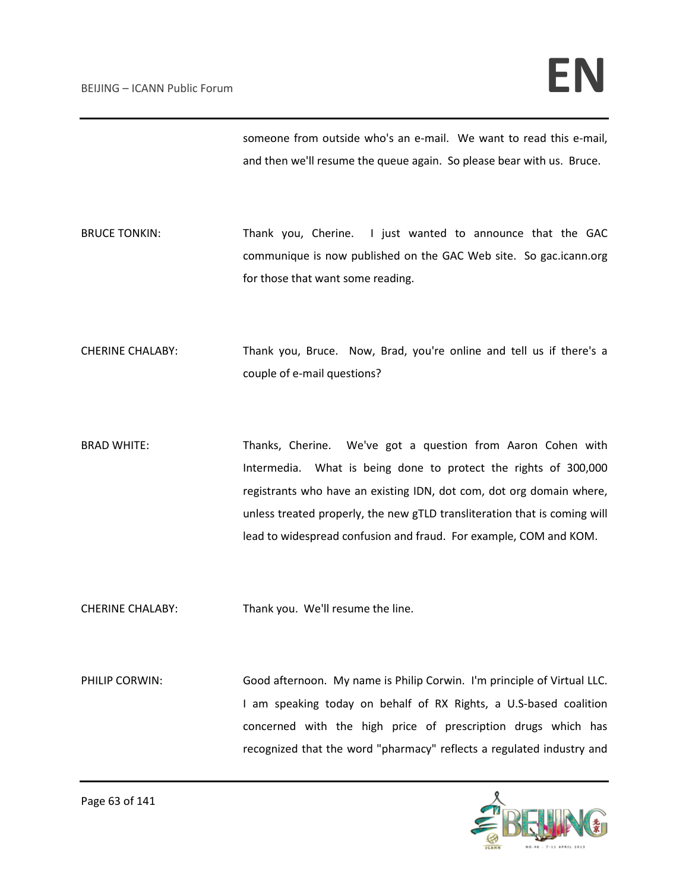someone from outside who's an e-mail. We want to read this e-mail, and then we'll resume the queue again. So please bear with us. Bruce.

BRUCE TONKIN: Thank you, Cherine. I just wanted to announce that the GAC communique is now published on the GAC Web site. So gac.icann.org for those that want some reading.

CHERINE CHALABY: Thank you, Bruce. Now, Brad, you're online and tell us if there's a couple of e-mail questions?

BRAD WHITE: Thanks, Cherine. We've got a question from Aaron Cohen with Intermedia. What is being done to protect the rights of 300,000 registrants who have an existing IDN, dot com, dot org domain where, unless treated properly, the new gTLD transliteration that is coming will lead to widespread confusion and fraud. For example, COM and KOM.

CHERINE CHALABY: Thank you. We'll resume the line.

PHILIP CORWIN: Good afternoon. My name is Philip Corwin. I'm principle of Virtual LLC. I am speaking today on behalf of RX Rights, a U.S-based coalition concerned with the high price of prescription drugs which has recognized that the word "pharmacy" reflects a regulated industry and

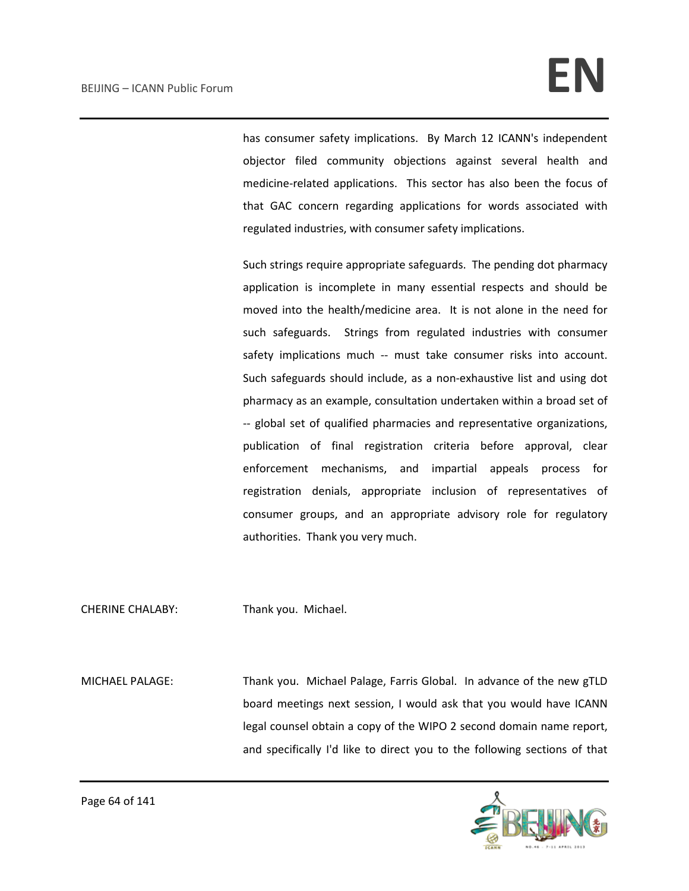has consumer safety implications. By March 12 ICANN's independent objector filed community objections against several health and medicine-related applications. This sector has also been the focus of that GAC concern regarding applications for words associated with regulated industries, with consumer safety implications.

Such strings require appropriate safeguards. The pending dot pharmacy application is incomplete in many essential respects and should be moved into the health/medicine area. It is not alone in the need for such safeguards. Strings from regulated industries with consumer safety implications much -- must take consumer risks into account. Such safeguards should include, as a non-exhaustive list and using dot pharmacy as an example, consultation undertaken within a broad set of -- global set of qualified pharmacies and representative organizations, publication of final registration criteria before approval, clear enforcement mechanisms, and impartial appeals process for registration denials, appropriate inclusion of representatives of consumer groups, and an appropriate advisory role for regulatory authorities. Thank you very much.

CHERINE CHALABY: Thank you. Michael.

MICHAEL PALAGE: Thank you. Michael Palage, Farris Global. In advance of the new gTLD board meetings next session, I would ask that you would have ICANN legal counsel obtain a copy of the WIPO 2 second domain name report, and specifically I'd like to direct you to the following sections of that

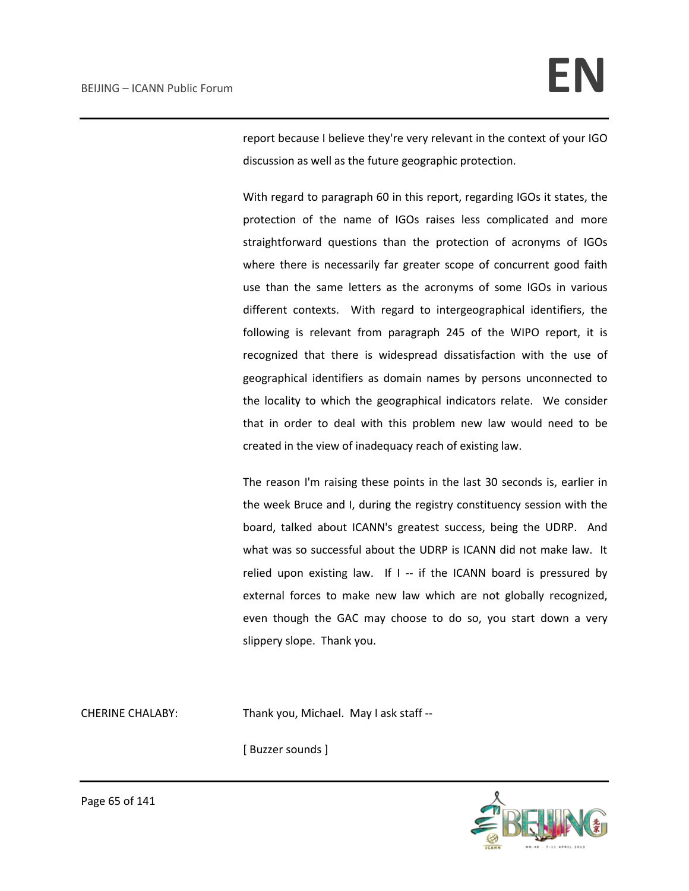report because I believe they're very relevant in the context of your IGO discussion as well as the future geographic protection.

With regard to paragraph 60 in this report, regarding IGOs it states, the protection of the name of IGOs raises less complicated and more straightforward questions than the protection of acronyms of IGOs where there is necessarily far greater scope of concurrent good faith use than the same letters as the acronyms of some IGOs in various different contexts. With regard to intergeographical identifiers, the following is relevant from paragraph 245 of the WIPO report, it is recognized that there is widespread dissatisfaction with the use of geographical identifiers as domain names by persons unconnected to the locality to which the geographical indicators relate. We consider that in order to deal with this problem new law would need to be created in the view of inadequacy reach of existing law.

The reason I'm raising these points in the last 30 seconds is, earlier in the week Bruce and I, during the registry constituency session with the board, talked about ICANN's greatest success, being the UDRP. And what was so successful about the UDRP is ICANN did not make law. It relied upon existing law. If I -- if the ICANN board is pressured by external forces to make new law which are not globally recognized, even though the GAC may choose to do so, you start down a very slippery slope. Thank you.

CHERINE CHALABY: Thank you, Michael. May I ask staff --

[ Buzzer sounds ]

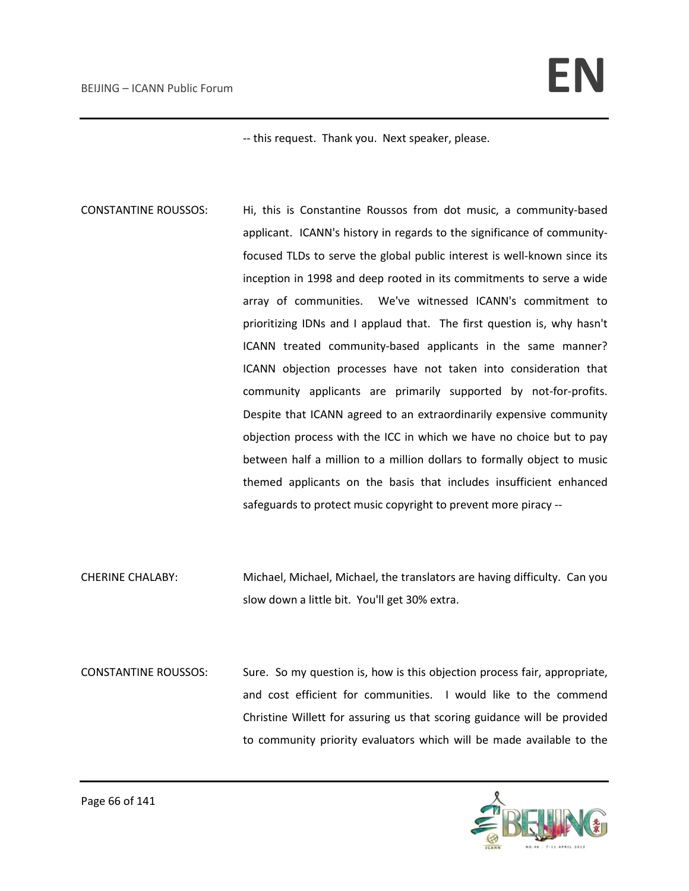-- this request. Thank you. Next speaker, please.

- CONSTANTINE ROUSSOS: Hi, this is Constantine Roussos from dot music, a community-based applicant. ICANN's history in regards to the significance of communityfocused TLDs to serve the global public interest is well-known since its inception in 1998 and deep rooted in its commitments to serve a wide array of communities. We've witnessed ICANN's commitment to prioritizing IDNs and I applaud that. The first question is, why hasn't ICANN treated community-based applicants in the same manner? ICANN objection processes have not taken into consideration that community applicants are primarily supported by not-for-profits. Despite that ICANN agreed to an extraordinarily expensive community objection process with the ICC in which we have no choice but to pay between half a million to a million dollars to formally object to music themed applicants on the basis that includes insufficient enhanced safeguards to protect music copyright to prevent more piracy --
- CHERINE CHALABY: Michael, Michael, Michael, the translators are having difficulty. Can you slow down a little bit. You'll get 30% extra.
- CONSTANTINE ROUSSOS: Sure. So my question is, how is this objection process fair, appropriate, and cost efficient for communities. I would like to the commend Christine Willett for assuring us that scoring guidance will be provided to community priority evaluators which will be made available to the

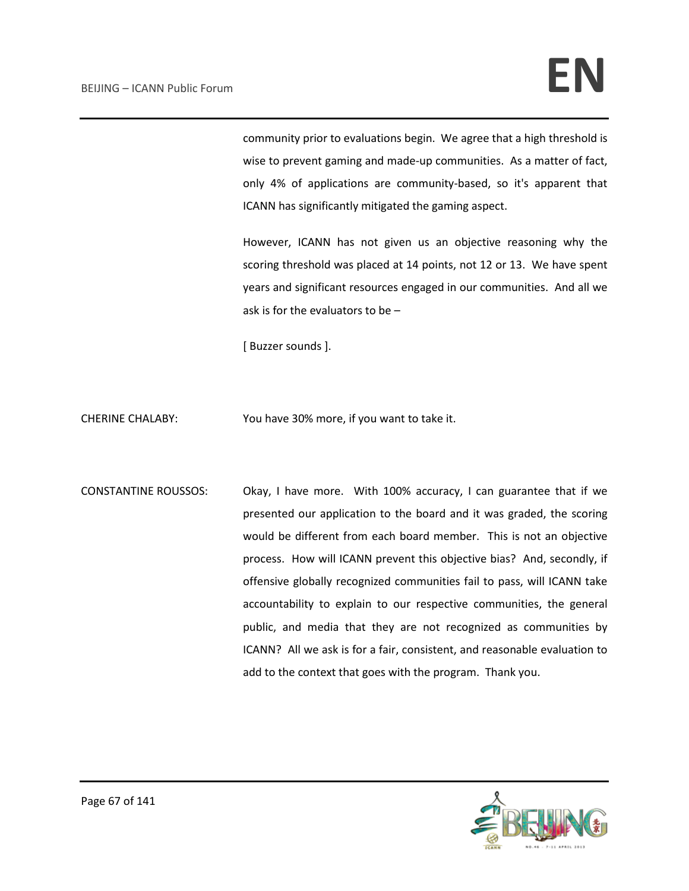community prior to evaluations begin. We agree that a high threshold is wise to prevent gaming and made-up communities. As a matter of fact, only 4% of applications are community-based, so it's apparent that ICANN has significantly mitigated the gaming aspect.

However, ICANN has not given us an objective reasoning why the scoring threshold was placed at 14 points, not 12 or 13. We have spent years and significant resources engaged in our communities. And all we ask is for the evaluators to be –

[ Buzzer sounds ].

CHERINE CHALABY: You have 30% more, if you want to take it.

CONSTANTINE ROUSSOS: Okay, I have more. With 100% accuracy, I can guarantee that if we presented our application to the board and it was graded, the scoring would be different from each board member. This is not an objective process. How will ICANN prevent this objective bias? And, secondly, if offensive globally recognized communities fail to pass, will ICANN take accountability to explain to our respective communities, the general public, and media that they are not recognized as communities by ICANN? All we ask is for a fair, consistent, and reasonable evaluation to add to the context that goes with the program. Thank you.

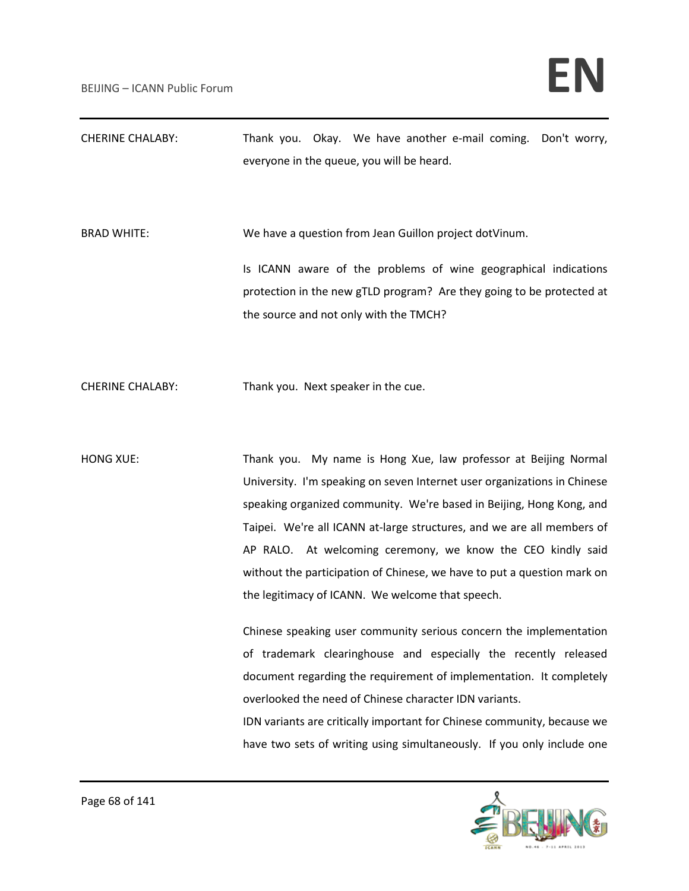| <b>CHERINE CHALABY:</b> | Thank you. Okay. We have another e-mail coming. Don't worry,<br>everyone in the queue, you will be heard.                                                                                                                                                                                                                                                                                                                                                                                                                                                         |
|-------------------------|-------------------------------------------------------------------------------------------------------------------------------------------------------------------------------------------------------------------------------------------------------------------------------------------------------------------------------------------------------------------------------------------------------------------------------------------------------------------------------------------------------------------------------------------------------------------|
| <b>BRAD WHITE:</b>      | We have a question from Jean Guillon project dotVinum.                                                                                                                                                                                                                                                                                                                                                                                                                                                                                                            |
|                         | Is ICANN aware of the problems of wine geographical indications<br>protection in the new gTLD program? Are they going to be protected at<br>the source and not only with the TMCH?                                                                                                                                                                                                                                                                                                                                                                                |
| <b>CHERINE CHALABY:</b> | Thank you. Next speaker in the cue.                                                                                                                                                                                                                                                                                                                                                                                                                                                                                                                               |
| <b>HONG XUE:</b>        | Thank you. My name is Hong Xue, law professor at Beijing Normal<br>University. I'm speaking on seven Internet user organizations in Chinese<br>speaking organized community. We're based in Beijing, Hong Kong, and<br>Taipei. We're all ICANN at-large structures, and we are all members of<br>AP RALO. At welcoming ceremony, we know the CEO kindly said<br>without the participation of Chinese, we have to put a question mark on<br>the legitimacy of ICANN. We welcome that speech.<br>Chinese speaking user community serious concern the implementation |
|                         | of trademark clearinghouse and especially the recently released<br>document regarding the requirement of implementation. It completely<br>overlooked the need of Chinese character IDN variants.<br>IDN variants are critically important for Chinese community, because we                                                                                                                                                                                                                                                                                       |
|                         | have two sets of writing using simultaneously. If you only include one                                                                                                                                                                                                                                                                                                                                                                                                                                                                                            |

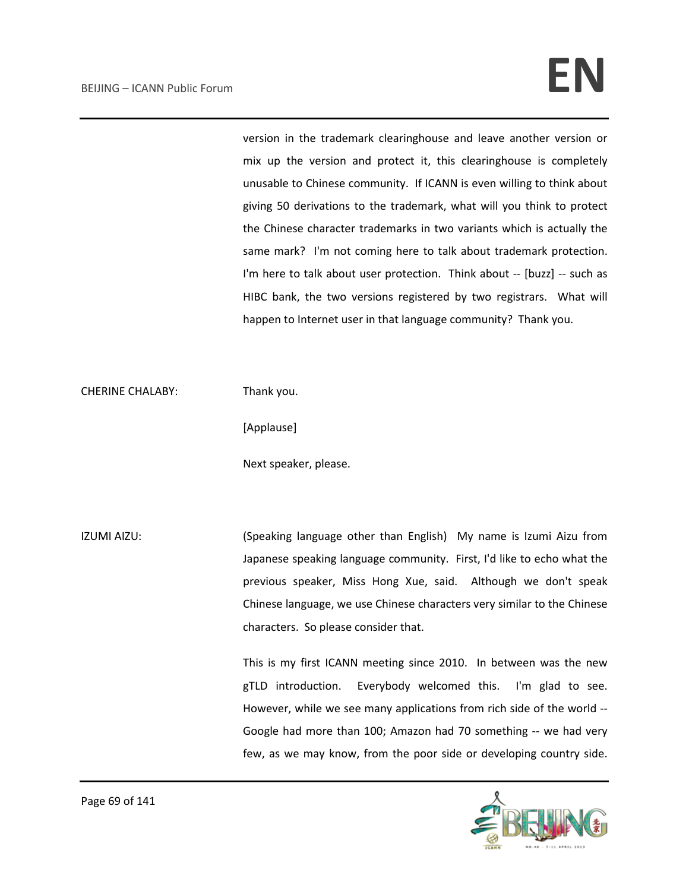version in the trademark clearinghouse and leave another version or mix up the version and protect it, this clearinghouse is completely unusable to Chinese community. If ICANN is even willing to think about giving 50 derivations to the trademark, what will you think to protect the Chinese character trademarks in two variants which is actually the same mark? I'm not coming here to talk about trademark protection. I'm here to talk about user protection. Think about -- [buzz] -- such as HIBC bank, the two versions registered by two registrars. What will happen to Internet user in that language community? Thank you.

CHERINE CHALABY: Thank you.

[Applause]

Next speaker, please.

IZUMI AIZU: (Speaking language other than English) My name is Izumi Aizu from Japanese speaking language community. First, I'd like to echo what the previous speaker, Miss Hong Xue, said. Although we don't speak Chinese language, we use Chinese characters very similar to the Chinese characters. So please consider that.

> This is my first ICANN meeting since 2010. In between was the new gTLD introduction. Everybody welcomed this. I'm glad to see. However, while we see many applications from rich side of the world -- Google had more than 100; Amazon had 70 something -- we had very few, as we may know, from the poor side or developing country side.

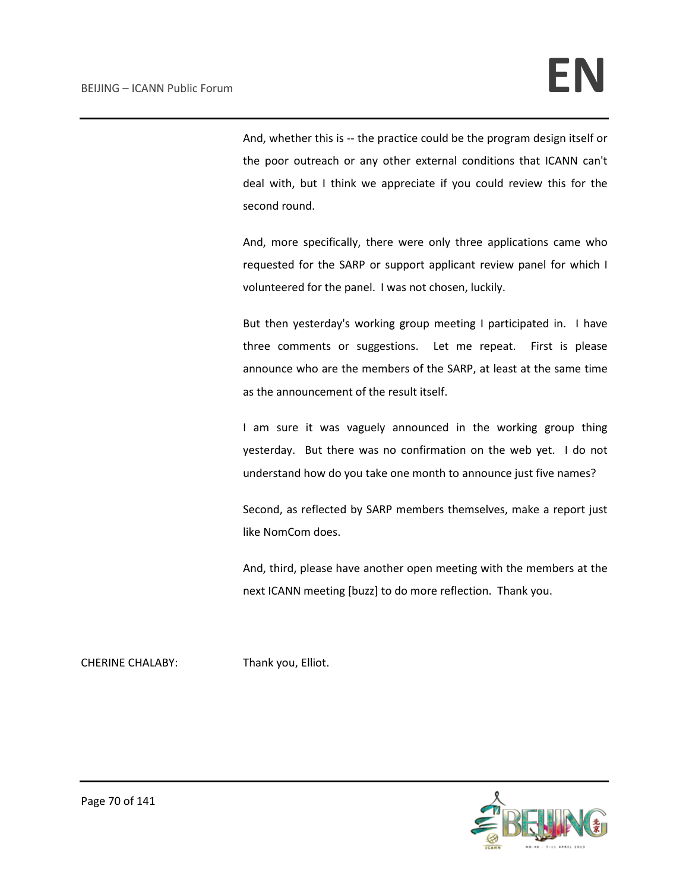And, whether this is -- the practice could be the program design itself or the poor outreach or any other external conditions that ICANN can't deal with, but I think we appreciate if you could review this for the second round.

And, more specifically, there were only three applications came who requested for the SARP or support applicant review panel for which I volunteered for the panel. I was not chosen, luckily.

But then yesterday's working group meeting I participated in. I have three comments or suggestions. Let me repeat. First is please announce who are the members of the SARP, at least at the same time as the announcement of the result itself.

I am sure it was vaguely announced in the working group thing yesterday. But there was no confirmation on the web yet. I do not understand how do you take one month to announce just five names?

Second, as reflected by SARP members themselves, make a report just like NomCom does.

And, third, please have another open meeting with the members at the next ICANN meeting [buzz] to do more reflection. Thank you.

CHERINE CHALABY: Thank you, Elliot.

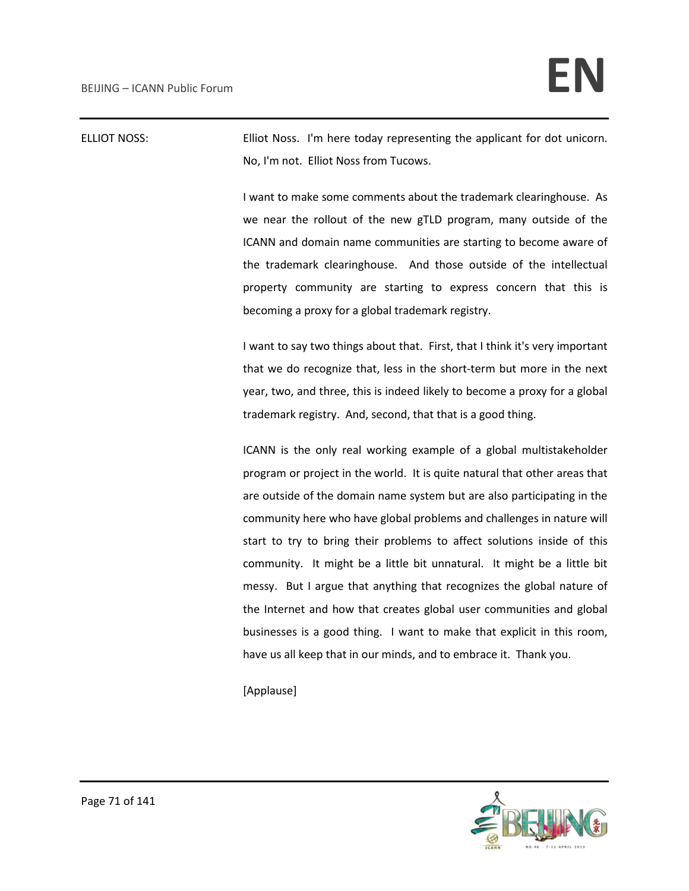ELLIOT NOSS: Elliot Noss. I'm here today representing the applicant for dot unicorn. No, I'm not. Elliot Noss from Tucows.

> I want to make some comments about the trademark clearinghouse. As we near the rollout of the new gTLD program, many outside of the ICANN and domain name communities are starting to become aware of the trademark clearinghouse. And those outside of the intellectual property community are starting to express concern that this is becoming a proxy for a global trademark registry.

> I want to say two things about that. First, that I think it's very important that we do recognize that, less in the short-term but more in the next year, two, and three, this is indeed likely to become a proxy for a global trademark registry. And, second, that that is a good thing.

> ICANN is the only real working example of a global multistakeholder program or project in the world. It is quite natural that other areas that are outside of the domain name system but are also participating in the community here who have global problems and challenges in nature will start to try to bring their problems to affect solutions inside of this community. It might be a little bit unnatural. It might be a little bit messy. But I argue that anything that recognizes the global nature of the Internet and how that creates global user communities and global businesses is a good thing. I want to make that explicit in this room, have us all keep that in our minds, and to embrace it. Thank you.

[Applause]

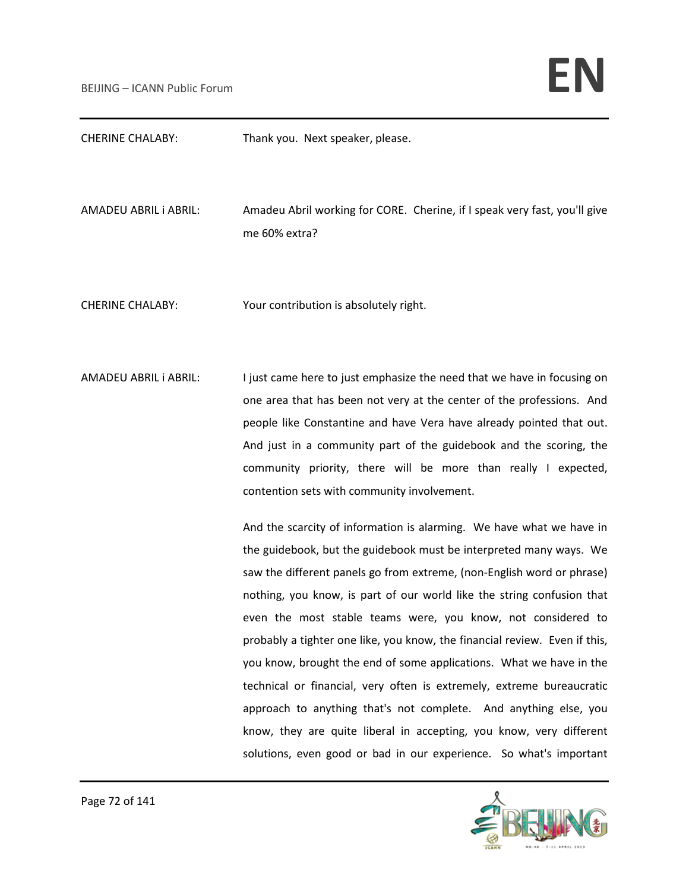CHERINE CHALABY: Thank you. Next speaker, please. AMADEU ABRIL i ABRIL: Amadeu Abril working for CORE. Cherine, if I speak very fast, you'll give me 60% extra? CHERINE CHALABY: Your contribution is absolutely right. AMADEU ABRIL i ABRIL: I just came here to just emphasize the need that we have in focusing on one area that has been not very at the center of the professions. And people like Constantine and have Vera have already pointed that out. And just in a community part of the guidebook and the scoring, the community priority, there will be more than really I expected, contention sets with community involvement. And the scarcity of information is alarming. We have what we have in the guidebook, but the guidebook must be interpreted many ways. We saw the different panels go from extreme, (non-English word or phrase) nothing, you know, is part of our world like the string confusion that even the most stable teams were, you know, not considered to probably a tighter one like, you know, the financial review. Even if this, you know, brought the end of some applications. What we have in the technical or financial, very often is extremely, extreme bureaucratic approach to anything that's not complete. And anything else, you know, they are quite liberal in accepting, you know, very different solutions, even good or bad in our experience. So what's important

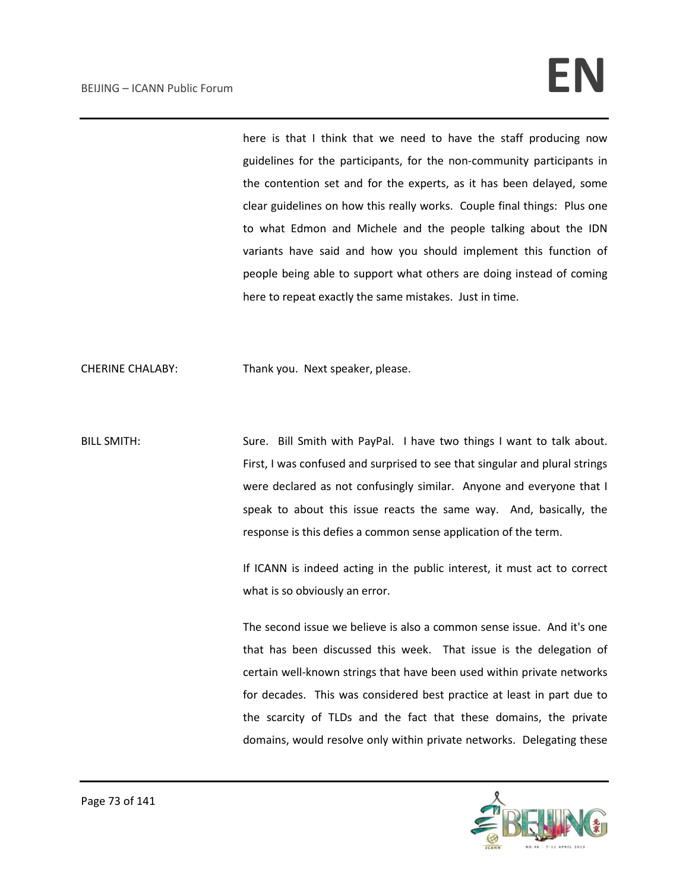here is that I think that we need to have the staff producing now guidelines for the participants, for the non-community participants in the contention set and for the experts, as it has been delayed, some clear guidelines on how this really works. Couple final things: Plus one to what Edmon and Michele and the people talking about the IDN variants have said and how you should implement this function of people being able to support what others are doing instead of coming here to repeat exactly the same mistakes. Just in time.

CHERINE CHALABY: Thank you. Next speaker, please.

BILL SMITH: Sure. Bill Smith with PayPal. I have two things I want to talk about. First, I was confused and surprised to see that singular and plural strings were declared as not confusingly similar. Anyone and everyone that I speak to about this issue reacts the same way. And, basically, the response is this defies a common sense application of the term.

> If ICANN is indeed acting in the public interest, it must act to correct what is so obviously an error.

> The second issue we believe is also a common sense issue. And it's one that has been discussed this week. That issue is the delegation of certain well-known strings that have been used within private networks for decades. This was considered best practice at least in part due to the scarcity of TLDs and the fact that these domains, the private domains, would resolve only within private networks. Delegating these

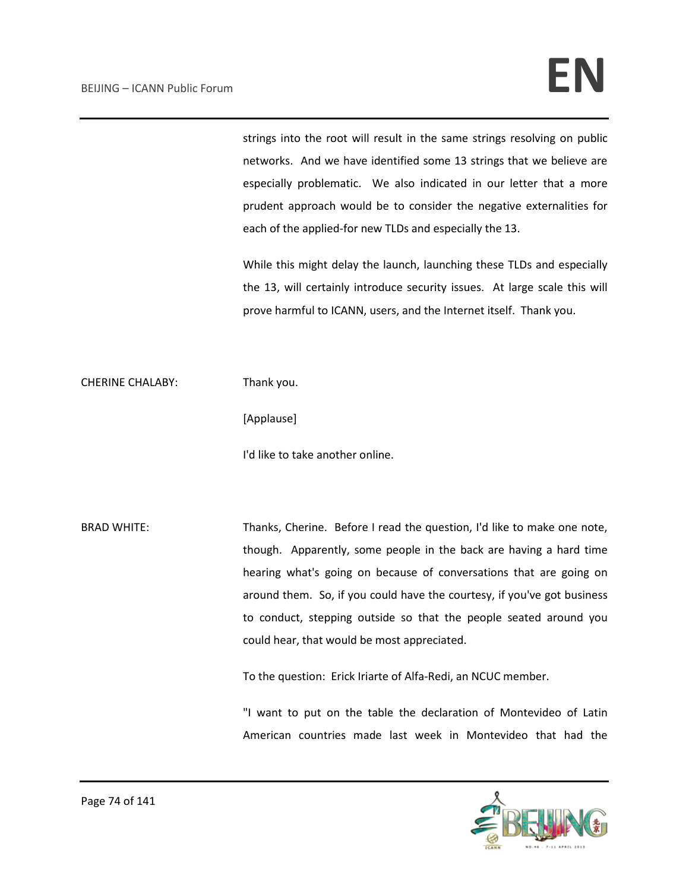strings into the root will result in the same strings resolving on public networks. And we have identified some 13 strings that we believe are especially problematic. We also indicated in our letter that a more prudent approach would be to consider the negative externalities for each of the applied-for new TLDs and especially the 13.

While this might delay the launch, launching these TLDs and especially the 13, will certainly introduce security issues. At large scale this will prove harmful to ICANN, users, and the Internet itself. Thank you.

CHERINE CHALABY: Thank you.

[Applause]

I'd like to take another online.

BRAD WHITE: Thanks, Cherine. Before I read the question, I'd like to make one note, though. Apparently, some people in the back are having a hard time hearing what's going on because of conversations that are going on around them. So, if you could have the courtesy, if you've got business to conduct, stepping outside so that the people seated around you could hear, that would be most appreciated.

To the question: Erick Iriarte of Alfa-Redi, an NCUC member.

"I want to put on the table the declaration of Montevideo of Latin American countries made last week in Montevideo that had the

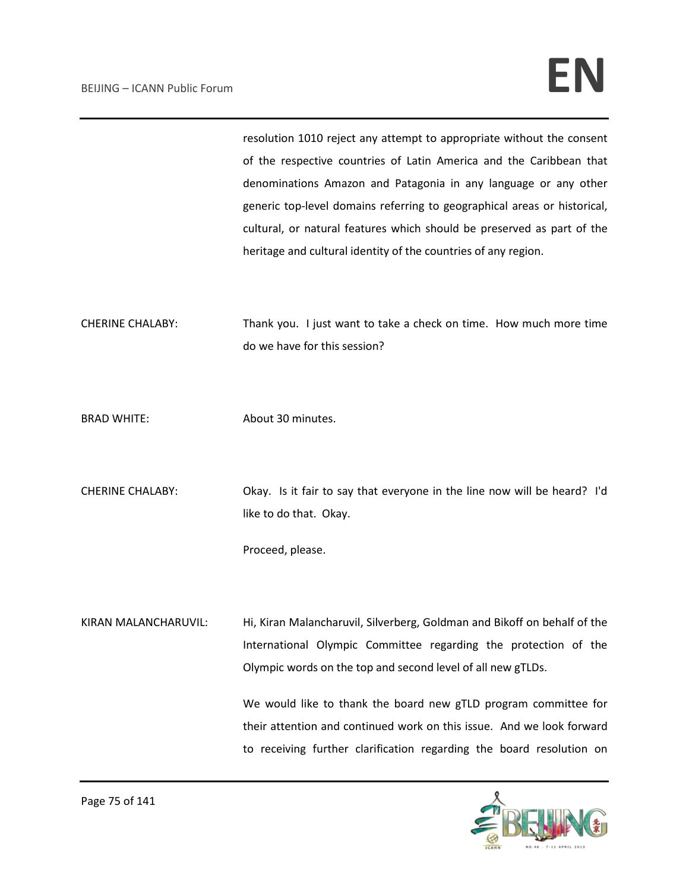resolution 1010 reject any attempt to appropriate without the consent of the respective countries of Latin America and the Caribbean that denominations Amazon and Patagonia in any language or any other generic top-level domains referring to geographical areas or historical, cultural, or natural features which should be preserved as part of the heritage and cultural identity of the countries of any region.

CHERINE CHALABY: Thank you. I just want to take a check on time. How much more time do we have for this session?

- BRAD WHITE: About 30 minutes.
- CHERINE CHALABY: Okay. Is it fair to say that everyone in the line now will be heard? I'd like to do that. Okay.

Proceed, please.

KIRAN MALANCHARUVIL: Hi, Kiran Malancharuvil, Silverberg, Goldman and Bikoff on behalf of the International Olympic Committee regarding the protection of the Olympic words on the top and second level of all new gTLDs.

> We would like to thank the board new gTLD program committee for their attention and continued work on this issue. And we look forward to receiving further clarification regarding the board resolution on

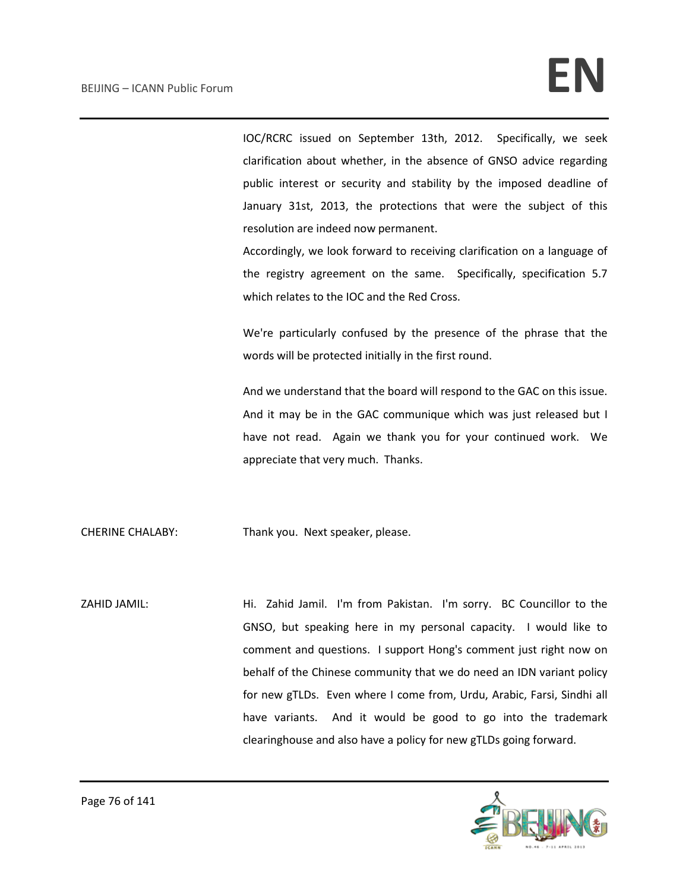# BEIJING – ICANN Public Forum **EN**

IOC/RCRC issued on September 13th, 2012. Specifically, we seek clarification about whether, in the absence of GNSO advice regarding public interest or security and stability by the imposed deadline of January 31st, 2013, the protections that were the subject of this resolution are indeed now permanent.

Accordingly, we look forward to receiving clarification on a language of the registry agreement on the same. Specifically, specification 5.7 which relates to the IOC and the Red Cross.

We're particularly confused by the presence of the phrase that the words will be protected initially in the first round.

And we understand that the board will respond to the GAC on this issue. And it may be in the GAC communique which was just released but I have not read. Again we thank you for your continued work. We appreciate that very much. Thanks.

CHERINE CHALABY: Thank you. Next speaker, please.

ZAHID JAMIL: Hi. Zahid Jamil. I'm from Pakistan. I'm sorry. BC Councillor to the GNSO, but speaking here in my personal capacity. I would like to comment and questions. I support Hong's comment just right now on behalf of the Chinese community that we do need an IDN variant policy for new gTLDs. Even where I come from, Urdu, Arabic, Farsi, Sindhi all have variants. And it would be good to go into the trademark clearinghouse and also have a policy for new gTLDs going forward.

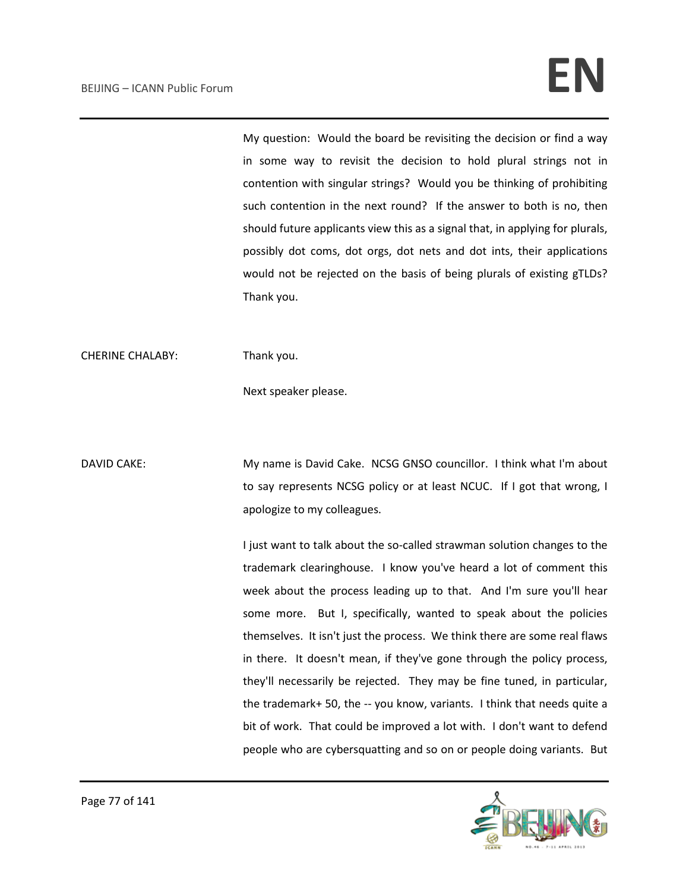My question: Would the board be revisiting the decision or find a way in some way to revisit the decision to hold plural strings not in contention with singular strings? Would you be thinking of prohibiting such contention in the next round? If the answer to both is no, then should future applicants view this as a signal that, in applying for plurals, possibly dot coms, dot orgs, dot nets and dot ints, their applications would not be rejected on the basis of being plurals of existing gTLDs? Thank you.

CHERINE CHALABY: Thank you.

Next speaker please.

DAVID CAKE: My name is David Cake. NCSG GNSO councillor. I think what I'm about to say represents NCSG policy or at least NCUC. If I got that wrong, I apologize to my colleagues.

> I just want to talk about the so-called strawman solution changes to the trademark clearinghouse. I know you've heard a lot of comment this week about the process leading up to that. And I'm sure you'll hear some more. But I, specifically, wanted to speak about the policies themselves. It isn't just the process. We think there are some real flaws in there. It doesn't mean, if they've gone through the policy process, they'll necessarily be rejected. They may be fine tuned, in particular, the trademark+ 50, the -- you know, variants. I think that needs quite a bit of work. That could be improved a lot with. I don't want to defend people who are cybersquatting and so on or people doing variants. But

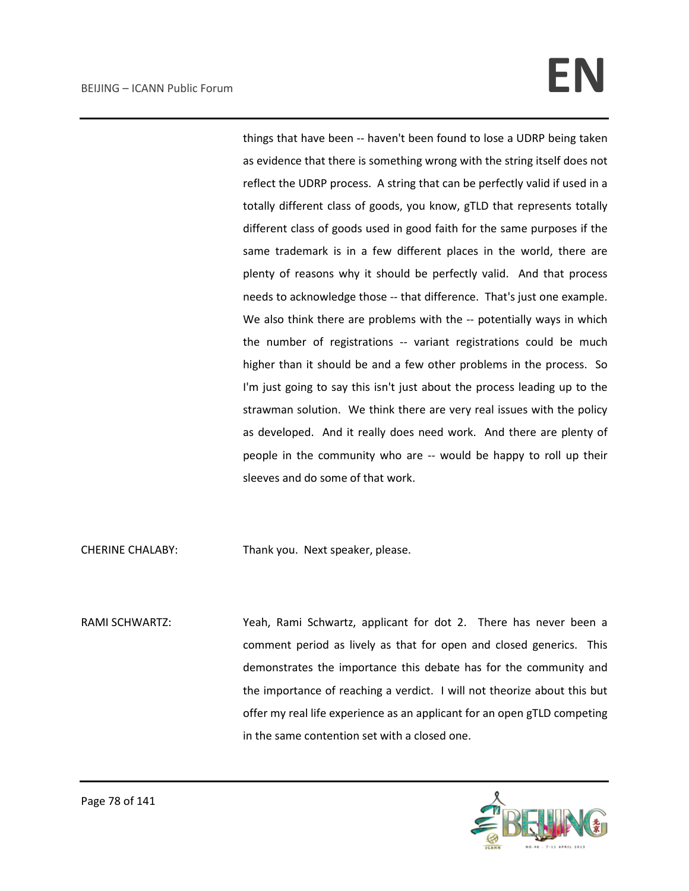# BEIJING – ICANN Public Forum **EN**

things that have been -- haven't been found to lose a UDRP being taken as evidence that there is something wrong with the string itself does not reflect the UDRP process. A string that can be perfectly valid if used in a totally different class of goods, you know, gTLD that represents totally different class of goods used in good faith for the same purposes if the same trademark is in a few different places in the world, there are plenty of reasons why it should be perfectly valid. And that process needs to acknowledge those -- that difference. That's just one example. We also think there are problems with the -- potentially ways in which the number of registrations -- variant registrations could be much higher than it should be and a few other problems in the process. So I'm just going to say this isn't just about the process leading up to the strawman solution. We think there are very real issues with the policy as developed. And it really does need work. And there are plenty of people in the community who are -- would be happy to roll up their sleeves and do some of that work.

CHERINE CHALABY: Thank you. Next speaker, please.

RAMI SCHWARTZ: Yeah, Rami Schwartz, applicant for dot 2. There has never been a comment period as lively as that for open and closed generics. This demonstrates the importance this debate has for the community and the importance of reaching a verdict. I will not theorize about this but offer my real life experience as an applicant for an open gTLD competing in the same contention set with a closed one.

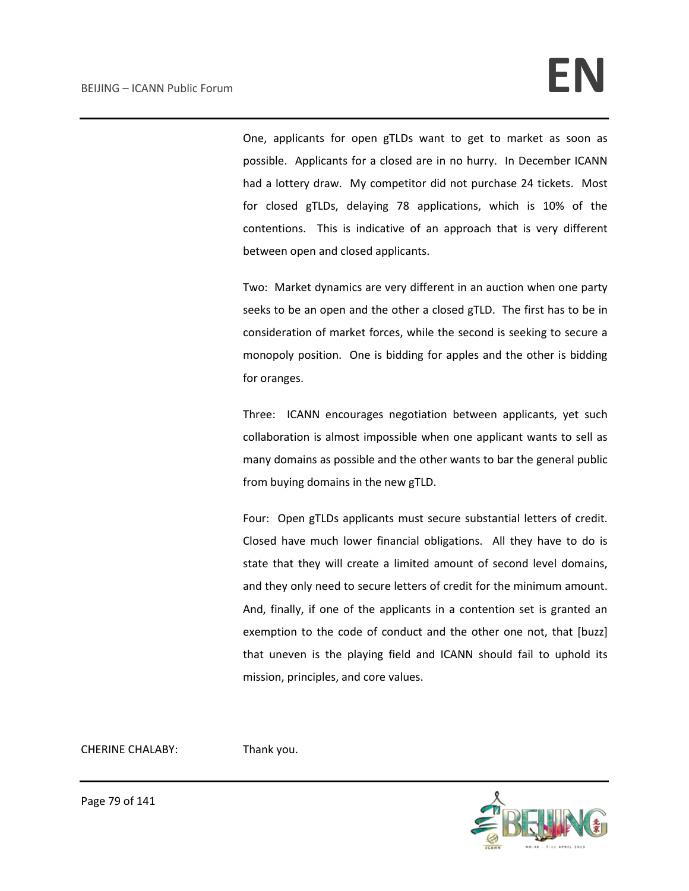One, applicants for open gTLDs want to get to market as soon as possible. Applicants for a closed are in no hurry. In December ICANN had a lottery draw. My competitor did not purchase 24 tickets. Most for closed gTLDs, delaying 78 applications, which is 10% of the contentions. This is indicative of an approach that is very different between open and closed applicants.

Two: Market dynamics are very different in an auction when one party seeks to be an open and the other a closed gTLD. The first has to be in consideration of market forces, while the second is seeking to secure a monopoly position. One is bidding for apples and the other is bidding for oranges.

Three: ICANN encourages negotiation between applicants, yet such collaboration is almost impossible when one applicant wants to sell as many domains as possible and the other wants to bar the general public from buying domains in the new gTLD.

Four: Open gTLDs applicants must secure substantial letters of credit. Closed have much lower financial obligations. All they have to do is state that they will create a limited amount of second level domains, and they only need to secure letters of credit for the minimum amount. And, finally, if one of the applicants in a contention set is granted an exemption to the code of conduct and the other one not, that [buzz] that uneven is the playing field and ICANN should fail to uphold its mission, principles, and core values.

CHERINE CHALABY: Thank you.

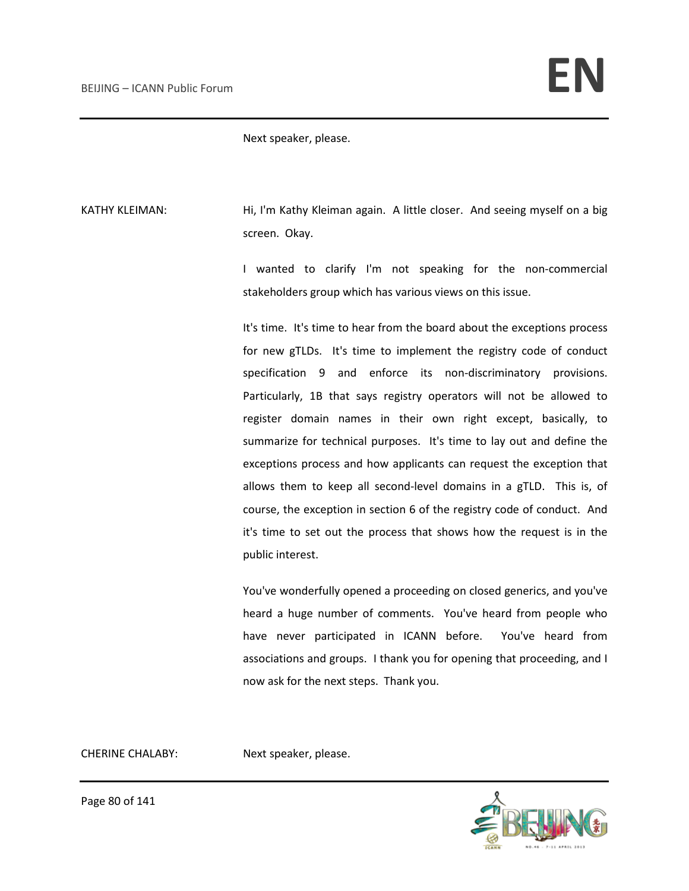Next speaker, please.

KATHY KLEIMAN: Hi, I'm Kathy Kleiman again. A little closer. And seeing myself on a big screen. Okay.

> I wanted to clarify I'm not speaking for the non-commercial stakeholders group which has various views on this issue.

> It's time. It's time to hear from the board about the exceptions process for new gTLDs. It's time to implement the registry code of conduct specification 9 and enforce its non-discriminatory provisions. Particularly, 1B that says registry operators will not be allowed to register domain names in their own right except, basically, to summarize for technical purposes. It's time to lay out and define the exceptions process and how applicants can request the exception that allows them to keep all second-level domains in a gTLD. This is, of course, the exception in section 6 of the registry code of conduct. And it's time to set out the process that shows how the request is in the public interest.

> You've wonderfully opened a proceeding on closed generics, and you've heard a huge number of comments. You've heard from people who have never participated in ICANN before. You've heard from associations and groups. I thank you for opening that proceeding, and I now ask for the next steps. Thank you.

CHERINE CHALABY: Next speaker, please.



Page 80 of 141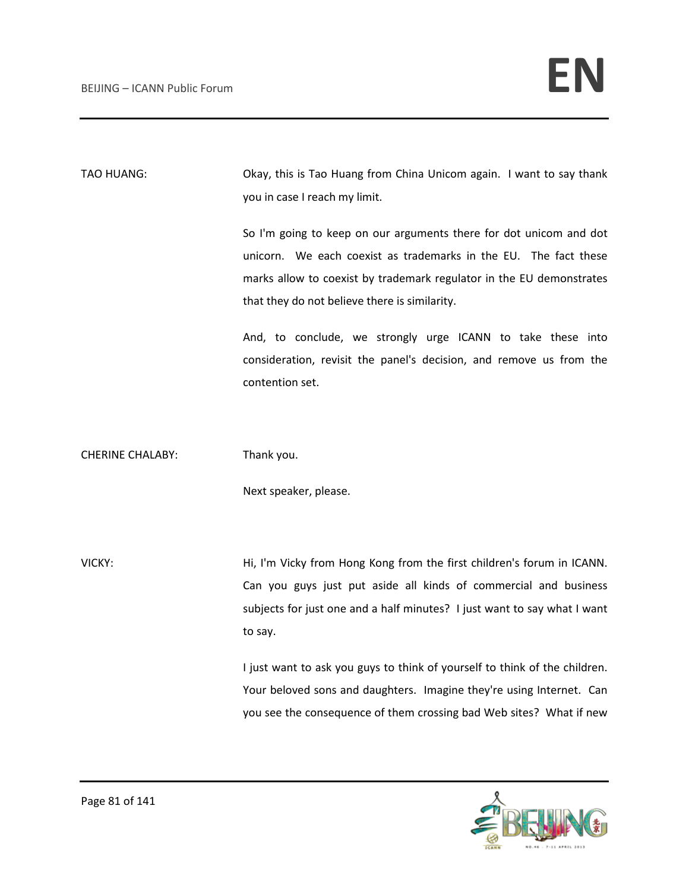TAO HUANG: Okay, this is Tao Huang from China Unicom again. I want to say thank you in case I reach my limit.

> So I'm going to keep on our arguments there for dot unicom and dot unicorn. We each coexist as trademarks in the EU. The fact these marks allow to coexist by trademark regulator in the EU demonstrates that they do not believe there is similarity.

> And, to conclude, we strongly urge ICANN to take these into consideration, revisit the panel's decision, and remove us from the contention set.

CHERINE CHALABY: Thank you.

Next speaker, please.

VICKY: Hi, I'm Vicky from Hong Kong from the first children's forum in ICANN. Can you guys just put aside all kinds of commercial and business subjects for just one and a half minutes? I just want to say what I want to say.

> I just want to ask you guys to think of yourself to think of the children. Your beloved sons and daughters. Imagine they're using Internet. Can you see the consequence of them crossing bad Web sites? What if new

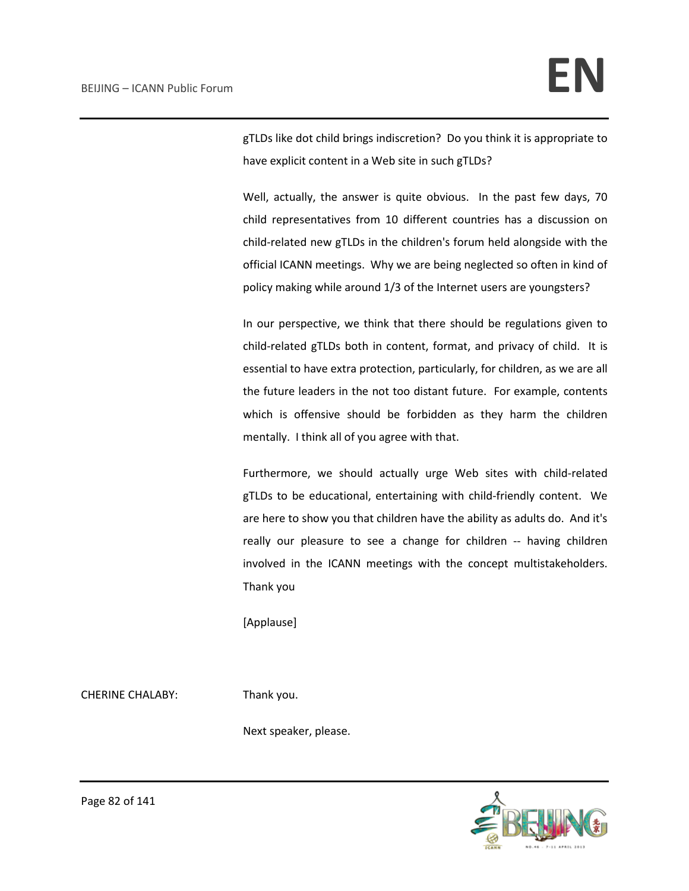gTLDs like dot child brings indiscretion? Do you think it is appropriate to have explicit content in a Web site in such gTLDs?

Well, actually, the answer is quite obvious. In the past few days, 70 child representatives from 10 different countries has a discussion on child-related new gTLDs in the children's forum held alongside with the official ICANN meetings. Why we are being neglected so often in kind of policy making while around 1/3 of the Internet users are youngsters?

In our perspective, we think that there should be regulations given to child-related gTLDs both in content, format, and privacy of child. It is essential to have extra protection, particularly, for children, as we are all the future leaders in the not too distant future. For example, contents which is offensive should be forbidden as they harm the children mentally. I think all of you agree with that.

Furthermore, we should actually urge Web sites with child-related gTLDs to be educational, entertaining with child-friendly content. We are here to show you that children have the ability as adults do. And it's really our pleasure to see a change for children -- having children involved in the ICANN meetings with the concept multistakeholders. Thank you

[Applause]

CHERINE CHALABY: Thank you.

Next speaker, please.

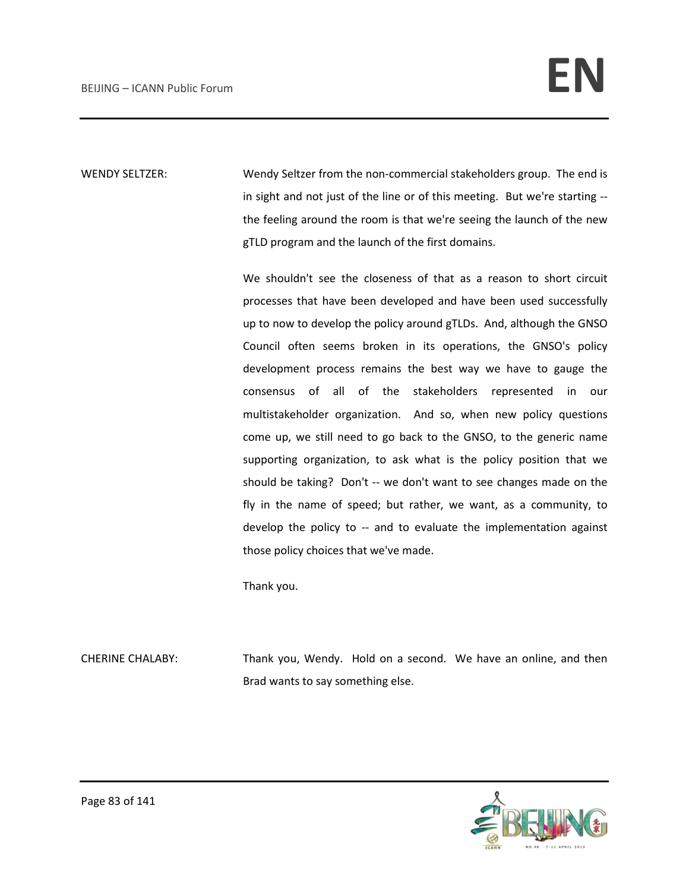WENDY SELTZER: Wendy Seltzer from the non-commercial stakeholders group. The end is in sight and not just of the line or of this meeting. But we're starting - the feeling around the room is that we're seeing the launch of the new gTLD program and the launch of the first domains.

> We shouldn't see the closeness of that as a reason to short circuit processes that have been developed and have been used successfully up to now to develop the policy around gTLDs. And, although the GNSO Council often seems broken in its operations, the GNSO's policy development process remains the best way we have to gauge the consensus of all of the stakeholders represented in our multistakeholder organization. And so, when new policy questions come up, we still need to go back to the GNSO, to the generic name supporting organization, to ask what is the policy position that we should be taking? Don't -- we don't want to see changes made on the fly in the name of speed; but rather, we want, as a community, to develop the policy to -- and to evaluate the implementation against those policy choices that we've made.

Thank you.

CHERINE CHALABY: Thank you, Wendy. Hold on a second. We have an online, and then Brad wants to say something else.

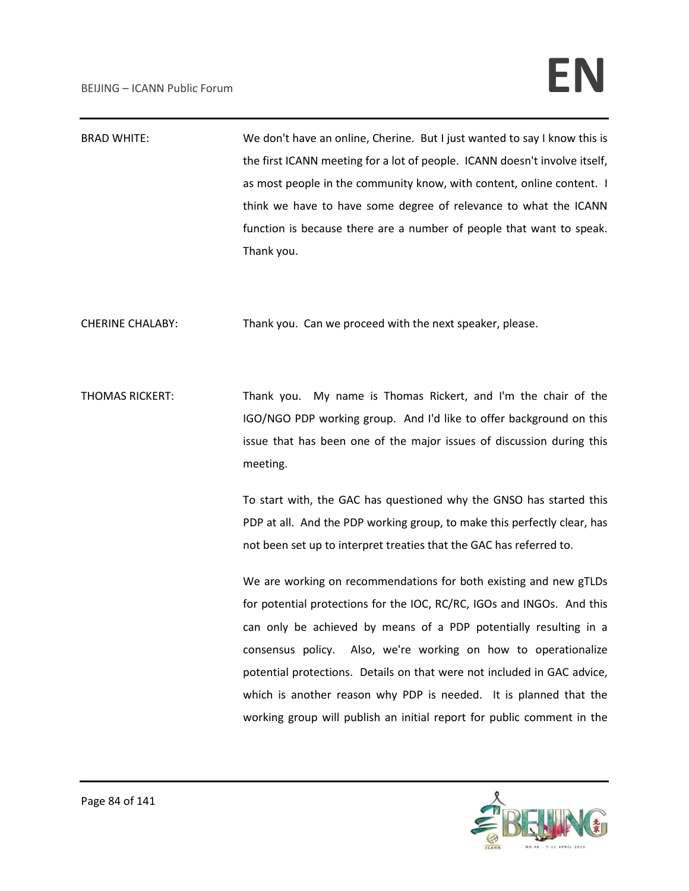# BEIJING – ICANN Public Forum **EN**

| <b>BRAD WHITE:</b> | We don't have an online, Cherine. But I just wanted to say I know this is  |
|--------------------|----------------------------------------------------------------------------|
|                    | the first ICANN meeting for a lot of people. ICANN doesn't involve itself, |
|                    | as most people in the community know, with content, online content. I      |
|                    | think we have to have some degree of relevance to what the ICANN           |
|                    | function is because there are a number of people that want to speak.       |
|                    | Thank you.                                                                 |

CHERINE CHALABY: Thank you. Can we proceed with the next speaker, please.

THOMAS RICKERT: Thank you. My name is Thomas Rickert, and I'm the chair of the IGO/NGO PDP working group. And I'd like to offer background on this issue that has been one of the major issues of discussion during this meeting.

> To start with, the GAC has questioned why the GNSO has started this PDP at all. And the PDP working group, to make this perfectly clear, has not been set up to interpret treaties that the GAC has referred to.

> We are working on recommendations for both existing and new gTLDs for potential protections for the IOC, RC/RC, IGOs and INGOs. And this can only be achieved by means of a PDP potentially resulting in a consensus policy. Also, we're working on how to operationalize potential protections. Details on that were not included in GAC advice, which is another reason why PDP is needed. It is planned that the working group will publish an initial report for public comment in the

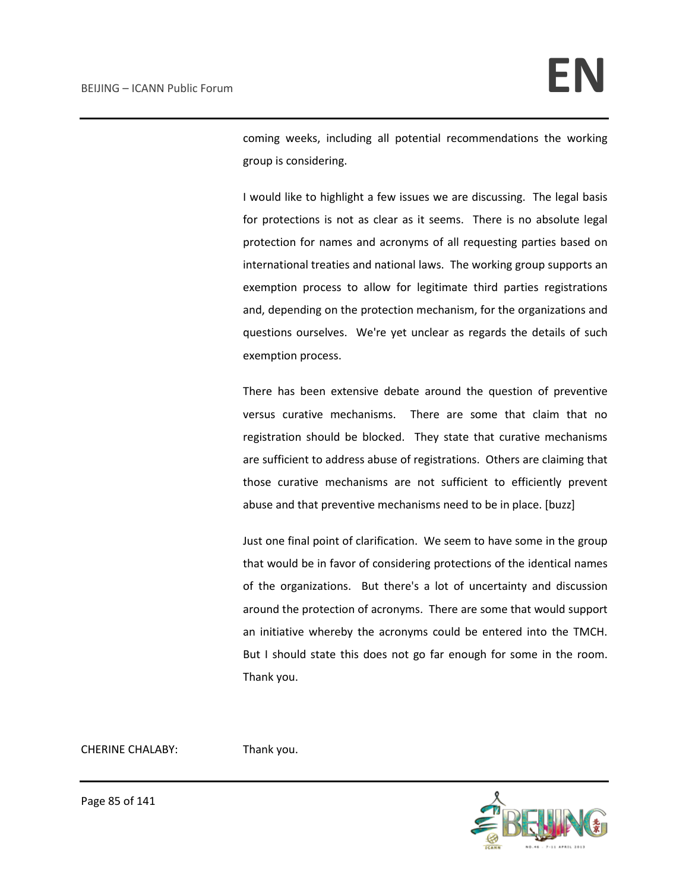coming weeks, including all potential recommendations the working group is considering.

I would like to highlight a few issues we are discussing. The legal basis for protections is not as clear as it seems. There is no absolute legal protection for names and acronyms of all requesting parties based on international treaties and national laws. The working group supports an exemption process to allow for legitimate third parties registrations and, depending on the protection mechanism, for the organizations and questions ourselves. We're yet unclear as regards the details of such exemption process.

There has been extensive debate around the question of preventive versus curative mechanisms. There are some that claim that no registration should be blocked. They state that curative mechanisms are sufficient to address abuse of registrations. Others are claiming that those curative mechanisms are not sufficient to efficiently prevent abuse and that preventive mechanisms need to be in place. [buzz]

Just one final point of clarification. We seem to have some in the group that would be in favor of considering protections of the identical names of the organizations. But there's a lot of uncertainty and discussion around the protection of acronyms. There are some that would support an initiative whereby the acronyms could be entered into the TMCH. But I should state this does not go far enough for some in the room. Thank you.

CHERINE CHALABY: Thank you.



Page 85 of 141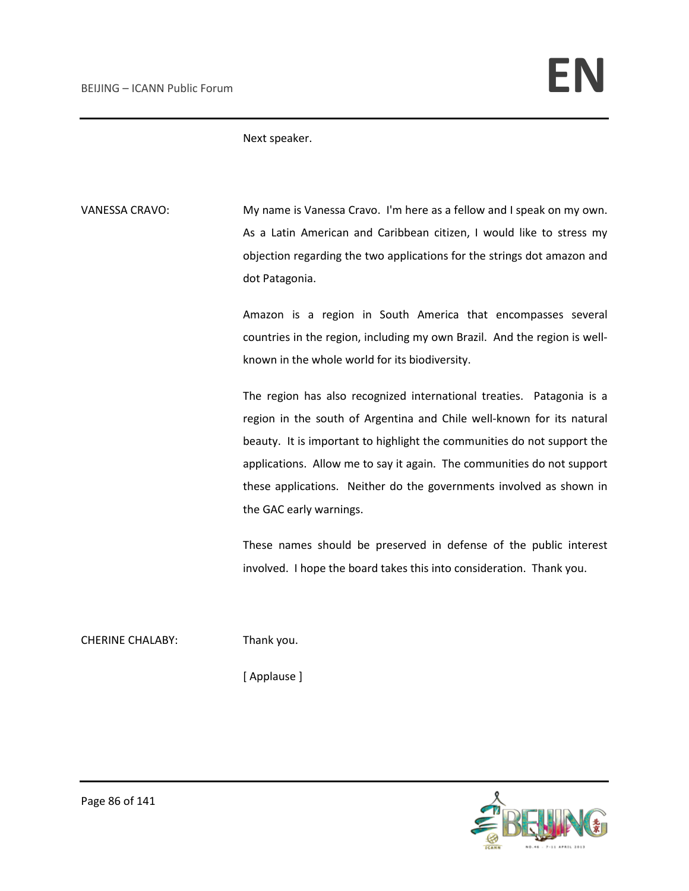Next speaker.

VANESSA CRAVO: My name is Vanessa Cravo. I'm here as a fellow and I speak on my own. As a Latin American and Caribbean citizen, I would like to stress my objection regarding the two applications for the strings dot amazon and dot Patagonia.

> Amazon is a region in South America that encompasses several countries in the region, including my own Brazil. And the region is wellknown in the whole world for its biodiversity.

> The region has also recognized international treaties. Patagonia is a region in the south of Argentina and Chile well-known for its natural beauty. It is important to highlight the communities do not support the applications. Allow me to say it again. The communities do not support these applications. Neither do the governments involved as shown in the GAC early warnings.

> These names should be preserved in defense of the public interest involved. I hope the board takes this into consideration. Thank you.

CHERINE CHALABY: Thank you.

[ Applause ]

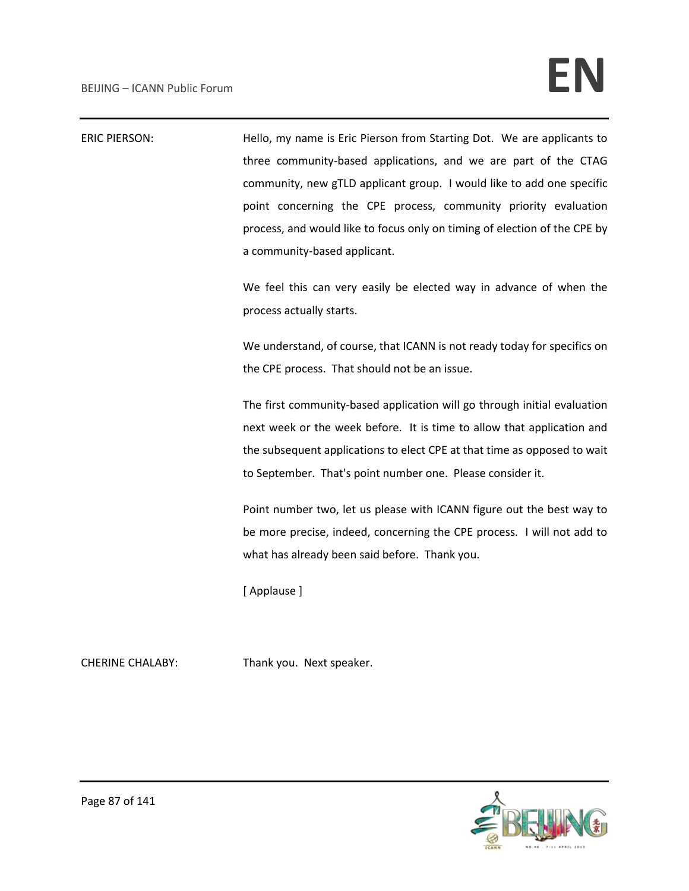| <b>ERIC PIERSON:</b> | Hello, my name is Eric Pierson from Starting Dot. We are applicants to    |
|----------------------|---------------------------------------------------------------------------|
|                      | three community-based applications, and we are part of the CTAG           |
|                      | community, new gTLD applicant group. I would like to add one specific     |
|                      | point concerning the CPE process, community priority evaluation           |
|                      | process, and would like to focus only on timing of election of the CPE by |
|                      | a community-based applicant.                                              |
|                      | We feel this can very easily be elected way in advance of when the        |
|                      | process actually starts.                                                  |
|                      | We understand, of course, that ICANN is not ready today for specifics on  |
|                      | the CPE process. That should not be an issue.                             |
|                      | The first community-based application will go through initial evaluation  |
|                      | next week or the week before. It is time to allow that application and    |
|                      | the subsequent applications to elect CPE at that time as opposed to wait  |
|                      | to September. That's point number one. Please consider it.                |
|                      | Point number two, let us please with ICANN figure out the best way to     |
|                      | be more precise, indeed, concerning the CPE process. I will not add to    |
|                      | what has already been said before. Thank you.                             |
|                      | [Applause]                                                                |
|                      |                                                                           |

CHERINE CHALABY: Thank you. Next speaker.

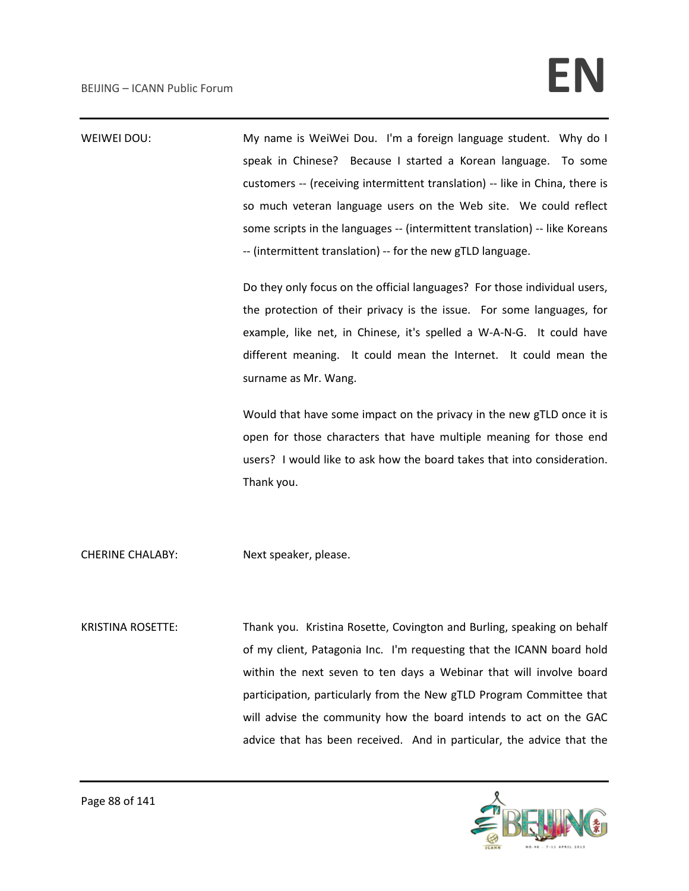WEIWEI DOU: My name is WeiWei Dou. I'm a foreign language student. Why do I speak in Chinese? Because I started a Korean language. To some customers -- (receiving intermittent translation) -- like in China, there is so much veteran language users on the Web site. We could reflect some scripts in the languages -- (intermittent translation) -- like Koreans -- (intermittent translation) -- for the new gTLD language.

Do they only focus on the official languages? For those individual users, the protection of their privacy is the issue. For some languages, for example, like net, in Chinese, it's spelled a W-A-N-G. It could have different meaning. It could mean the Internet. It could mean the surname as Mr. Wang.

Would that have some impact on the privacy in the new gTLD once it is open for those characters that have multiple meaning for those end users? I would like to ask how the board takes that into consideration. Thank you.

CHERINE CHALABY: Next speaker, please.

KRISTINA ROSETTE: Thank you. Kristina Rosette, Covington and Burling, speaking on behalf of my client, Patagonia Inc. I'm requesting that the ICANN board hold within the next seven to ten days a Webinar that will involve board participation, particularly from the New gTLD Program Committee that will advise the community how the board intends to act on the GAC advice that has been received. And in particular, the advice that the

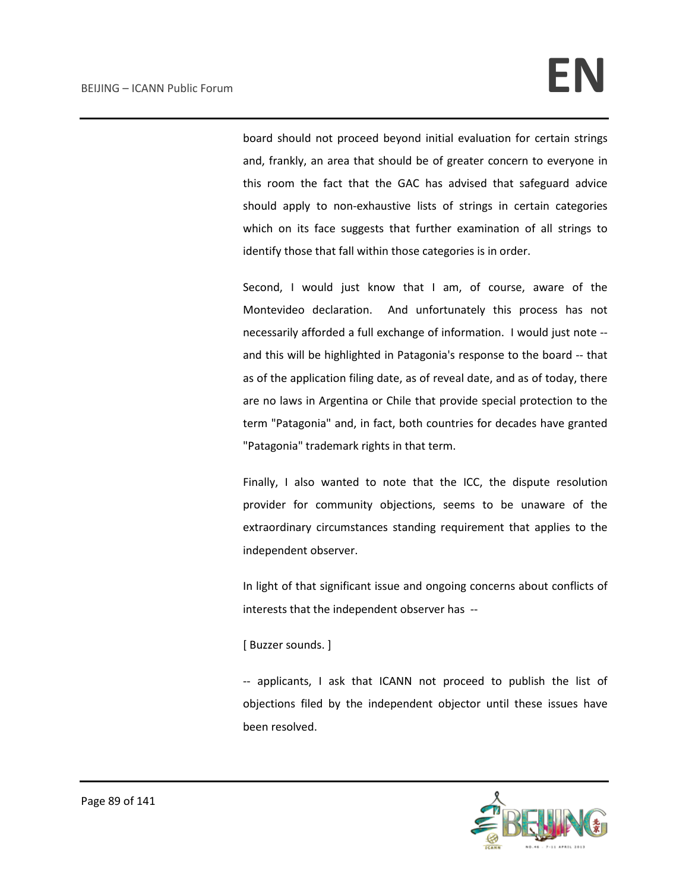board should not proceed beyond initial evaluation for certain strings and, frankly, an area that should be of greater concern to everyone in this room the fact that the GAC has advised that safeguard advice should apply to non-exhaustive lists of strings in certain categories which on its face suggests that further examination of all strings to identify those that fall within those categories is in order.

Second, I would just know that I am, of course, aware of the Montevideo declaration. And unfortunately this process has not necessarily afforded a full exchange of information. I would just note - and this will be highlighted in Patagonia's response to the board -- that as of the application filing date, as of reveal date, and as of today, there are no laws in Argentina or Chile that provide special protection to the term "Patagonia" and, in fact, both countries for decades have granted "Patagonia" trademark rights in that term.

Finally, I also wanted to note that the ICC, the dispute resolution provider for community objections, seems to be unaware of the extraordinary circumstances standing requirement that applies to the independent observer.

In light of that significant issue and ongoing concerns about conflicts of interests that the independent observer has --

[ Buzzer sounds. ]

-- applicants, I ask that ICANN not proceed to publish the list of objections filed by the independent objector until these issues have been resolved.

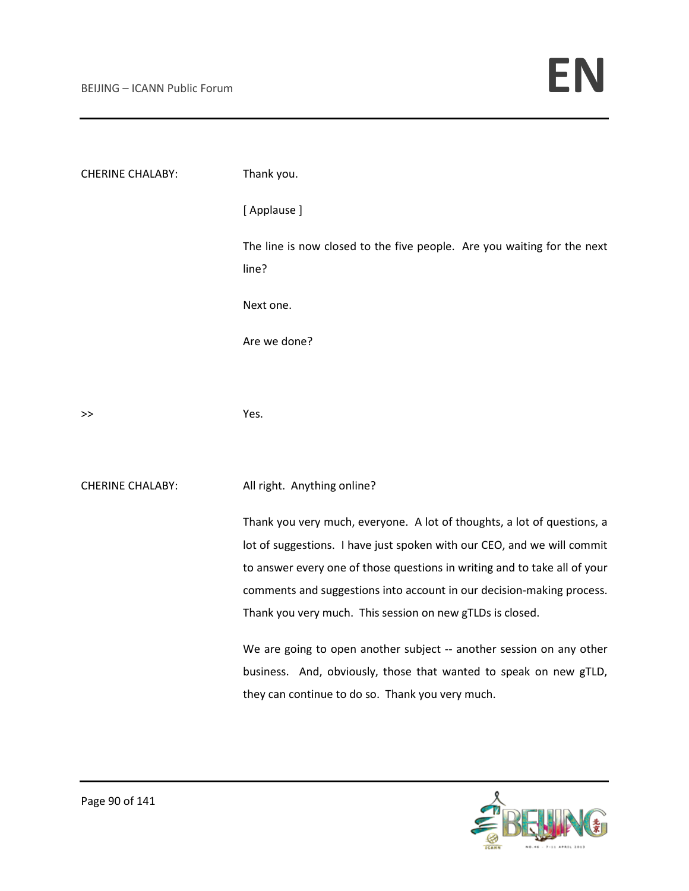| <b>CHERINE CHALABY:</b> | Thank you.                                                                       |
|-------------------------|----------------------------------------------------------------------------------|
|                         | [Applause]                                                                       |
|                         | The line is now closed to the five people. Are you waiting for the next<br>line? |
|                         | Next one.                                                                        |
|                         | Are we done?                                                                     |
|                         |                                                                                  |
| >>                      | Yes.                                                                             |
|                         |                                                                                  |
| <b>CHERINE CHALABY:</b> | All right. Anything online?                                                      |
|                         | Thank you very much, everyone. A lot of thoughts, a lot of questions, a          |
|                         | lot of suggestions. I have just spoken with our CEO, and we will commit          |
|                         | to answer every one of those questions in writing and to take all of your        |
|                         | comments and suggestions into account in our decision-making process.            |
|                         | Thank you very much. This session on new gTLDs is closed.                        |
|                         | We are going to open another subject -- another session on any other             |
|                         | business. And, obviously, those that wanted to speak on new gTLD,                |
|                         | they can continue to do so. Thank you very much.                                 |

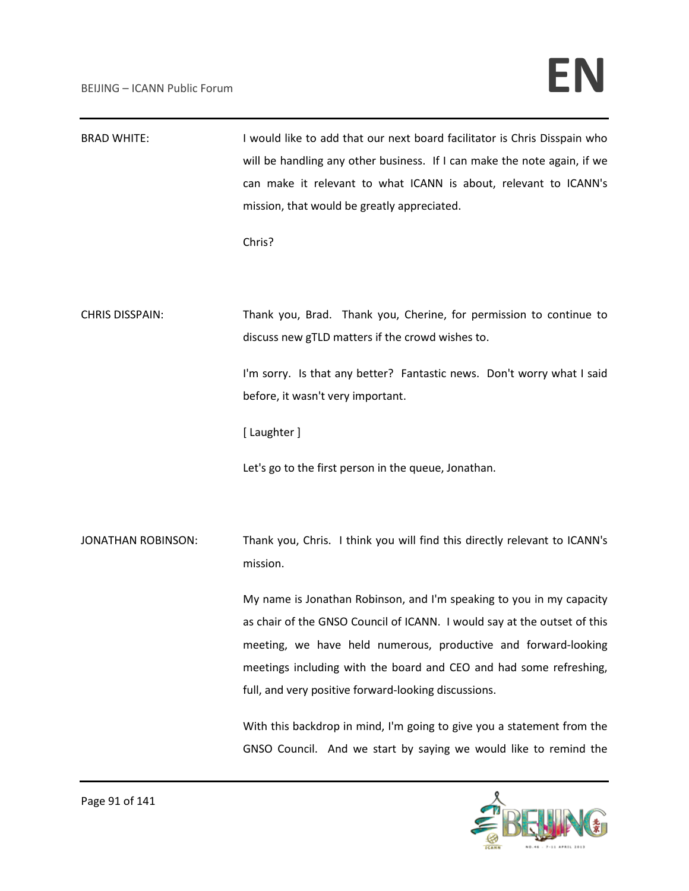# BEIJING – ICANN Public Forum **EN**

| <b>BRAD WHITE:</b>        | I would like to add that our next board facilitator is Chris Disspain who<br>will be handling any other business. If I can make the note again, if we<br>can make it relevant to what ICANN is about, relevant to ICANN's<br>mission, that would be greatly appreciated.<br>Chris?                                                               |
|---------------------------|--------------------------------------------------------------------------------------------------------------------------------------------------------------------------------------------------------------------------------------------------------------------------------------------------------------------------------------------------|
| <b>CHRIS DISSPAIN:</b>    | Thank you, Brad. Thank you, Cherine, for permission to continue to<br>discuss new gTLD matters if the crowd wishes to.<br>I'm sorry. Is that any better? Fantastic news. Don't worry what I said                                                                                                                                                 |
|                           | before, it wasn't very important.<br>[ Laughter ]                                                                                                                                                                                                                                                                                                |
|                           | Let's go to the first person in the queue, Jonathan.                                                                                                                                                                                                                                                                                             |
| <b>JONATHAN ROBINSON:</b> | Thank you, Chris. I think you will find this directly relevant to ICANN's<br>mission.                                                                                                                                                                                                                                                            |
|                           | My name is Jonathan Robinson, and I'm speaking to you in my capacity<br>as chair of the GNSO Council of ICANN. I would say at the outset of this<br>meeting, we have held numerous, productive and forward-looking<br>meetings including with the board and CEO and had some refreshing,<br>full, and very positive forward-looking discussions. |
|                           | With this backdrop in mind, I'm going to give you a statement from the<br>GNSO Council. And we start by saying we would like to remind the                                                                                                                                                                                                       |

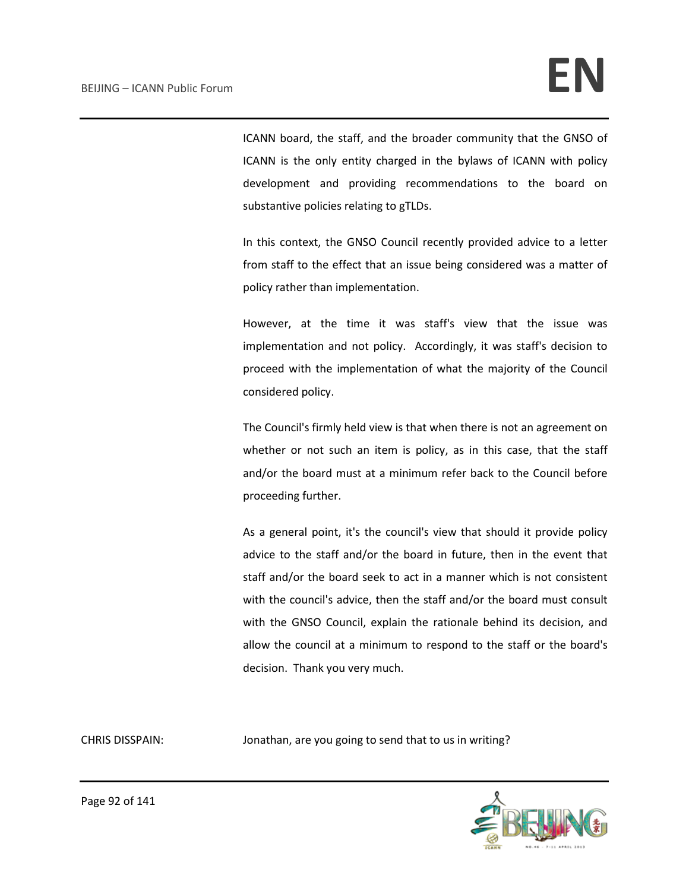ICANN board, the staff, and the broader community that the GNSO of ICANN is the only entity charged in the bylaws of ICANN with policy development and providing recommendations to the board on substantive policies relating to gTLDs.

In this context, the GNSO Council recently provided advice to a letter from staff to the effect that an issue being considered was a matter of policy rather than implementation.

However, at the time it was staff's view that the issue was implementation and not policy. Accordingly, it was staff's decision to proceed with the implementation of what the majority of the Council considered policy.

The Council's firmly held view is that when there is not an agreement on whether or not such an item is policy, as in this case, that the staff and/or the board must at a minimum refer back to the Council before proceeding further.

As a general point, it's the council's view that should it provide policy advice to the staff and/or the board in future, then in the event that staff and/or the board seek to act in a manner which is not consistent with the council's advice, then the staff and/or the board must consult with the GNSO Council, explain the rationale behind its decision, and allow the council at a minimum to respond to the staff or the board's decision. Thank you very much.

CHRIS DISSPAIN: Jonathan, are you going to send that to us in writing?

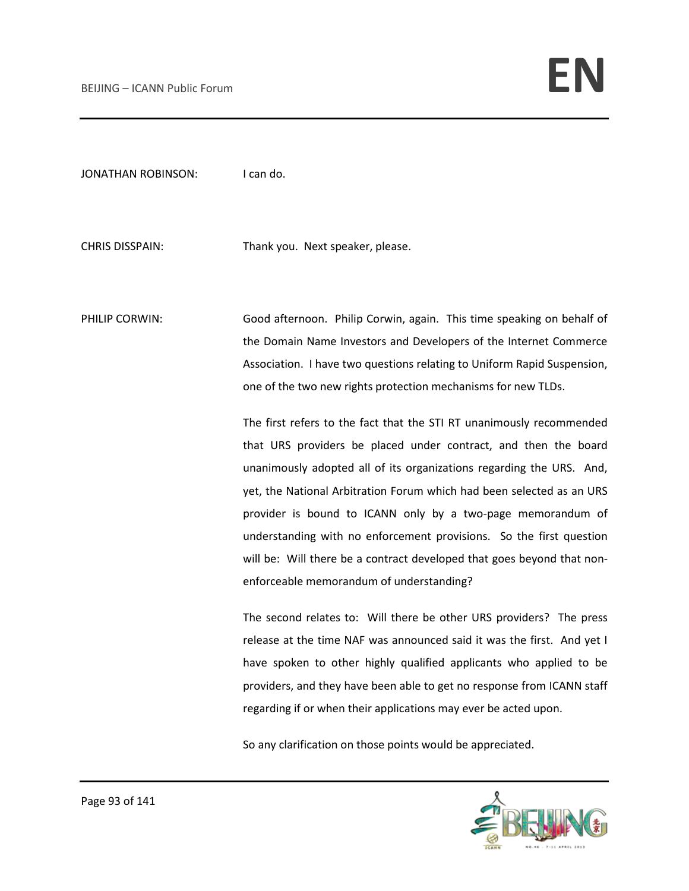JONATHAN ROBINSON: I can do.

CHRIS DISSPAIN: Thank you. Next speaker, please.

PHILIP CORWIN: Good afternoon. Philip Corwin, again. This time speaking on behalf of the Domain Name Investors and Developers of the Internet Commerce Association. I have two questions relating to Uniform Rapid Suspension, one of the two new rights protection mechanisms for new TLDs.

> The first refers to the fact that the STI RT unanimously recommended that URS providers be placed under contract, and then the board unanimously adopted all of its organizations regarding the URS. And, yet, the National Arbitration Forum which had been selected as an URS provider is bound to ICANN only by a two-page memorandum of understanding with no enforcement provisions. So the first question will be: Will there be a contract developed that goes beyond that nonenforceable memorandum of understanding?

> The second relates to: Will there be other URS providers? The press release at the time NAF was announced said it was the first. And yet I have spoken to other highly qualified applicants who applied to be providers, and they have been able to get no response from ICANN staff regarding if or when their applications may ever be acted upon.

So any clarification on those points would be appreciated.

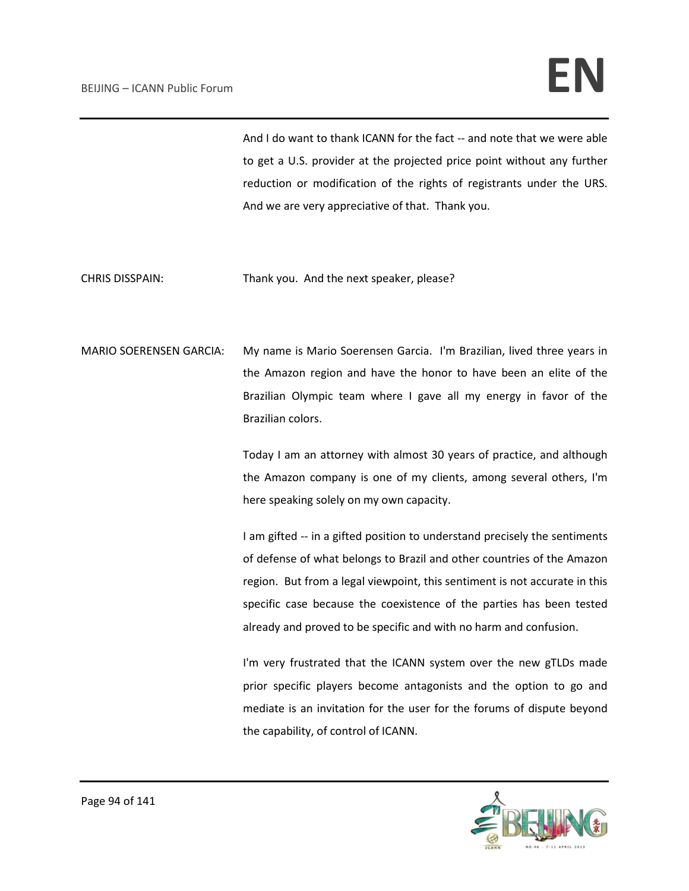And I do want to thank ICANN for the fact -- and note that we were able to get a U.S. provider at the projected price point without any further reduction or modification of the rights of registrants under the URS. And we are very appreciative of that. Thank you.

CHRIS DISSPAIN: Thank you. And the next speaker, please?

MARIO SOERENSEN GARCIA: My name is Mario Soerensen Garcia. I'm Brazilian, lived three years in the Amazon region and have the honor to have been an elite of the Brazilian Olympic team where I gave all my energy in favor of the Brazilian colors.

> Today I am an attorney with almost 30 years of practice, and although the Amazon company is one of my clients, among several others, I'm here speaking solely on my own capacity.

> I am gifted -- in a gifted position to understand precisely the sentiments of defense of what belongs to Brazil and other countries of the Amazon region. But from a legal viewpoint, this sentiment is not accurate in this specific case because the coexistence of the parties has been tested already and proved to be specific and with no harm and confusion.

> I'm very frustrated that the ICANN system over the new gTLDs made prior specific players become antagonists and the option to go and mediate is an invitation for the user for the forums of dispute beyond the capability, of control of ICANN.

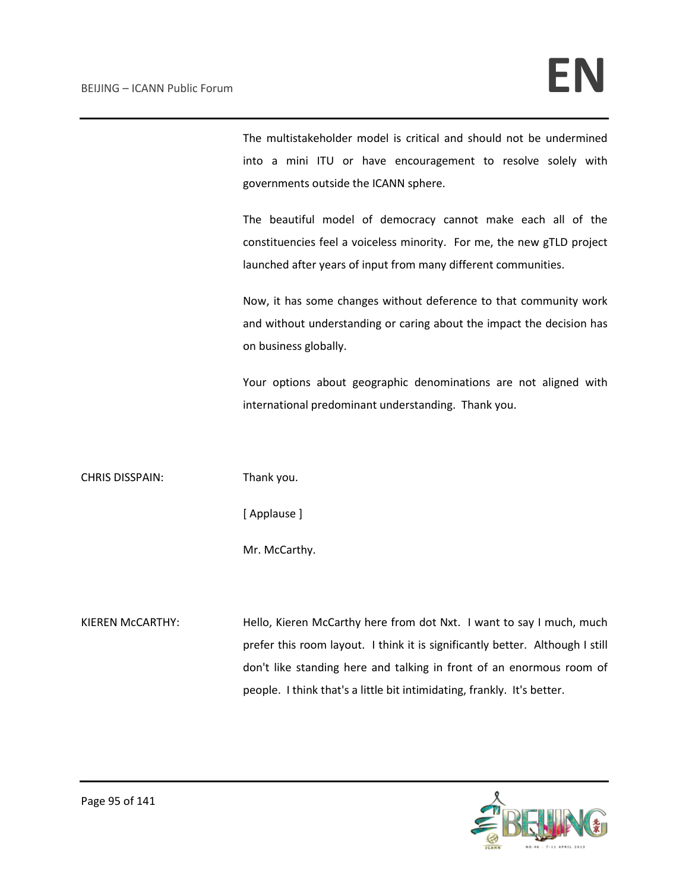The multistakeholder model is critical and should not be undermined into a mini ITU or have encouragement to resolve solely with governments outside the ICANN sphere.

The beautiful model of democracy cannot make each all of the constituencies feel a voiceless minority. For me, the new gTLD project launched after years of input from many different communities.

Now, it has some changes without deference to that community work and without understanding or caring about the impact the decision has on business globally.

Your options about geographic denominations are not aligned with international predominant understanding. Thank you.

CHRIS DISSPAIN: Thank you.

[ Applause ]

Mr. McCarthy.

KIEREN McCARTHY: Hello, Kieren McCarthy here from dot Nxt. I want to say I much, much prefer this room layout. I think it is significantly better. Although I still don't like standing here and talking in front of an enormous room of people. I think that's a little bit intimidating, frankly. It's better.

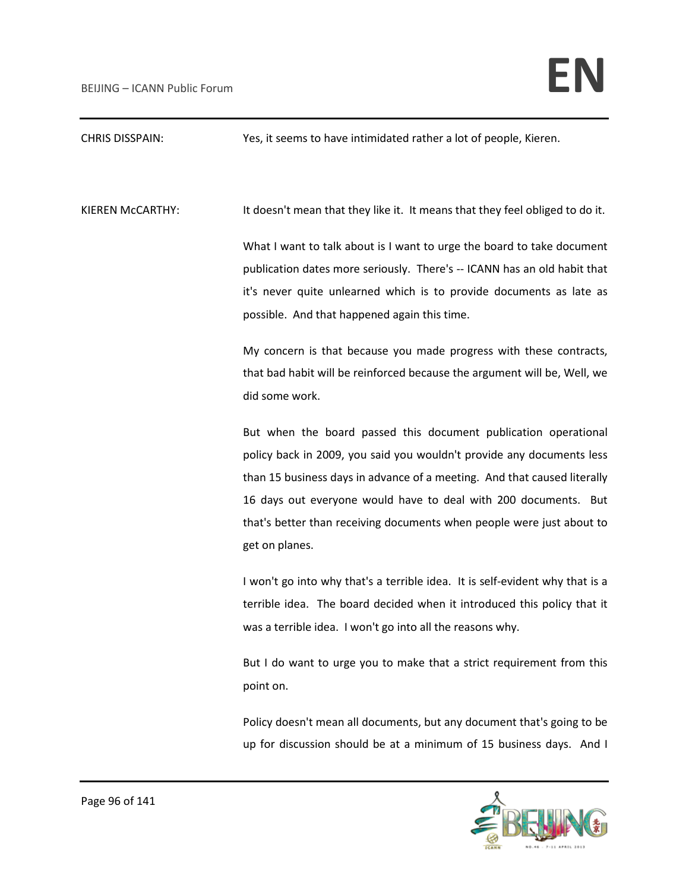CHRIS DISSPAIN: Yes, it seems to have intimidated rather a lot of people, Kieren. KIEREN McCARTHY: It doesn't mean that they like it. It means that they feel obliged to do it. What I want to talk about is I want to urge the board to take document publication dates more seriously. There's -- ICANN has an old habit that it's never quite unlearned which is to provide documents as late as possible. And that happened again this time. My concern is that because you made progress with these contracts, that bad habit will be reinforced because the argument will be, Well, we did some work. But when the board passed this document publication operational policy back in 2009, you said you wouldn't provide any documents less than 15 business days in advance of a meeting. And that caused literally 16 days out everyone would have to deal with 200 documents. But that's better than receiving documents when people were just about to get on planes. I won't go into why that's a terrible idea. It is self-evident why that is a terrible idea. The board decided when it introduced this policy that it was a terrible idea. I won't go into all the reasons why. But I do want to urge you to make that a strict requirement from this point on.

> Policy doesn't mean all documents, but any document that's going to be up for discussion should be at a minimum of 15 business days. And I

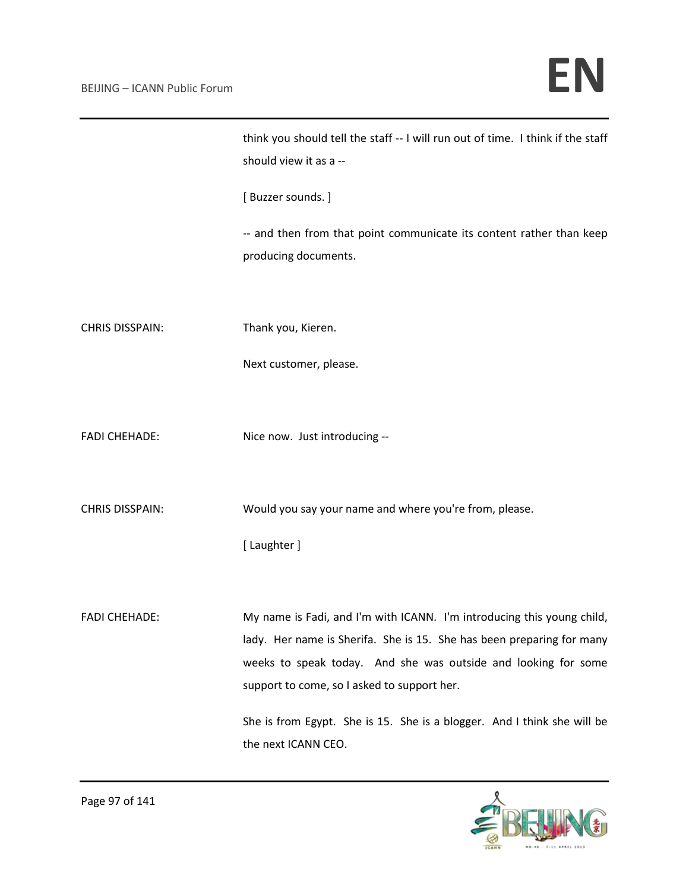|                      | think you should tell the staff -- I will run out of time. I think if the staff<br>should view it as a --                                                                                                                                                        |
|----------------------|------------------------------------------------------------------------------------------------------------------------------------------------------------------------------------------------------------------------------------------------------------------|
|                      | [Buzzer sounds.]                                                                                                                                                                                                                                                 |
|                      | -- and then from that point communicate its content rather than keep<br>producing documents.                                                                                                                                                                     |
| CHRIS DISSPAIN:      | Thank you, Kieren.                                                                                                                                                                                                                                               |
|                      | Next customer, please.                                                                                                                                                                                                                                           |
| <b>FADI CHEHADE:</b> | Nice now. Just introducing --                                                                                                                                                                                                                                    |
| CHRIS DISSPAIN:      | Would you say your name and where you're from, please.                                                                                                                                                                                                           |
|                      | [ Laughter ]                                                                                                                                                                                                                                                     |
|                      |                                                                                                                                                                                                                                                                  |
| <b>FADI CHEHADE:</b> | My name is Fadi, and I'm with ICANN. I'm introducing this young child,<br>lady. Her name is Sherifa. She is 15. She has been preparing for many<br>weeks to speak today. And she was outside and looking for some<br>support to come, so I asked to support her. |
|                      | She is from Egypt. She is 15. She is a blogger. And I think she will be<br>the next ICANN CEO.                                                                                                                                                                   |
|                      |                                                                                                                                                                                                                                                                  |

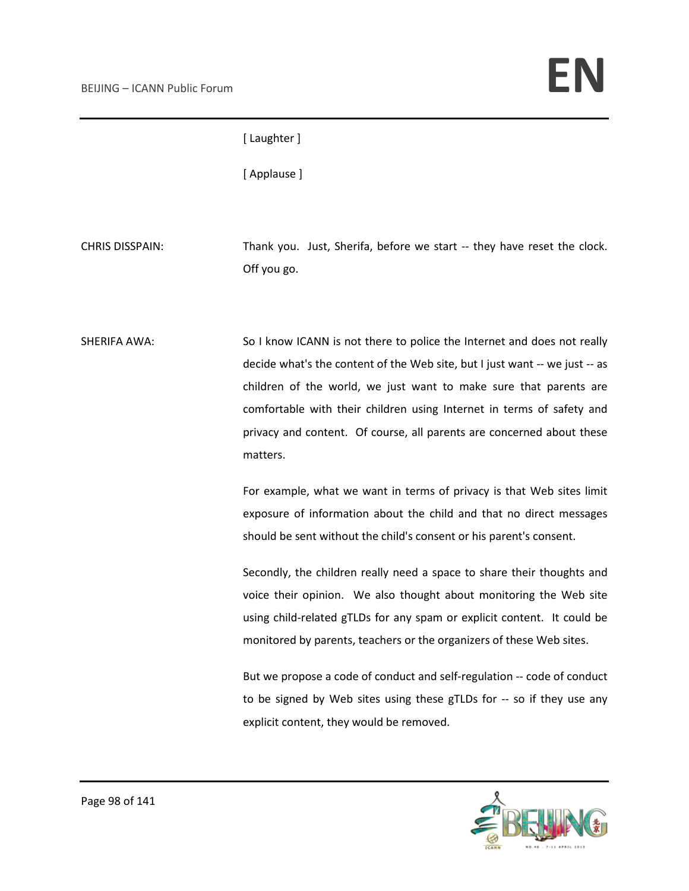### [ Laughter ]

[ Applause ]

CHRIS DISSPAIN: Thank you. Just, Sherifa, before we start -- they have reset the clock. Off you go.

SHERIFA AWA: So I know ICANN is not there to police the Internet and does not really decide what's the content of the Web site, but I just want -- we just -- as children of the world, we just want to make sure that parents are comfortable with their children using Internet in terms of safety and privacy and content. Of course, all parents are concerned about these matters.

> For example, what we want in terms of privacy is that Web sites limit exposure of information about the child and that no direct messages should be sent without the child's consent or his parent's consent.

> Secondly, the children really need a space to share their thoughts and voice their opinion. We also thought about monitoring the Web site using child-related gTLDs for any spam or explicit content. It could be monitored by parents, teachers or the organizers of these Web sites.

> But we propose a code of conduct and self-regulation -- code of conduct to be signed by Web sites using these gTLDs for -- so if they use any explicit content, they would be removed.

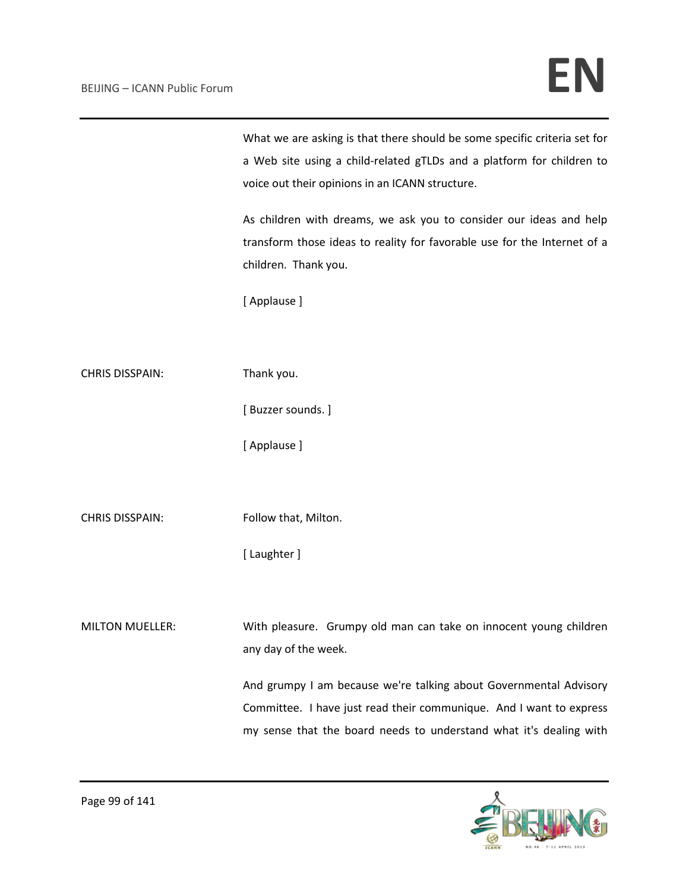What we are asking is that there should be some specific criteria set for a Web site using a child-related gTLDs and a platform for children to voice out their opinions in an ICANN structure.

As children with dreams, we ask you to consider our ideas and help transform those ideas to reality for favorable use for the Internet of a children. Thank you.

[ Applause ]

CHRIS DISSPAIN: Thank you.

[ Buzzer sounds. ]

[ Applause ]

CHRIS DISSPAIN: Follow that, Milton.

[ Laughter ]

MILTON MUELLER: With pleasure. Grumpy old man can take on innocent young children any day of the week.

> And grumpy I am because we're talking about Governmental Advisory Committee. I have just read their communique. And I want to express my sense that the board needs to understand what it's dealing with

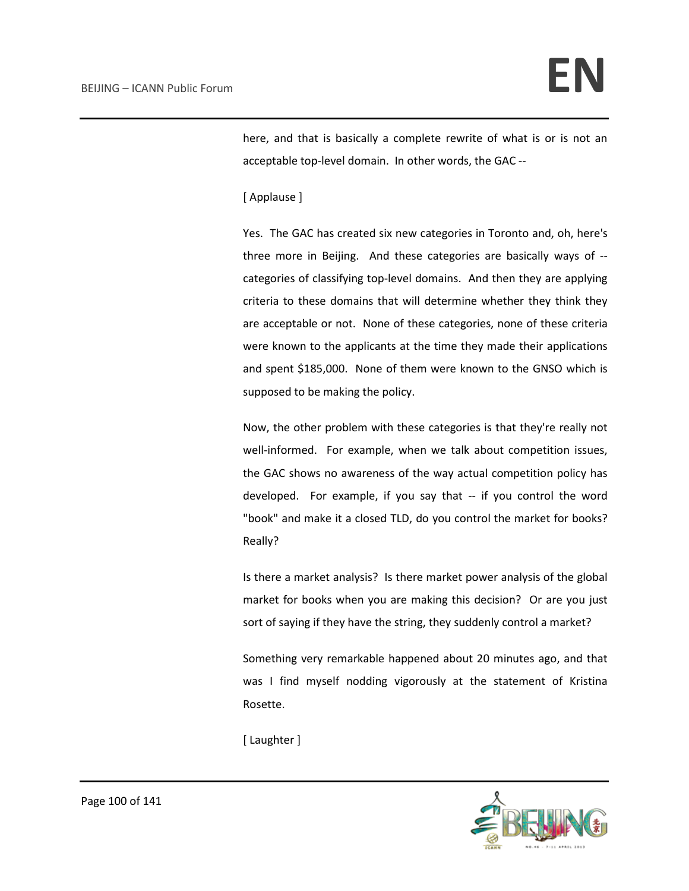here, and that is basically a complete rewrite of what is or is not an acceptable top-level domain. In other words, the GAC --

[ Applause ]

Yes. The GAC has created six new categories in Toronto and, oh, here's three more in Beijing. And these categories are basically ways of - categories of classifying top-level domains. And then they are applying criteria to these domains that will determine whether they think they are acceptable or not. None of these categories, none of these criteria were known to the applicants at the time they made their applications and spent \$185,000. None of them were known to the GNSO which is supposed to be making the policy.

Now, the other problem with these categories is that they're really not well-informed. For example, when we talk about competition issues, the GAC shows no awareness of the way actual competition policy has developed. For example, if you say that -- if you control the word "book" and make it a closed TLD, do you control the market for books? Really?

Is there a market analysis? Is there market power analysis of the global market for books when you are making this decision? Or are you just sort of saying if they have the string, they suddenly control a market?

Something very remarkable happened about 20 minutes ago, and that was I find myself nodding vigorously at the statement of Kristina Rosette.

[ Laughter ]

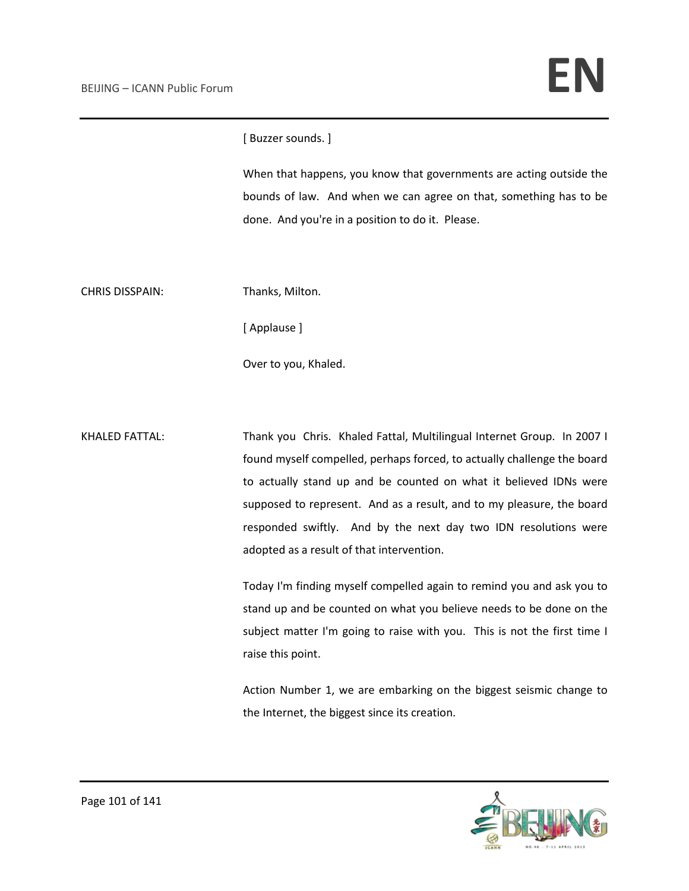#### [ Buzzer sounds. ]

When that happens, you know that governments are acting outside the bounds of law. And when we can agree on that, something has to be done. And you're in a position to do it. Please.

CHRIS DISSPAIN: Thanks, Milton.

[ Applause ]

Over to you, Khaled.

KHALED FATTAL: Thank you Chris. Khaled Fattal, Multilingual Internet Group. In 2007 I found myself compelled, perhaps forced, to actually challenge the board to actually stand up and be counted on what it believed IDNs were supposed to represent. And as a result, and to my pleasure, the board responded swiftly. And by the next day two IDN resolutions were adopted as a result of that intervention.

> Today I'm finding myself compelled again to remind you and ask you to stand up and be counted on what you believe needs to be done on the subject matter I'm going to raise with you. This is not the first time I raise this point.

> Action Number 1, we are embarking on the biggest seismic change to the Internet, the biggest since its creation.

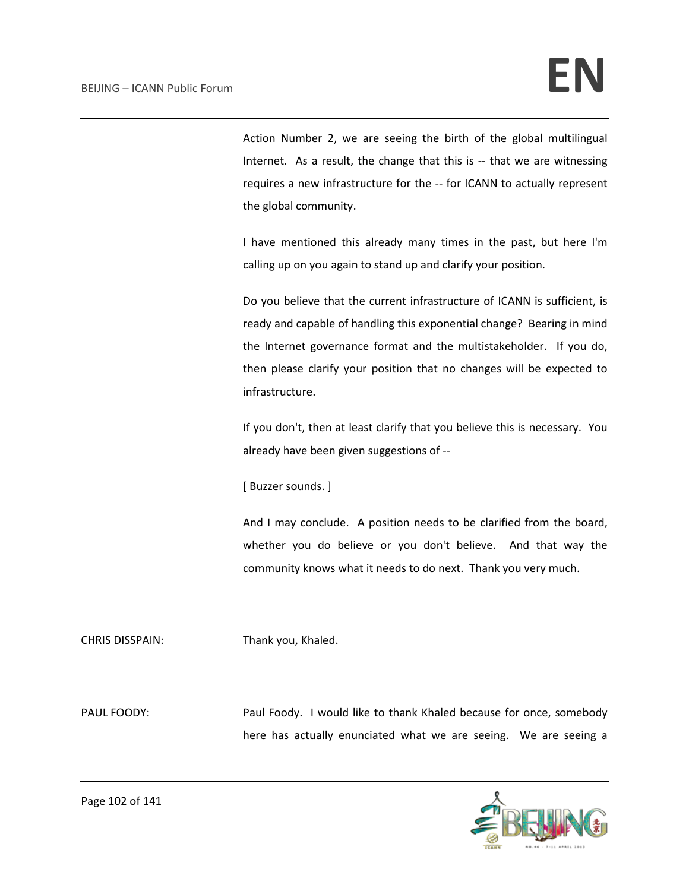Action Number 2, we are seeing the birth of the global multilingual Internet. As a result, the change that this is -- that we are witnessing requires a new infrastructure for the -- for ICANN to actually represent the global community.

I have mentioned this already many times in the past, but here I'm calling up on you again to stand up and clarify your position.

Do you believe that the current infrastructure of ICANN is sufficient, is ready and capable of handling this exponential change? Bearing in mind the Internet governance format and the multistakeholder. If you do, then please clarify your position that no changes will be expected to infrastructure.

If you don't, then at least clarify that you believe this is necessary. You already have been given suggestions of --

[ Buzzer sounds. ]

And I may conclude. A position needs to be clarified from the board, whether you do believe or you don't believe. And that way the community knows what it needs to do next. Thank you very much.

CHRIS DISSPAIN: Thank you, Khaled.

PAUL FOODY: Paul Foody. I would like to thank Khaled because for once, somebody here has actually enunciated what we are seeing. We are seeing a

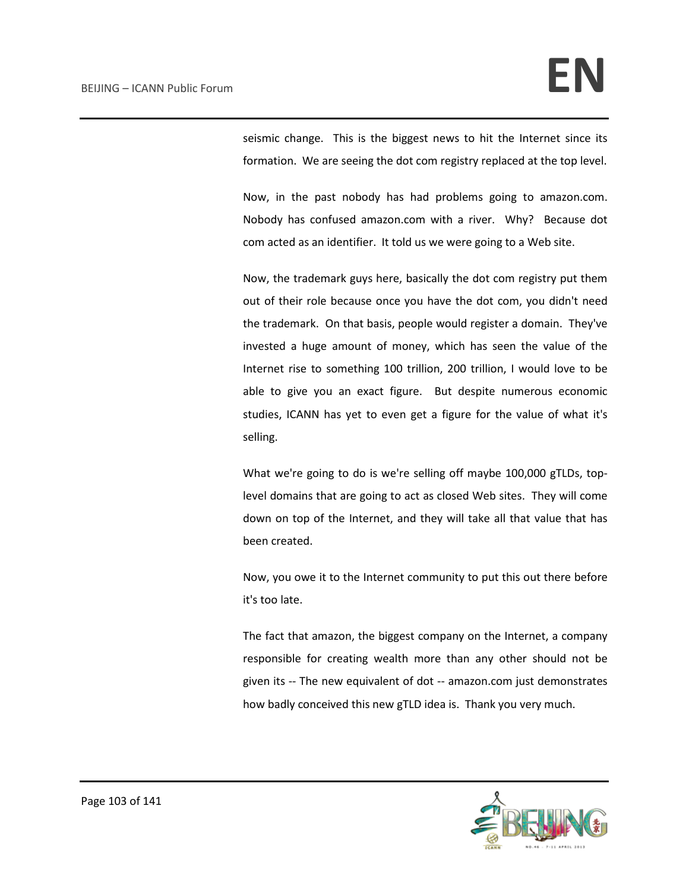seismic change. This is the biggest news to hit the Internet since its formation. We are seeing the dot com registry replaced at the top level.

Now, in the past nobody has had problems going to amazon.com. Nobody has confused amazon.com with a river. Why? Because dot com acted as an identifier. It told us we were going to a Web site.

Now, the trademark guys here, basically the dot com registry put them out of their role because once you have the dot com, you didn't need the trademark. On that basis, people would register a domain. They've invested a huge amount of money, which has seen the value of the Internet rise to something 100 trillion, 200 trillion, I would love to be able to give you an exact figure. But despite numerous economic studies, ICANN has yet to even get a figure for the value of what it's selling.

What we're going to do is we're selling off maybe 100,000 gTLDs, toplevel domains that are going to act as closed Web sites. They will come down on top of the Internet, and they will take all that value that has been created.

Now, you owe it to the Internet community to put this out there before it's too late.

The fact that amazon, the biggest company on the Internet, a company responsible for creating wealth more than any other should not be given its -- The new equivalent of dot -- amazon.com just demonstrates how badly conceived this new gTLD idea is. Thank you very much.

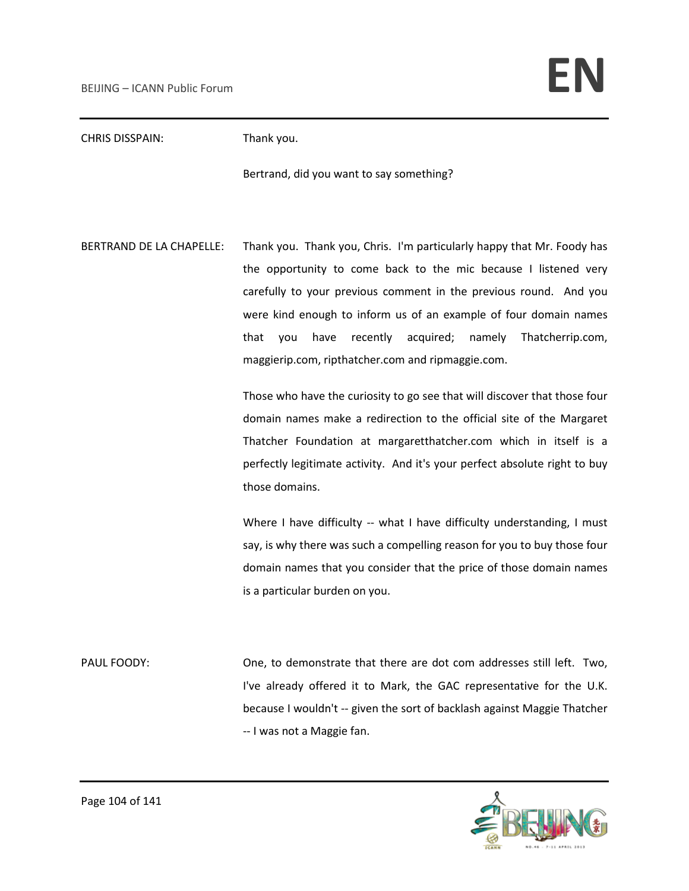CHRIS DISSPAIN: Thank you.

Bertrand, did you want to say something?

BERTRAND DE LA CHAPELLE: Thank you. Thank you, Chris. I'm particularly happy that Mr. Foody has the opportunity to come back to the mic because I listened very carefully to your previous comment in the previous round. And you were kind enough to inform us of an example of four domain names that you have recently acquired; namely Thatcherrip.com, maggierip.com, ripthatcher.com and ripmaggie.com.

> Those who have the curiosity to go see that will discover that those four domain names make a redirection to the official site of the Margaret Thatcher Foundation at margaretthatcher.com which in itself is a perfectly legitimate activity. And it's your perfect absolute right to buy those domains.

> Where I have difficulty -- what I have difficulty understanding, I must say, is why there was such a compelling reason for you to buy those four domain names that you consider that the price of those domain names is a particular burden on you.

PAUL FOODY: One, to demonstrate that there are dot com addresses still left. Two, I've already offered it to Mark, the GAC representative for the U.K. because I wouldn't -- given the sort of backlash against Maggie Thatcher -- I was not a Maggie fan.

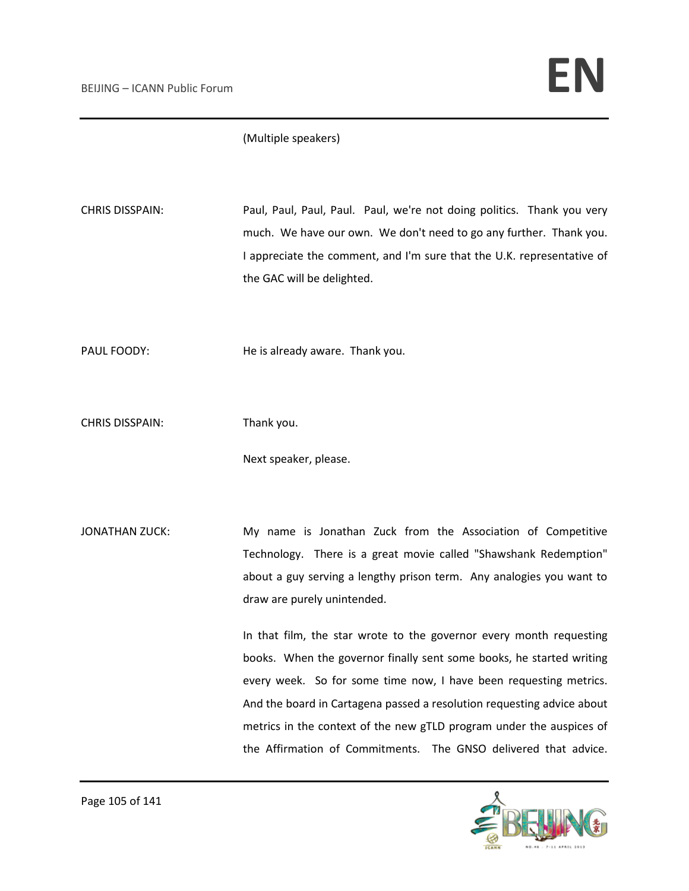(Multiple speakers)

CHRIS DISSPAIN: Paul, Paul, Paul, Paul. Paul, we're not doing politics. Thank you very much. We have our own. We don't need to go any further. Thank you. I appreciate the comment, and I'm sure that the U.K. representative of the GAC will be delighted.

PAUL FOODY: He is already aware. Thank you.

CHRIS DISSPAIN: Thank you.

Next speaker, please.

JONATHAN ZUCK: My name is Jonathan Zuck from the Association of Competitive Technology. There is a great movie called "Shawshank Redemption" about a guy serving a lengthy prison term. Any analogies you want to draw are purely unintended.

> In that film, the star wrote to the governor every month requesting books. When the governor finally sent some books, he started writing every week. So for some time now, I have been requesting metrics. And the board in Cartagena passed a resolution requesting advice about metrics in the context of the new gTLD program under the auspices of the Affirmation of Commitments. The GNSO delivered that advice.

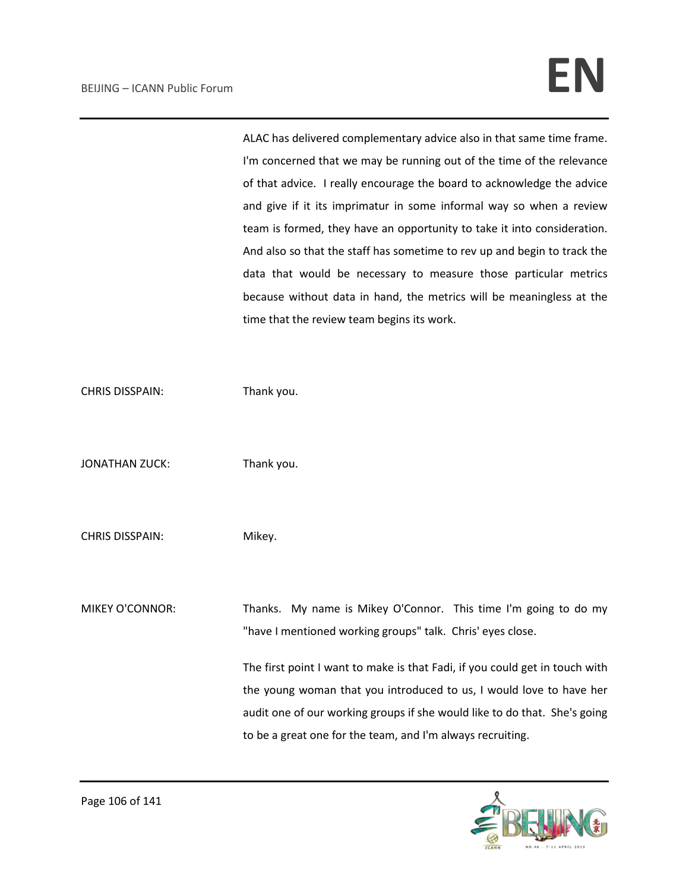ALAC has delivered complementary advice also in that same time frame. I'm concerned that we may be running out of the time of the relevance of that advice. I really encourage the board to acknowledge the advice and give if it its imprimatur in some informal way so when a review team is formed, they have an opportunity to take it into consideration. And also so that the staff has sometime to rev up and begin to track the data that would be necessary to measure those particular metrics because without data in hand, the metrics will be meaningless at the time that the review team begins its work.

CHRIS DISSPAIN: Thank you. JONATHAN ZUCK: Thank you. CHRIS DISSPAIN: Mikey. MIKEY O'CONNOR: Thanks. My name is Mikey O'Connor. This time I'm going to do my "have I mentioned working groups" talk. Chris' eyes close. The first point I want to make is that Fadi, if you could get in touch with the young woman that you introduced to us, I would love to have her audit one of our working groups if she would like to do that. She's going to be a great one for the team, and I'm always recruiting.

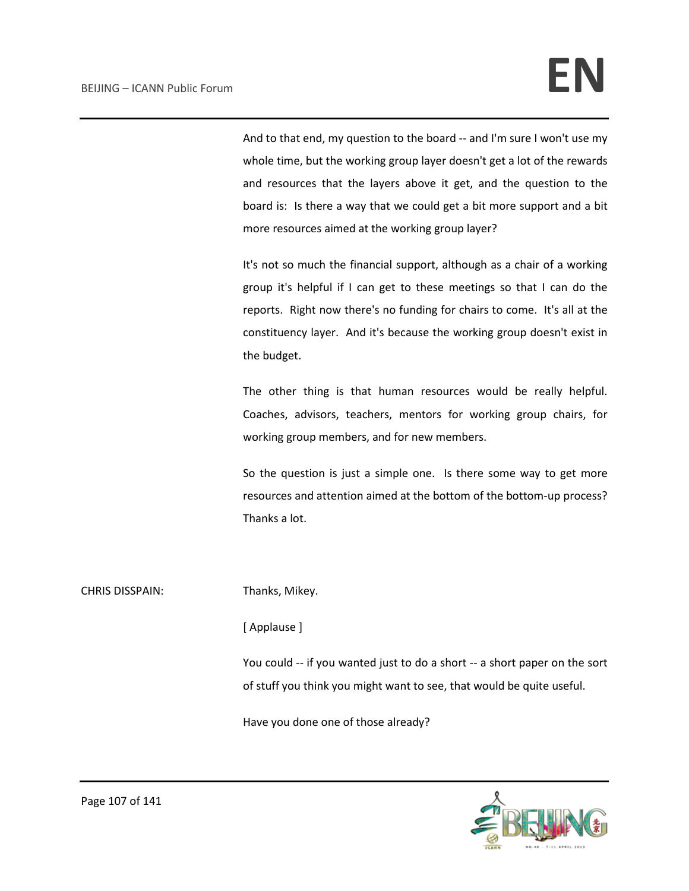And to that end, my question to the board -- and I'm sure I won't use my whole time, but the working group layer doesn't get a lot of the rewards and resources that the layers above it get, and the question to the board is: Is there a way that we could get a bit more support and a bit more resources aimed at the working group layer?

It's not so much the financial support, although as a chair of a working group it's helpful if I can get to these meetings so that I can do the reports. Right now there's no funding for chairs to come. It's all at the constituency layer. And it's because the working group doesn't exist in the budget.

The other thing is that human resources would be really helpful. Coaches, advisors, teachers, mentors for working group chairs, for working group members, and for new members.

So the question is just a simple one. Is there some way to get more resources and attention aimed at the bottom of the bottom-up process? Thanks a lot.

### CHRIS DISSPAIN: Thanks, Mikey.

#### [ Applause ]

You could -- if you wanted just to do a short -- a short paper on the sort of stuff you think you might want to see, that would be quite useful.

Have you done one of those already?

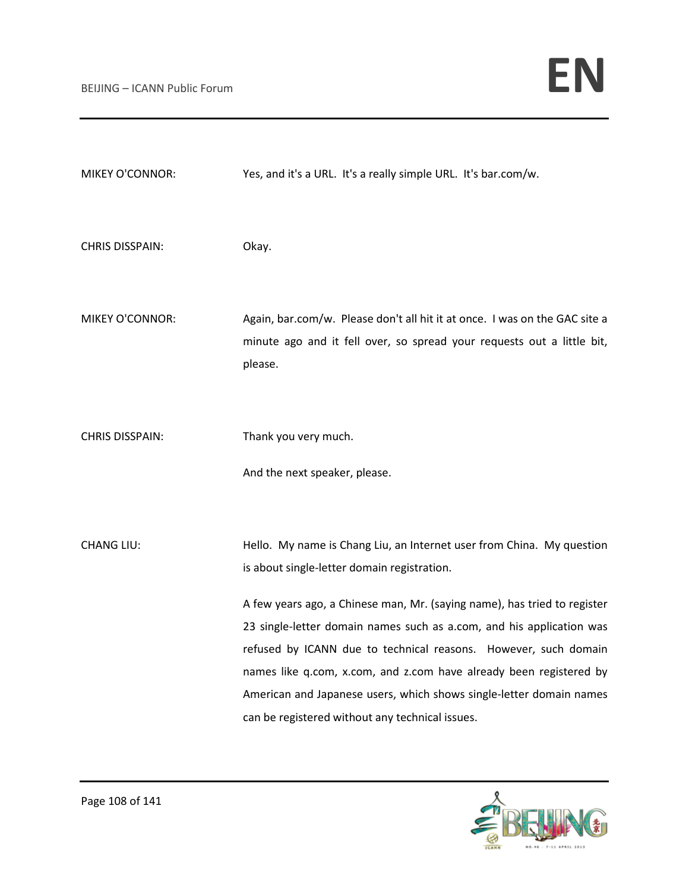| <b>MIKEY O'CONNOR:</b> | Yes, and it's a URL. It's a really simple URL. It's bar.com/w.                                                                                                                                                                                                                                                                                                                                                                                                                                                                              |
|------------------------|---------------------------------------------------------------------------------------------------------------------------------------------------------------------------------------------------------------------------------------------------------------------------------------------------------------------------------------------------------------------------------------------------------------------------------------------------------------------------------------------------------------------------------------------|
| <b>CHRIS DISSPAIN:</b> | Okay.                                                                                                                                                                                                                                                                                                                                                                                                                                                                                                                                       |
| <b>MIKEY O'CONNOR:</b> | Again, bar.com/w. Please don't all hit it at once. I was on the GAC site a<br>minute ago and it fell over, so spread your requests out a little bit,<br>please.                                                                                                                                                                                                                                                                                                                                                                             |
| <b>CHRIS DISSPAIN:</b> | Thank you very much.<br>And the next speaker, please.                                                                                                                                                                                                                                                                                                                                                                                                                                                                                       |
| <b>CHANG LIU:</b>      | Hello. My name is Chang Liu, an Internet user from China. My question<br>is about single-letter domain registration.<br>A few years ago, a Chinese man, Mr. (saying name), has tried to register<br>23 single-letter domain names such as a.com, and his application was<br>refused by ICANN due to technical reasons. However, such domain<br>names like q.com, x.com, and z.com have already been registered by<br>American and Japanese users, which shows single-letter domain names<br>can be registered without any technical issues. |

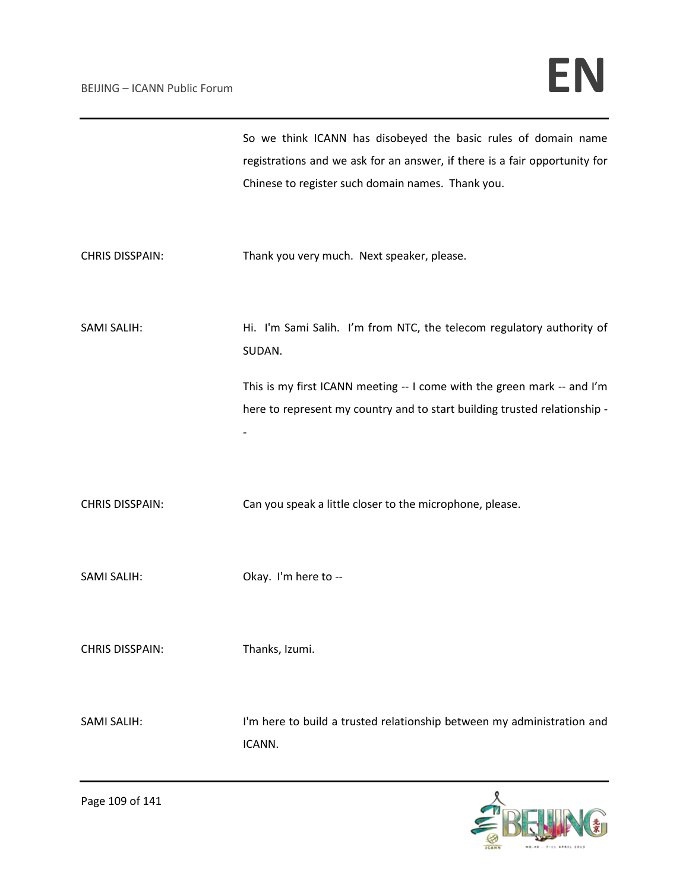|                 | So we think ICANN has disobeyed the basic rules of domain name<br>registrations and we ask for an answer, if there is a fair opportunity for<br>Chinese to register such domain names. Thank you. |
|-----------------|---------------------------------------------------------------------------------------------------------------------------------------------------------------------------------------------------|
| CHRIS DISSPAIN: | Thank you very much. Next speaker, please.                                                                                                                                                        |
| SAMI SALIH:     | Hi. I'm Sami Salih. I'm from NTC, the telecom regulatory authority of<br>SUDAN.                                                                                                                   |
|                 | This is my first ICANN meeting -- I come with the green mark -- and I'm<br>here to represent my country and to start building trusted relationship -                                              |
| CHRIS DISSPAIN: | Can you speak a little closer to the microphone, please.                                                                                                                                          |
| SAMI SALIH:     | Okay. I'm here to --                                                                                                                                                                              |
| CHRIS DISSPAIN: | Thanks, Izumi.                                                                                                                                                                                    |
| SAMI SALIH:     | I'm here to build a trusted relationship between my administration and<br>ICANN.                                                                                                                  |

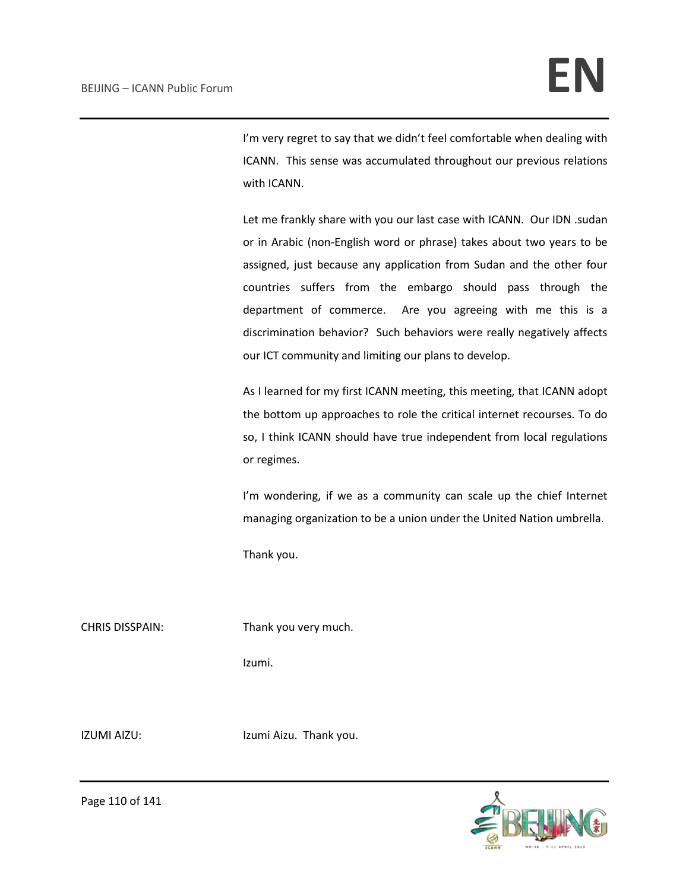I'm very regret to say that we didn't feel comfortable when dealing with ICANN. This sense was accumulated throughout our previous relations with ICANN.

Let me frankly share with you our last case with ICANN. Our IDN .sudan or in Arabic (non-English word or phrase) takes about two years to be assigned, just because any application from Sudan and the other four countries suffers from the embargo should pass through the department of commerce. Are you agreeing with me this is a discrimination behavior? Such behaviors were really negatively affects our ICT community and limiting our plans to develop.

As I learned for my first ICANN meeting, this meeting, that ICANN adopt the bottom up approaches to role the critical internet recourses. To do so, I think ICANN should have true independent from local regulations or regimes.

I'm wondering, if we as a community can scale up the chief Internet managing organization to be a union under the United Nation umbrella.

Thank you.

CHRIS DISSPAIN: Thank you very much.

Izumi.

IZUMI AIZU: Izumi Aizu. Thank you.

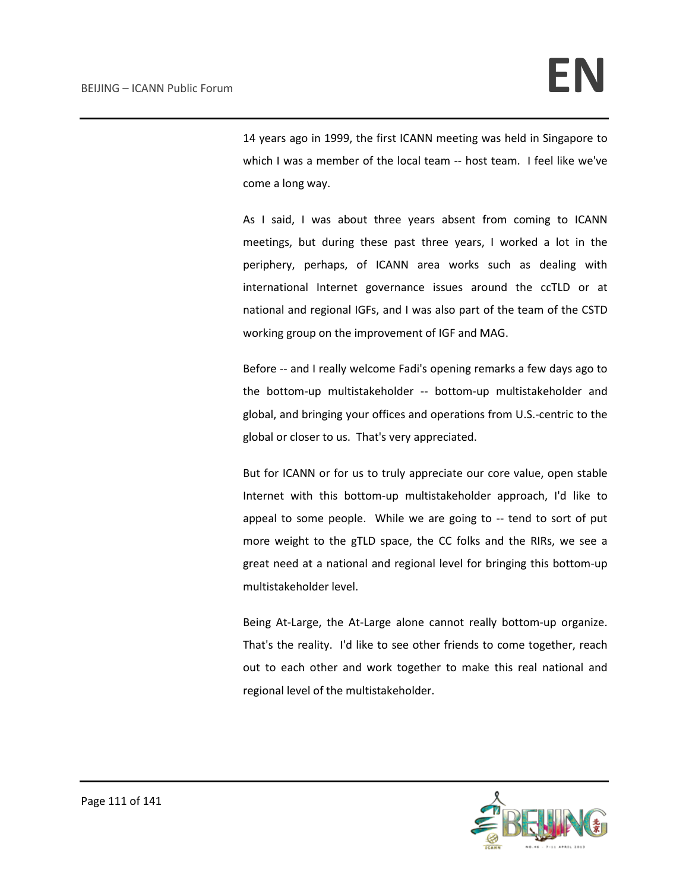14 years ago in 1999, the first ICANN meeting was held in Singapore to which I was a member of the local team -- host team. I feel like we've come a long way.

As I said, I was about three years absent from coming to ICANN meetings, but during these past three years, I worked a lot in the periphery, perhaps, of ICANN area works such as dealing with international Internet governance issues around the ccTLD or at national and regional IGFs, and I was also part of the team of the CSTD working group on the improvement of IGF and MAG.

Before -- and I really welcome Fadi's opening remarks a few days ago to the bottom-up multistakeholder -- bottom-up multistakeholder and global, and bringing your offices and operations from U.S.-centric to the global or closer to us. That's very appreciated.

But for ICANN or for us to truly appreciate our core value, open stable Internet with this bottom-up multistakeholder approach, I'd like to appeal to some people. While we are going to -- tend to sort of put more weight to the gTLD space, the CC folks and the RIRs, we see a great need at a national and regional level for bringing this bottom-up multistakeholder level.

Being At-Large, the At-Large alone cannot really bottom-up organize. That's the reality. I'd like to see other friends to come together, reach out to each other and work together to make this real national and regional level of the multistakeholder.

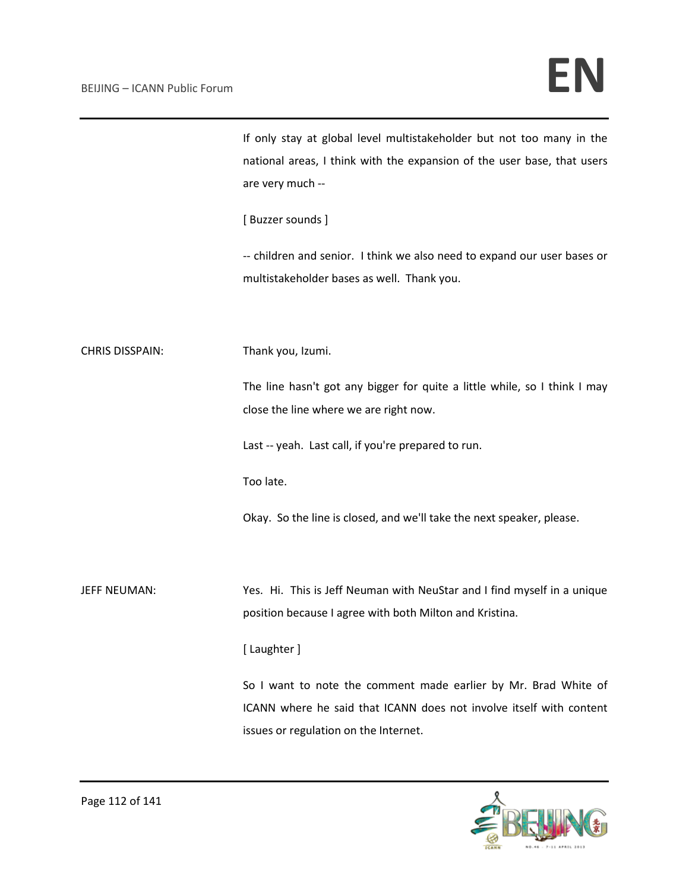If only stay at global level multistakeholder but not too many in the national areas, I think with the expansion of the user base, that users are very much --

[ Buzzer sounds ]

-- children and senior. I think we also need to expand our user bases or multistakeholder bases as well. Thank you.

CHRIS DISSPAIN: Thank you, Izumi.

The line hasn't got any bigger for quite a little while, so I think I may close the line where we are right now.

Last -- yeah. Last call, if you're prepared to run.

Too late.

Okay. So the line is closed, and we'll take the next speaker, please.

JEFF NEUMAN: Yes. Hi. This is Jeff Neuman with NeuStar and I find myself in a unique position because I agree with both Milton and Kristina.

[ Laughter ]

So I want to note the comment made earlier by Mr. Brad White of ICANN where he said that ICANN does not involve itself with content issues or regulation on the Internet.

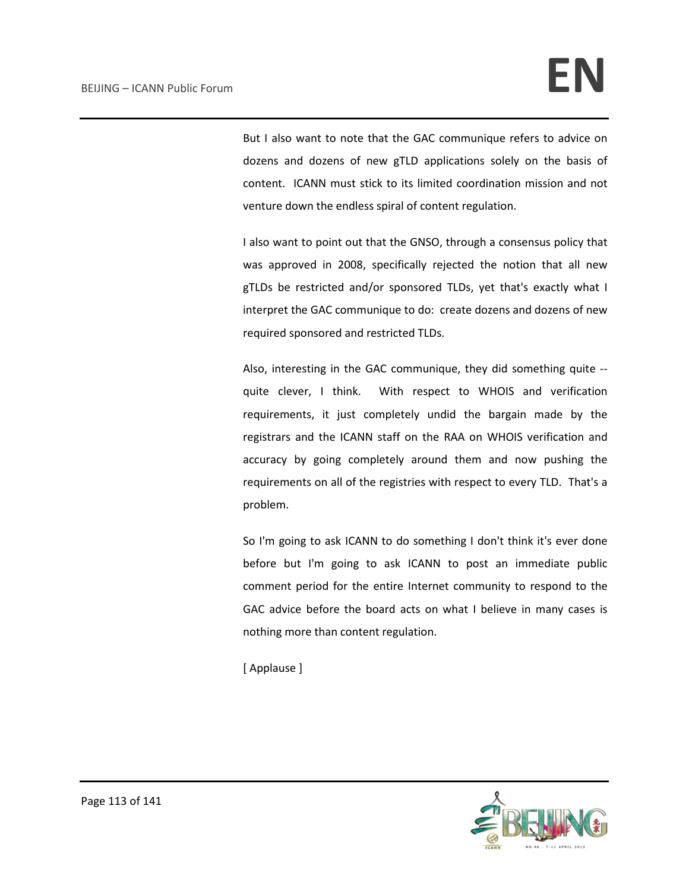But I also want to note that the GAC communique refers to advice on dozens and dozens of new gTLD applications solely on the basis of content. ICANN must stick to its limited coordination mission and not venture down the endless spiral of content regulation.

I also want to point out that the GNSO, through a consensus policy that was approved in 2008, specifically rejected the notion that all new gTLDs be restricted and/or sponsored TLDs, yet that's exactly what I interpret the GAC communique to do: create dozens and dozens of new required sponsored and restricted TLDs.

Also, interesting in the GAC communique, they did something quite - quite clever, I think. With respect to WHOIS and verification requirements, it just completely undid the bargain made by the registrars and the ICANN staff on the RAA on WHOIS verification and accuracy by going completely around them and now pushing the requirements on all of the registries with respect to every TLD. That's a problem.

So I'm going to ask ICANN to do something I don't think it's ever done before but I'm going to ask ICANN to post an immediate public comment period for the entire Internet community to respond to the GAC advice before the board acts on what I believe in many cases is nothing more than content regulation.

[ Applause ]

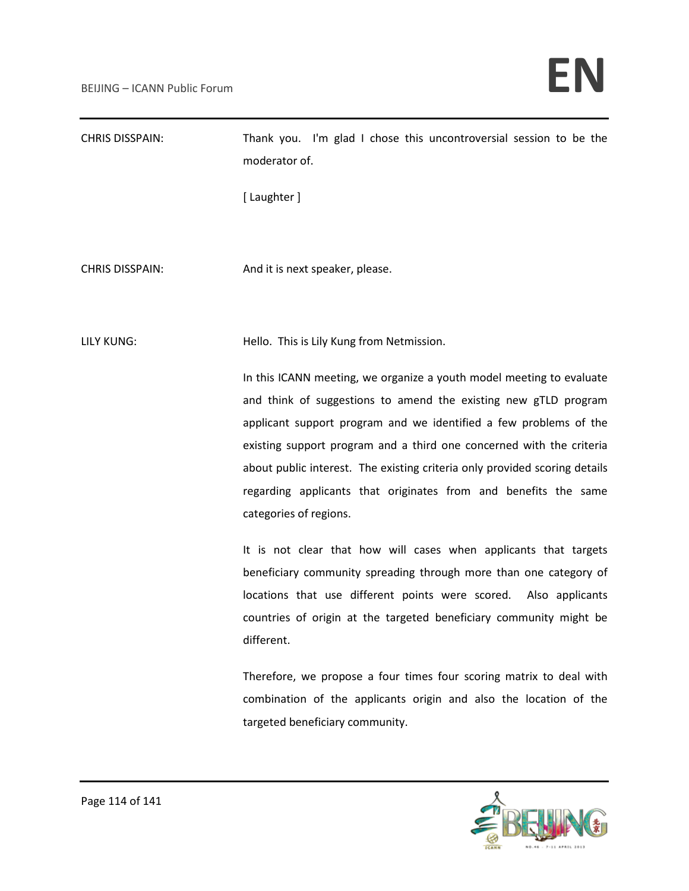CHRIS DISSPAIN: Thank you. I'm glad I chose this uncontroversial session to be the moderator of. [ Laughter ] CHRIS DISSPAIN: And it is next speaker, please. LILY KUNG: Hello. This is Lily Kung from Netmission. In this ICANN meeting, we organize a youth model meeting to evaluate and think of suggestions to amend the existing new gTLD program applicant support program and we identified a few problems of the existing support program and a third one concerned with the criteria about public interest. The existing criteria only provided scoring details regarding applicants that originates from and benefits the same categories of regions. It is not clear that how will cases when applicants that targets beneficiary community spreading through more than one category of locations that use different points were scored. Also applicants countries of origin at the targeted beneficiary community might be different. Therefore, we propose a four times four scoring matrix to deal with combination of the applicants origin and also the location of the targeted beneficiary community.

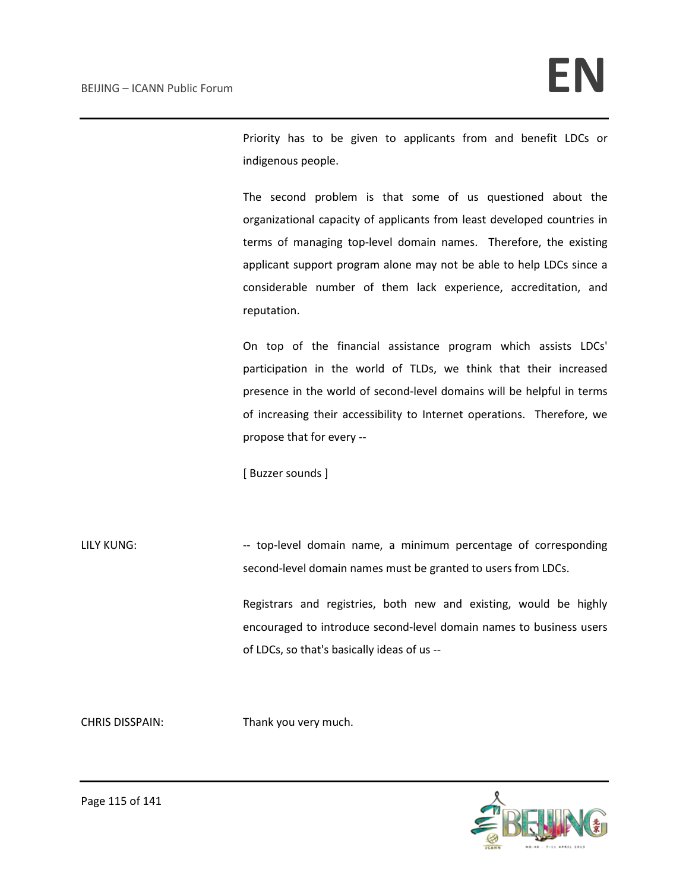Priority has to be given to applicants from and benefit LDCs or indigenous people.

The second problem is that some of us questioned about the organizational capacity of applicants from least developed countries in terms of managing top-level domain names. Therefore, the existing applicant support program alone may not be able to help LDCs since a considerable number of them lack experience, accreditation, and reputation.

On top of the financial assistance program which assists LDCs' participation in the world of TLDs, we think that their increased presence in the world of second-level domains will be helpful in terms of increasing their accessibility to Internet operations. Therefore, we propose that for every --

[ Buzzer sounds ]

LILY KUNG: The State of the Level domain name, a minimum percentage of corresponding second-level domain names must be granted to users from LDCs.

> Registrars and registries, both new and existing, would be highly encouraged to introduce second-level domain names to business users of LDCs, so that's basically ideas of us --

CHRIS DISSPAIN: Thank you very much.

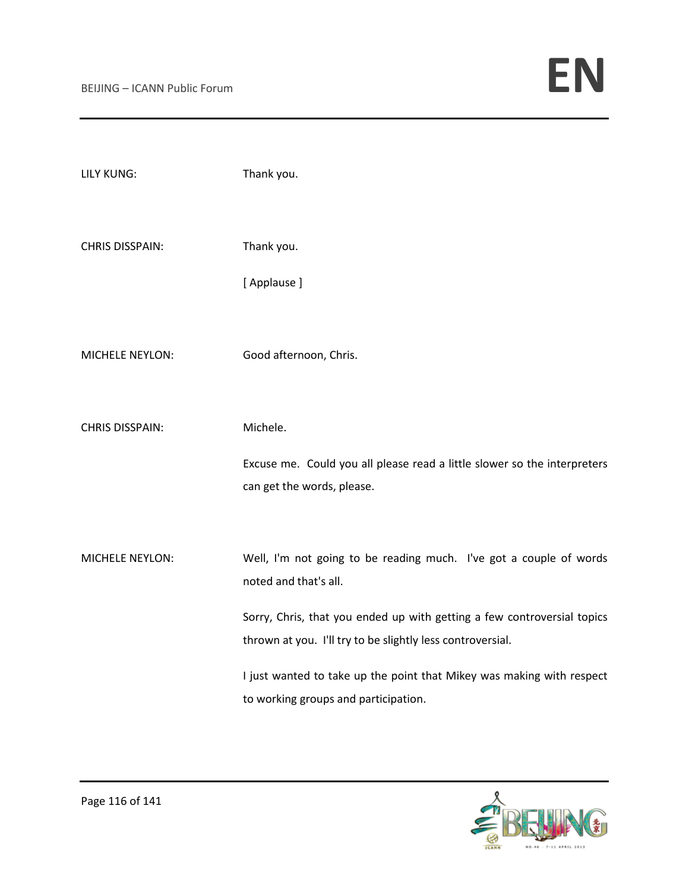| <b>LILY KUNG:</b>      | Thank you.                                                                                                                            |
|------------------------|---------------------------------------------------------------------------------------------------------------------------------------|
| <b>CHRIS DISSPAIN:</b> | Thank you.<br>[Applause]                                                                                                              |
| <b>MICHELE NEYLON:</b> | Good afternoon, Chris.                                                                                                                |
| <b>CHRIS DISSPAIN:</b> | Michele.<br>Excuse me. Could you all please read a little slower so the interpreters<br>can get the words, please.                    |
| <b>MICHELE NEYLON:</b> | Well, I'm not going to be reading much. I've got a couple of words<br>noted and that's all.                                           |
|                        | Sorry, Chris, that you ended up with getting a few controversial topics<br>thrown at you. I'll try to be slightly less controversial. |
|                        | I just wanted to take up the point that Mikey was making with respect<br>to working groups and participation.                         |

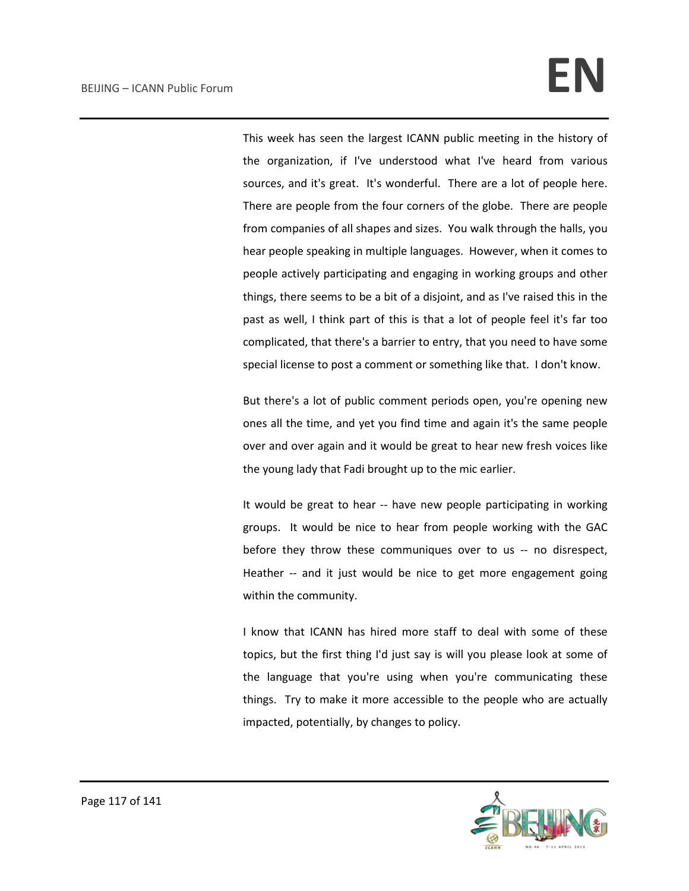This week has seen the largest ICANN public meeting in the history of the organization, if I've understood what I've heard from various sources, and it's great. It's wonderful. There are a lot of people here. There are people from the four corners of the globe. There are people from companies of all shapes and sizes. You walk through the halls, you hear people speaking in multiple languages. However, when it comes to people actively participating and engaging in working groups and other things, there seems to be a bit of a disjoint, and as I've raised this in the past as well, I think part of this is that a lot of people feel it's far too complicated, that there's a barrier to entry, that you need to have some special license to post a comment or something like that. I don't know.

But there's a lot of public comment periods open, you're opening new ones all the time, and yet you find time and again it's the same people over and over again and it would be great to hear new fresh voices like the young lady that Fadi brought up to the mic earlier.

It would be great to hear -- have new people participating in working groups. It would be nice to hear from people working with the GAC before they throw these communiques over to us -- no disrespect, Heather -- and it just would be nice to get more engagement going within the community.

I know that ICANN has hired more staff to deal with some of these topics, but the first thing I'd just say is will you please look at some of the language that you're using when you're communicating these things. Try to make it more accessible to the people who are actually impacted, potentially, by changes to policy.

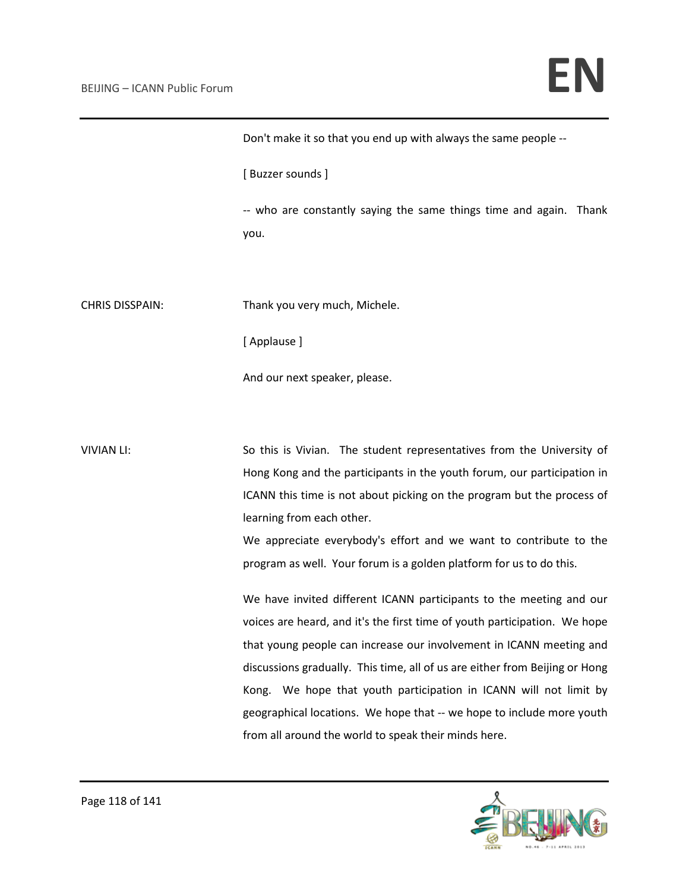Don't make it so that you end up with always the same people -- [ Buzzer sounds ] -- who are constantly saying the same things time and again. Thank you. CHRIS DISSPAIN: Thank you very much, Michele. [ Applause ] And our next speaker, please. VIVIAN LI: So this is Vivian. The student representatives from the University of Hong Kong and the participants in the youth forum, our participation in ICANN this time is not about picking on the program but the process of learning from each other. We appreciate everybody's effort and we want to contribute to the program as well. Your forum is a golden platform for us to do this. We have invited different ICANN participants to the meeting and our voices are heard, and it's the first time of youth participation. We hope that young people can increase our involvement in ICANN meeting and discussions gradually. This time, all of us are either from Beijing or Hong Kong. We hope that youth participation in ICANN will not limit by geographical locations. We hope that -- we hope to include more youth from all around the world to speak their minds here.

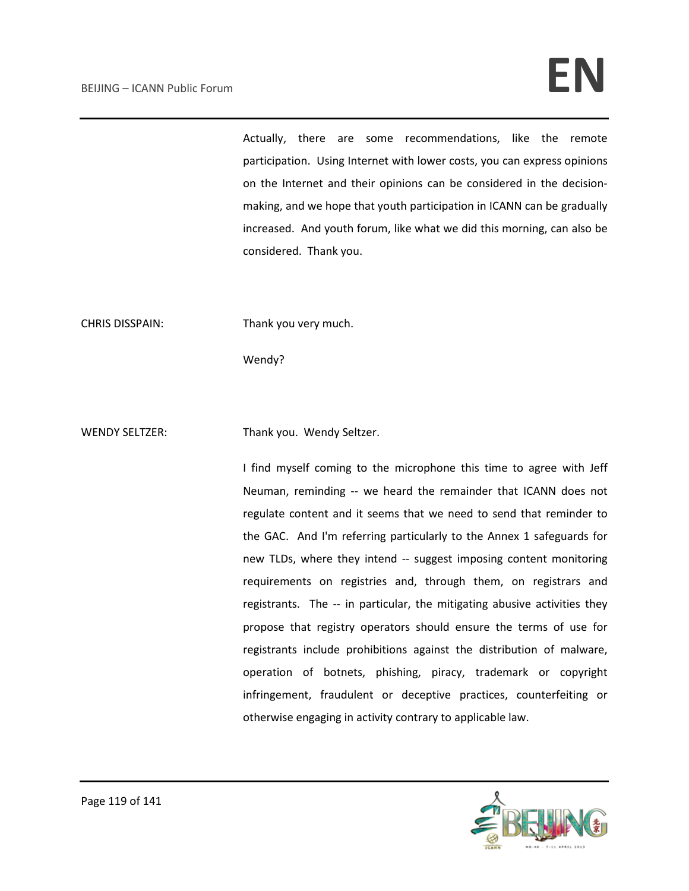Actually, there are some recommendations, like the remote participation. Using Internet with lower costs, you can express opinions on the Internet and their opinions can be considered in the decisionmaking, and we hope that youth participation in ICANN can be gradually increased. And youth forum, like what we did this morning, can also be considered. Thank you.

CHRIS DISSPAIN: Thank you very much.

Wendy?

WENDY SELTZER: Thank you. Wendy Seltzer.

I find myself coming to the microphone this time to agree with Jeff Neuman, reminding -- we heard the remainder that ICANN does not regulate content and it seems that we need to send that reminder to the GAC. And I'm referring particularly to the Annex 1 safeguards for new TLDs, where they intend -- suggest imposing content monitoring requirements on registries and, through them, on registrars and registrants. The -- in particular, the mitigating abusive activities they propose that registry operators should ensure the terms of use for registrants include prohibitions against the distribution of malware, operation of botnets, phishing, piracy, trademark or copyright infringement, fraudulent or deceptive practices, counterfeiting or otherwise engaging in activity contrary to applicable law.

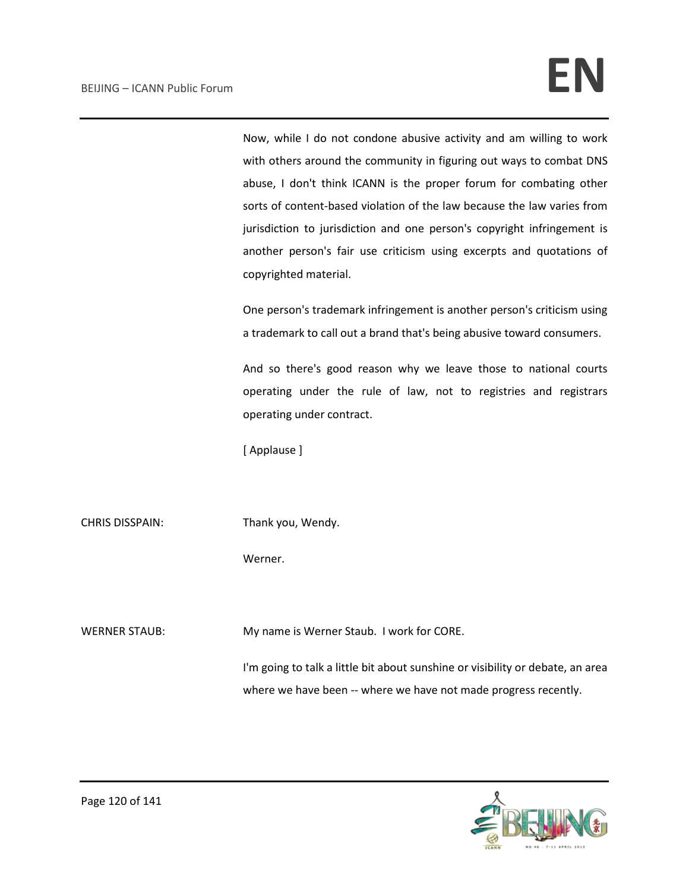Now, while I do not condone abusive activity and am willing to work with others around the community in figuring out ways to combat DNS abuse, I don't think ICANN is the proper forum for combating other sorts of content-based violation of the law because the law varies from jurisdiction to jurisdiction and one person's copyright infringement is another person's fair use criticism using excerpts and quotations of copyrighted material.

One person's trademark infringement is another person's criticism using a trademark to call out a brand that's being abusive toward consumers.

And so there's good reason why we leave those to national courts operating under the rule of law, not to registries and registrars operating under contract.

[ Applause ]

CHRIS DISSPAIN: Thank you, Wendy.

Werner.

WERNER STAUB: My name is Werner Staub. I work for CORE.

I'm going to talk a little bit about sunshine or visibility or debate, an area where we have been -- where we have not made progress recently.

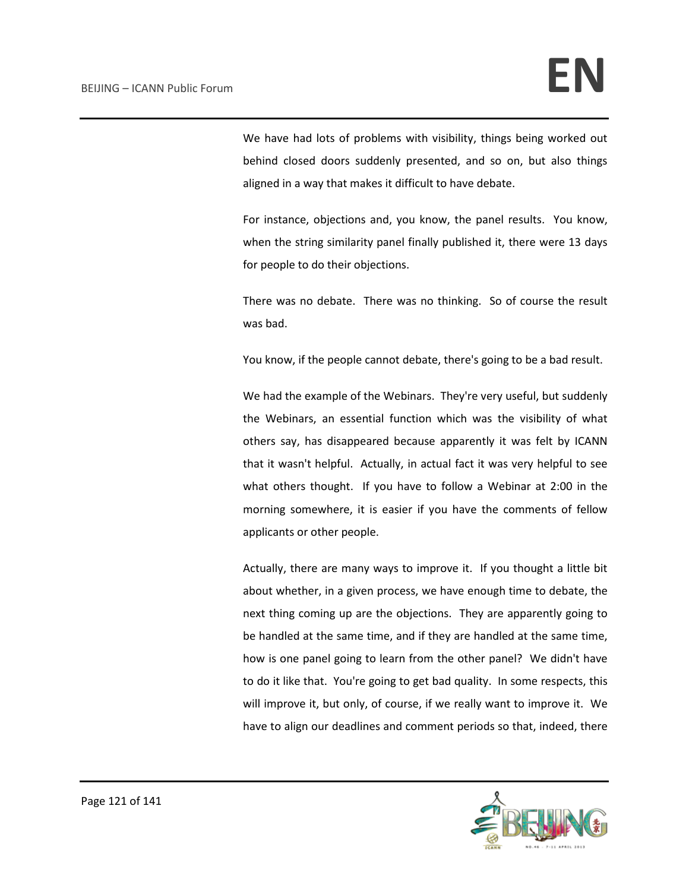We have had lots of problems with visibility, things being worked out behind closed doors suddenly presented, and so on, but also things aligned in a way that makes it difficult to have debate.

For instance, objections and, you know, the panel results. You know, when the string similarity panel finally published it, there were 13 days for people to do their objections.

There was no debate. There was no thinking. So of course the result was bad.

You know, if the people cannot debate, there's going to be a bad result.

We had the example of the Webinars. They're very useful, but suddenly the Webinars, an essential function which was the visibility of what others say, has disappeared because apparently it was felt by ICANN that it wasn't helpful. Actually, in actual fact it was very helpful to see what others thought. If you have to follow a Webinar at 2:00 in the morning somewhere, it is easier if you have the comments of fellow applicants or other people.

Actually, there are many ways to improve it. If you thought a little bit about whether, in a given process, we have enough time to debate, the next thing coming up are the objections. They are apparently going to be handled at the same time, and if they are handled at the same time, how is one panel going to learn from the other panel? We didn't have to do it like that. You're going to get bad quality. In some respects, this will improve it, but only, of course, if we really want to improve it. We have to align our deadlines and comment periods so that, indeed, there

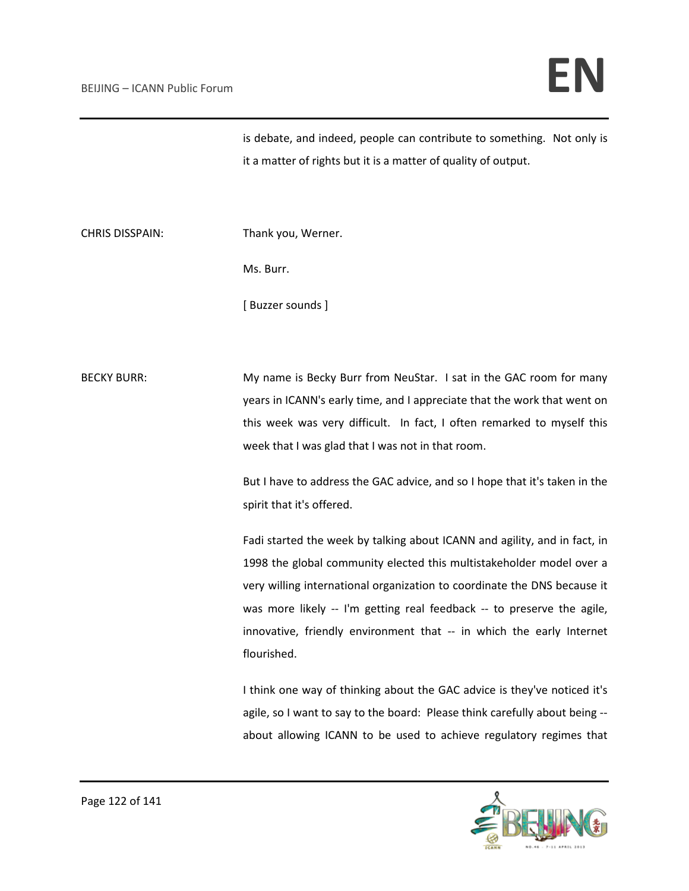is debate, and indeed, people can contribute to something. Not only is it a matter of rights but it is a matter of quality of output.

CHRIS DISSPAIN: Thank you, Werner.

Ms. Burr.

[ Buzzer sounds ]

BECKY BURR: My name is Becky Burr from NeuStar. I sat in the GAC room for many years in ICANN's early time, and I appreciate that the work that went on this week was very difficult. In fact, I often remarked to myself this week that I was glad that I was not in that room.

> But I have to address the GAC advice, and so I hope that it's taken in the spirit that it's offered.

> Fadi started the week by talking about ICANN and agility, and in fact, in 1998 the global community elected this multistakeholder model over a very willing international organization to coordinate the DNS because it was more likely -- I'm getting real feedback -- to preserve the agile, innovative, friendly environment that -- in which the early Internet flourished.

> I think one way of thinking about the GAC advice is they've noticed it's agile, so I want to say to the board: Please think carefully about being - about allowing ICANN to be used to achieve regulatory regimes that

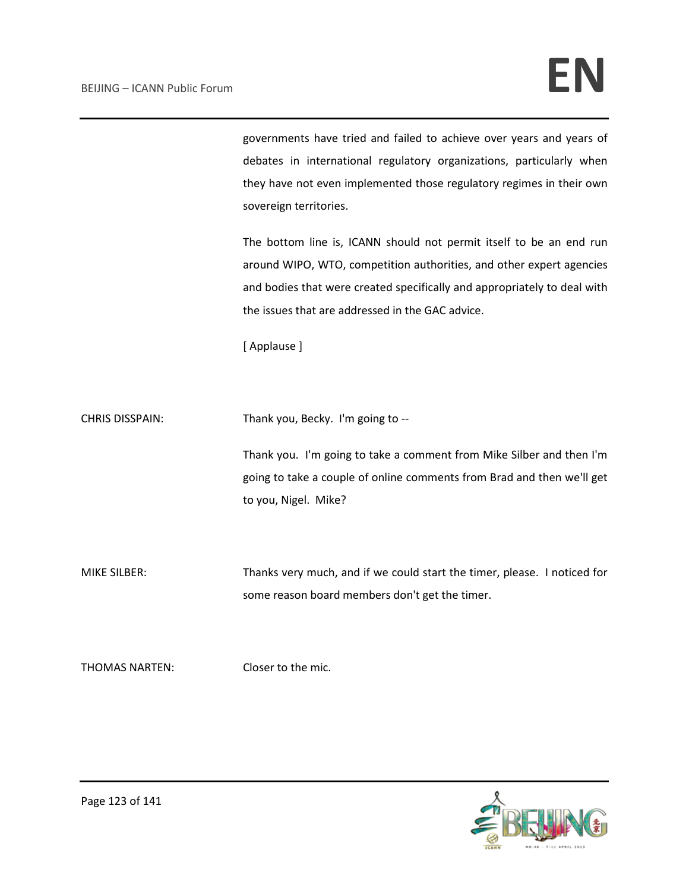governments have tried and failed to achieve over years and years of debates in international regulatory organizations, particularly when they have not even implemented those regulatory regimes in their own sovereign territories.

The bottom line is, ICANN should not permit itself to be an end run around WIPO, WTO, competition authorities, and other expert agencies and bodies that were created specifically and appropriately to deal with the issues that are addressed in the GAC advice.

[ Applause ]

CHRIS DISSPAIN: Thank you, Becky. I'm going to --

Thank you. I'm going to take a comment from Mike Silber and then I'm going to take a couple of online comments from Brad and then we'll get to you, Nigel. Mike?

MIKE SILBER: Thanks very much, and if we could start the timer, please. I noticed for some reason board members don't get the timer.

THOMAS NARTEN: Closer to the mic.

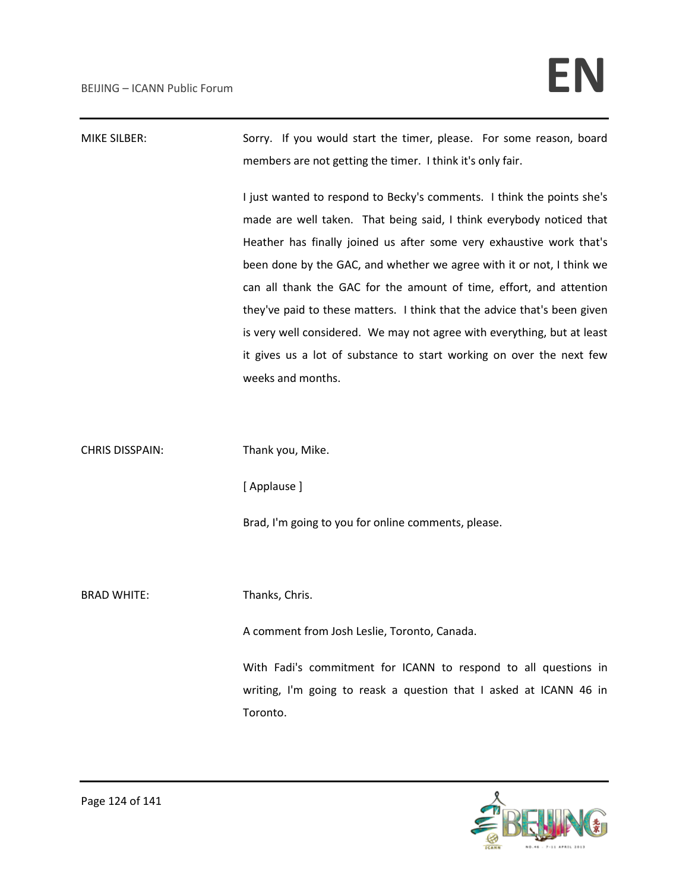| MIKE SILBER: | Sorry. If you would start the timer, please. For some reason, board    |
|--------------|------------------------------------------------------------------------|
|              | members are not getting the timer. I think it's only fair.             |
|              | I just wanted to respond to Becky's comments. I think the points she's |

made are well taken. That being said, I think everybody noticed that Heather has finally joined us after some very exhaustive work that's been done by the GAC, and whether we agree with it or not, I think we can all thank the GAC for the amount of time, effort, and attention they've paid to these matters. I think that the advice that's been given is very well considered. We may not agree with everything, but at least it gives us a lot of substance to start working on over the next few weeks and months.

CHRIS DISSPAIN: Thank you, Mike.

[ Applause ]

Brad, I'm going to you for online comments, please.

BRAD WHITE: Thanks, Chris.

A comment from Josh Leslie, Toronto, Canada.

With Fadi's commitment for ICANN to respond to all questions in writing, I'm going to reask a question that I asked at ICANN 46 in Toronto.

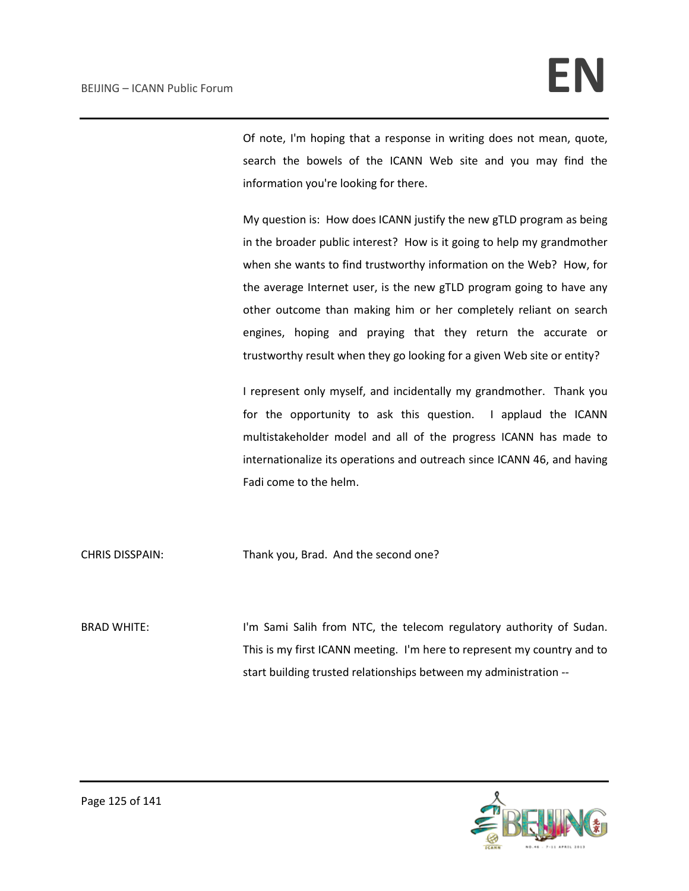Of note, I'm hoping that a response in writing does not mean, quote, search the bowels of the ICANN Web site and you may find the information you're looking for there.

My question is: How does ICANN justify the new gTLD program as being in the broader public interest? How is it going to help my grandmother when she wants to find trustworthy information on the Web? How, for the average Internet user, is the new gTLD program going to have any other outcome than making him or her completely reliant on search engines, hoping and praying that they return the accurate or trustworthy result when they go looking for a given Web site or entity?

I represent only myself, and incidentally my grandmother. Thank you for the opportunity to ask this question. I applaud the ICANN multistakeholder model and all of the progress ICANN has made to internationalize its operations and outreach since ICANN 46, and having Fadi come to the helm.

CHRIS DISSPAIN: Thank you, Brad. And the second one?

BRAD WHITE: I'm Sami Salih from NTC, the telecom regulatory authority of Sudan. This is my first ICANN meeting. I'm here to represent my country and to start building trusted relationships between my administration --

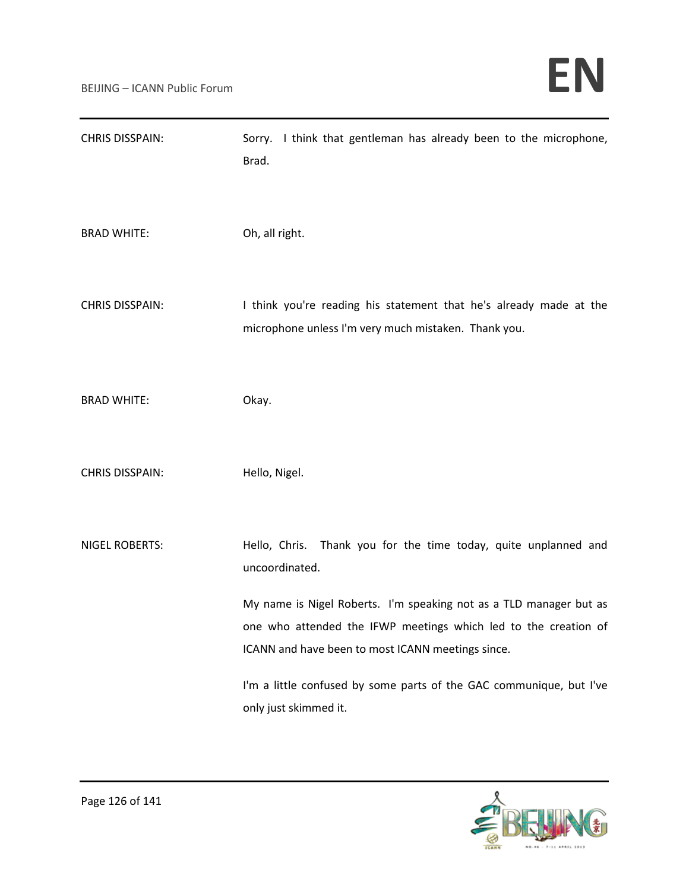| <b>CHRIS DISSPAIN:</b> | Sorry. I think that gentleman has already been to the microphone,<br>Brad.                                                                                                                 |
|------------------------|--------------------------------------------------------------------------------------------------------------------------------------------------------------------------------------------|
| <b>BRAD WHITE:</b>     | Oh, all right.                                                                                                                                                                             |
| <b>CHRIS DISSPAIN:</b> | I think you're reading his statement that he's already made at the<br>microphone unless I'm very much mistaken. Thank you.                                                                 |
| <b>BRAD WHITE:</b>     | Okay.                                                                                                                                                                                      |
| <b>CHRIS DISSPAIN:</b> | Hello, Nigel.                                                                                                                                                                              |
| <b>NIGEL ROBERTS:</b>  | Hello, Chris. Thank you for the time today, quite unplanned and<br>uncoordinated.                                                                                                          |
|                        | My name is Nigel Roberts. I'm speaking not as a TLD manager but as<br>one who attended the IFWP meetings which led to the creation of<br>ICANN and have been to most ICANN meetings since. |
|                        | I'm a little confused by some parts of the GAC communique, but I've<br>only just skimmed it.                                                                                               |

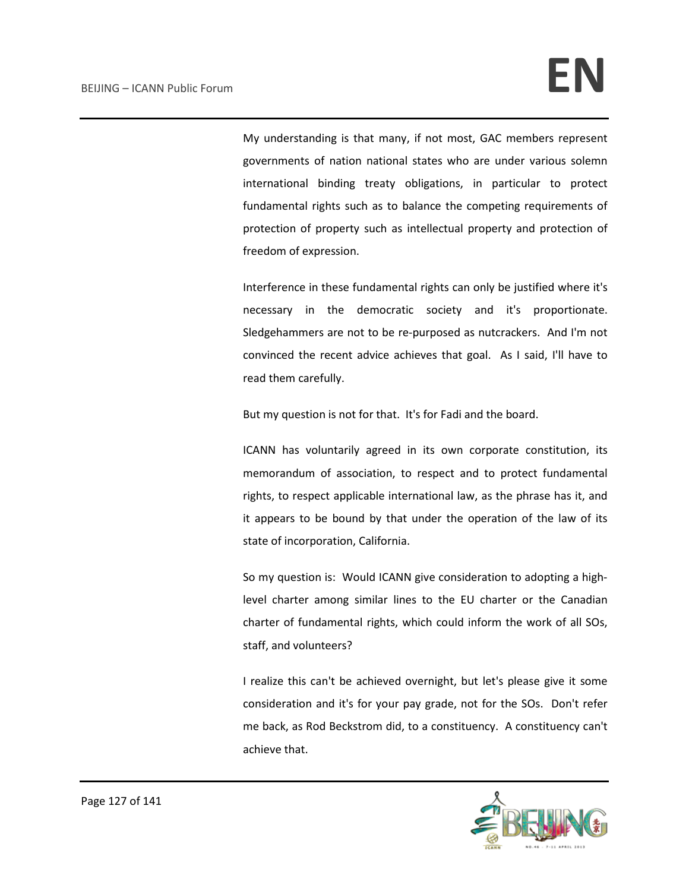My understanding is that many, if not most, GAC members represent governments of nation national states who are under various solemn international binding treaty obligations, in particular to protect fundamental rights such as to balance the competing requirements of protection of property such as intellectual property and protection of freedom of expression.

Interference in these fundamental rights can only be justified where it's necessary in the democratic society and it's proportionate. Sledgehammers are not to be re-purposed as nutcrackers. And I'm not convinced the recent advice achieves that goal. As I said, I'll have to read them carefully.

But my question is not for that. It's for Fadi and the board.

ICANN has voluntarily agreed in its own corporate constitution, its memorandum of association, to respect and to protect fundamental rights, to respect applicable international law, as the phrase has it, and it appears to be bound by that under the operation of the law of its state of incorporation, California.

So my question is: Would ICANN give consideration to adopting a highlevel charter among similar lines to the EU charter or the Canadian charter of fundamental rights, which could inform the work of all SOs, staff, and volunteers?

I realize this can't be achieved overnight, but let's please give it some consideration and it's for your pay grade, not for the SOs. Don't refer me back, as Rod Beckstrom did, to a constituency. A constituency can't achieve that.

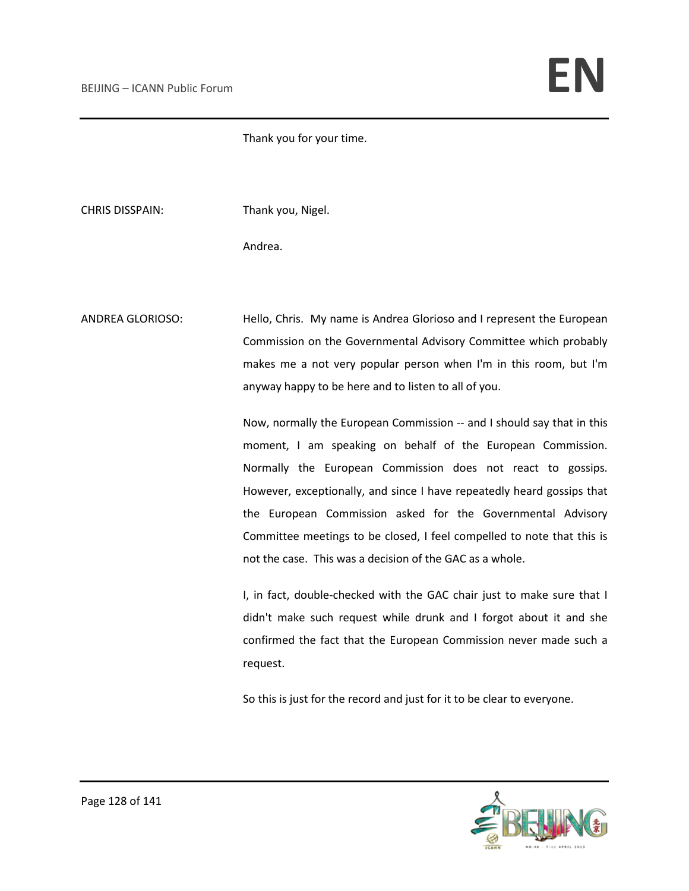Thank you for your time.

CHRIS DISSPAIN: Thank you, Nigel.

Andrea.

ANDREA GLORIOSO: Hello, Chris. My name is Andrea Glorioso and I represent the European Commission on the Governmental Advisory Committee which probably makes me a not very popular person when I'm in this room, but I'm anyway happy to be here and to listen to all of you.

> Now, normally the European Commission -- and I should say that in this moment, I am speaking on behalf of the European Commission. Normally the European Commission does not react to gossips. However, exceptionally, and since I have repeatedly heard gossips that the European Commission asked for the Governmental Advisory Committee meetings to be closed, I feel compelled to note that this is not the case. This was a decision of the GAC as a whole.

> I, in fact, double-checked with the GAC chair just to make sure that I didn't make such request while drunk and I forgot about it and she confirmed the fact that the European Commission never made such a request.

So this is just for the record and just for it to be clear to everyone.

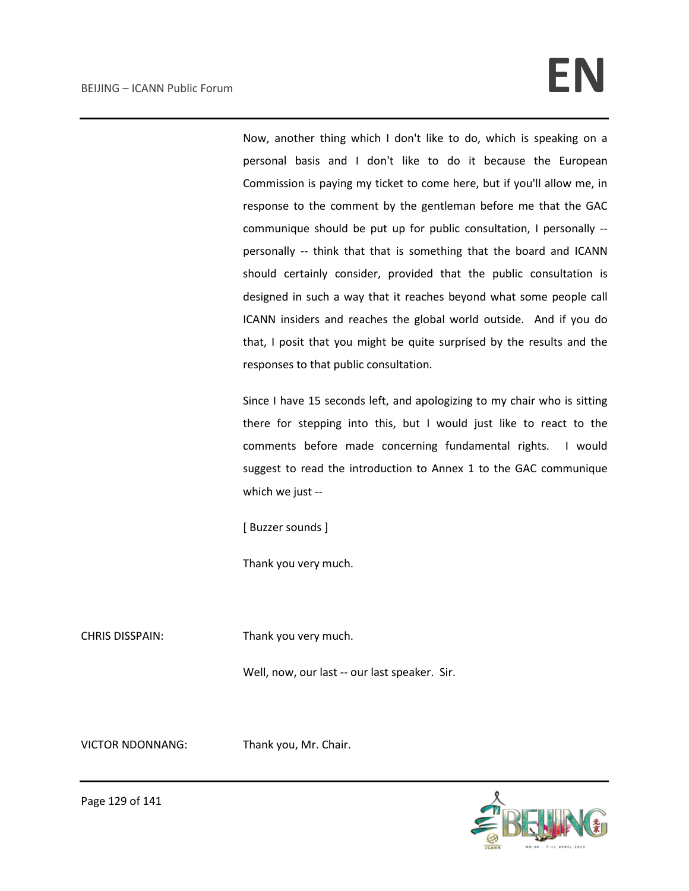# BEIJING – ICANN Public Forum **EN**

Now, another thing which I don't like to do, which is speaking on a personal basis and I don't like to do it because the European Commission is paying my ticket to come here, but if you'll allow me, in response to the comment by the gentleman before me that the GAC communique should be put up for public consultation, I personally - personally -- think that that is something that the board and ICANN should certainly consider, provided that the public consultation is designed in such a way that it reaches beyond what some people call ICANN insiders and reaches the global world outside. And if you do that, I posit that you might be quite surprised by the results and the responses to that public consultation.

Since I have 15 seconds left, and apologizing to my chair who is sitting there for stepping into this, but I would just like to react to the comments before made concerning fundamental rights. I would suggest to read the introduction to Annex 1 to the GAC communique which we just --

[ Buzzer sounds ]

Thank you very much.

CHRIS DISSPAIN: Thank you very much.

Well, now, our last -- our last speaker. Sir.

VICTOR NDONNANG: Thank you, Mr. Chair.

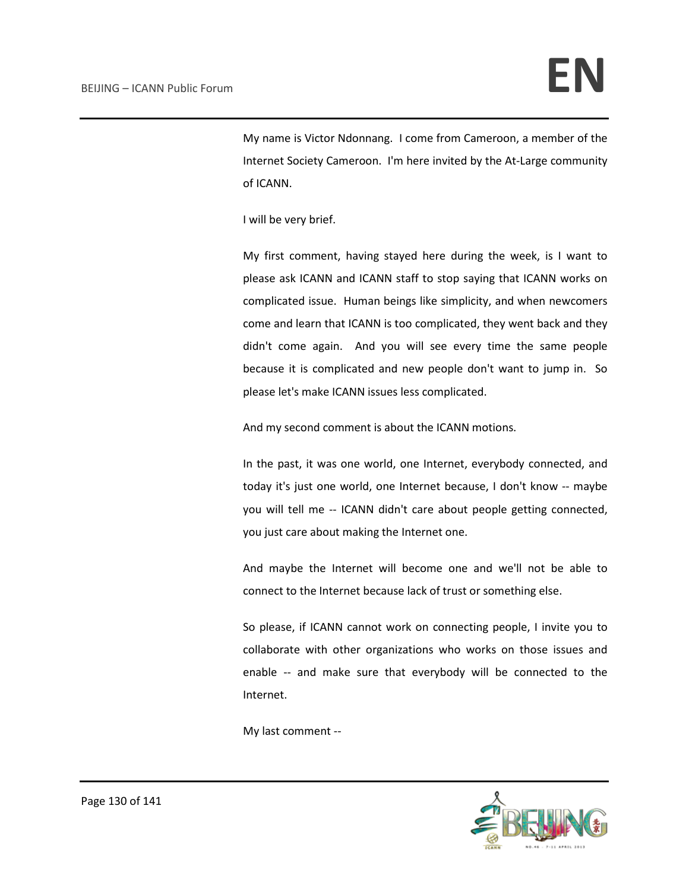My name is Victor Ndonnang. I come from Cameroon, a member of the Internet Society Cameroon. I'm here invited by the At-Large community of ICANN.

I will be very brief.

My first comment, having stayed here during the week, is I want to please ask ICANN and ICANN staff to stop saying that ICANN works on complicated issue. Human beings like simplicity, and when newcomers come and learn that ICANN is too complicated, they went back and they didn't come again. And you will see every time the same people because it is complicated and new people don't want to jump in. So please let's make ICANN issues less complicated.

And my second comment is about the ICANN motions.

In the past, it was one world, one Internet, everybody connected, and today it's just one world, one Internet because, I don't know -- maybe you will tell me -- ICANN didn't care about people getting connected, you just care about making the Internet one.

And maybe the Internet will become one and we'll not be able to connect to the Internet because lack of trust or something else.

So please, if ICANN cannot work on connecting people, I invite you to collaborate with other organizations who works on those issues and enable -- and make sure that everybody will be connected to the Internet.

My last comment --

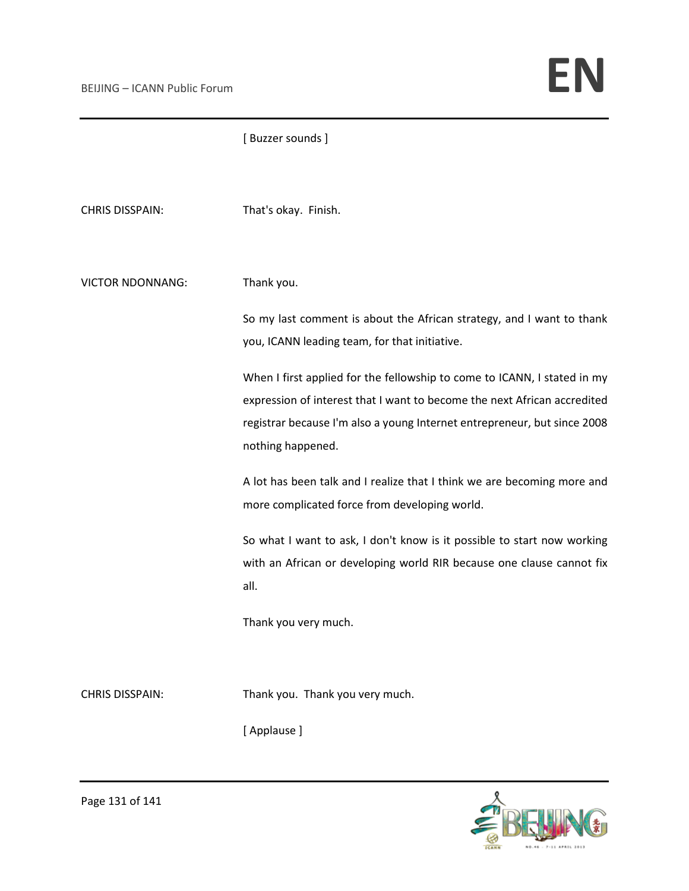|                         | [Buzzer sounds]                                                                                                                                                                                                                                       |
|-------------------------|-------------------------------------------------------------------------------------------------------------------------------------------------------------------------------------------------------------------------------------------------------|
| CHRIS DISSPAIN:         | That's okay. Finish.                                                                                                                                                                                                                                  |
| <b>VICTOR NDONNANG:</b> | Thank you.                                                                                                                                                                                                                                            |
|                         | So my last comment is about the African strategy, and I want to thank<br>you, ICANN leading team, for that initiative.                                                                                                                                |
|                         | When I first applied for the fellowship to come to ICANN, I stated in my<br>expression of interest that I want to become the next African accredited<br>registrar because I'm also a young Internet entrepreneur, but since 2008<br>nothing happened. |
|                         | A lot has been talk and I realize that I think we are becoming more and<br>more complicated force from developing world.                                                                                                                              |
|                         | So what I want to ask, I don't know is it possible to start now working<br>with an African or developing world RIR because one clause cannot fix<br>all.                                                                                              |
|                         | Thank you very much.                                                                                                                                                                                                                                  |
| <b>CHRIS DISSPAIN:</b>  | Thank you. Thank you very much.                                                                                                                                                                                                                       |
|                         | [Applause]                                                                                                                                                                                                                                            |

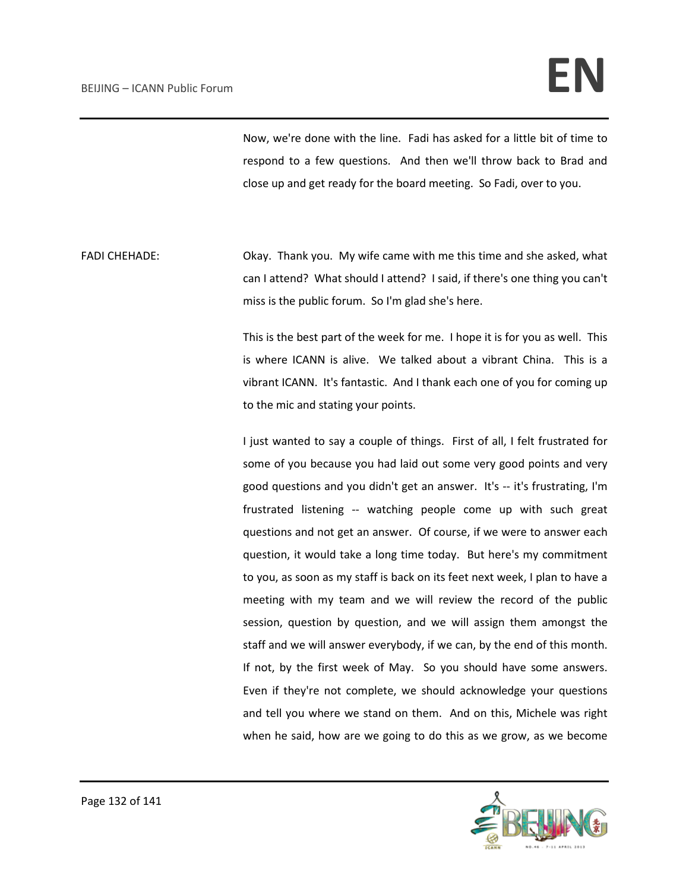Now, we're done with the line. Fadi has asked for a little bit of time to respond to a few questions. And then we'll throw back to Brad and close up and get ready for the board meeting. So Fadi, over to you.

FADI CHEHADE: Okay. Thank you. My wife came with me this time and she asked, what can I attend? What should I attend? I said, if there's one thing you can't miss is the public forum. So I'm glad she's here.

> This is the best part of the week for me. I hope it is for you as well. This is where ICANN is alive. We talked about a vibrant China. This is a vibrant ICANN. It's fantastic. And I thank each one of you for coming up to the mic and stating your points.

> I just wanted to say a couple of things. First of all, I felt frustrated for some of you because you had laid out some very good points and very good questions and you didn't get an answer. It's -- it's frustrating, I'm frustrated listening -- watching people come up with such great questions and not get an answer. Of course, if we were to answer each question, it would take a long time today. But here's my commitment to you, as soon as my staff is back on its feet next week, I plan to have a meeting with my team and we will review the record of the public session, question by question, and we will assign them amongst the staff and we will answer everybody, if we can, by the end of this month. If not, by the first week of May. So you should have some answers. Even if they're not complete, we should acknowledge your questions and tell you where we stand on them. And on this, Michele was right when he said, how are we going to do this as we grow, as we become

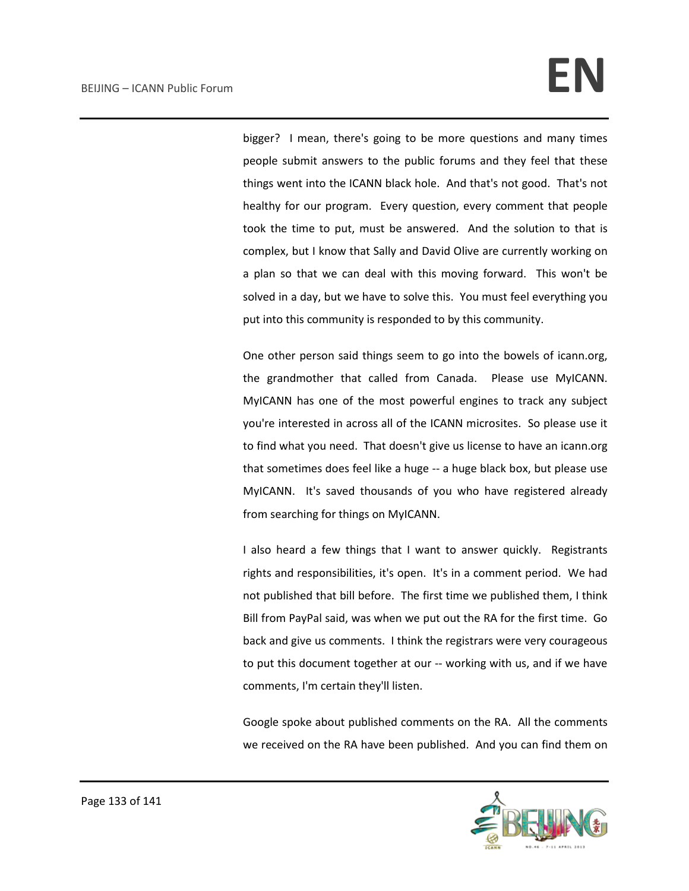bigger? I mean, there's going to be more questions and many times people submit answers to the public forums and they feel that these things went into the ICANN black hole. And that's not good. That's not healthy for our program. Every question, every comment that people took the time to put, must be answered. And the solution to that is complex, but I know that Sally and David Olive are currently working on a plan so that we can deal with this moving forward. This won't be solved in a day, but we have to solve this. You must feel everything you put into this community is responded to by this community.

One other person said things seem to go into the bowels of icann.org, the grandmother that called from Canada. Please use MyICANN. MyICANN has one of the most powerful engines to track any subject you're interested in across all of the ICANN microsites. So please use it to find what you need. That doesn't give us license to have an icann.org that sometimes does feel like a huge -- a huge black box, but please use MyICANN. It's saved thousands of you who have registered already from searching for things on MyICANN.

I also heard a few things that I want to answer quickly. Registrants rights and responsibilities, it's open. It's in a comment period. We had not published that bill before. The first time we published them, I think Bill from PayPal said, was when we put out the RA for the first time. Go back and give us comments. I think the registrars were very courageous to put this document together at our -- working with us, and if we have comments, I'm certain they'll listen.

Google spoke about published comments on the RA. All the comments we received on the RA have been published. And you can find them on

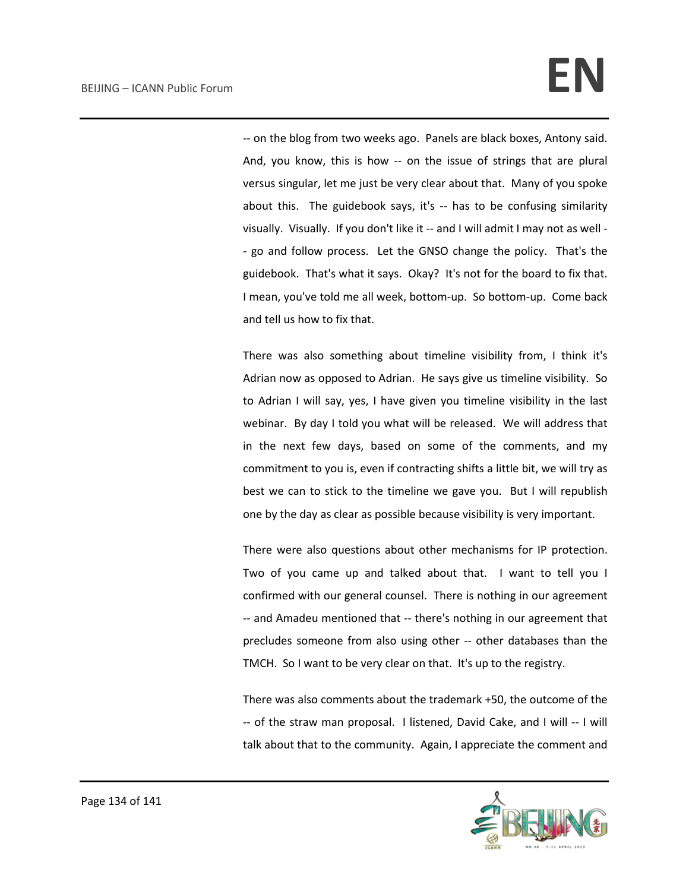-- on the blog from two weeks ago. Panels are black boxes, Antony said. And, you know, this is how -- on the issue of strings that are plural versus singular, let me just be very clear about that. Many of you spoke about this. The guidebook says, it's -- has to be confusing similarity visually. Visually. If you don't like it -- and I will admit I may not as well - - go and follow process. Let the GNSO change the policy. That's the guidebook. That's what it says. Okay? It's not for the board to fix that. I mean, you've told me all week, bottom-up. So bottom-up. Come back and tell us how to fix that.

There was also something about timeline visibility from, I think it's Adrian now as opposed to Adrian. He says give us timeline visibility. So to Adrian I will say, yes, I have given you timeline visibility in the last webinar. By day I told you what will be released. We will address that in the next few days, based on some of the comments, and my commitment to you is, even if contracting shifts a little bit, we will try as best we can to stick to the timeline we gave you. But I will republish one by the day as clear as possible because visibility is very important.

There were also questions about other mechanisms for IP protection. Two of you came up and talked about that. I want to tell you I confirmed with our general counsel. There is nothing in our agreement -- and Amadeu mentioned that -- there's nothing in our agreement that precludes someone from also using other -- other databases than the TMCH. So I want to be very clear on that. It's up to the registry.

There was also comments about the trademark +50, the outcome of the -- of the straw man proposal. I listened, David Cake, and I will -- I will talk about that to the community. Again, I appreciate the comment and

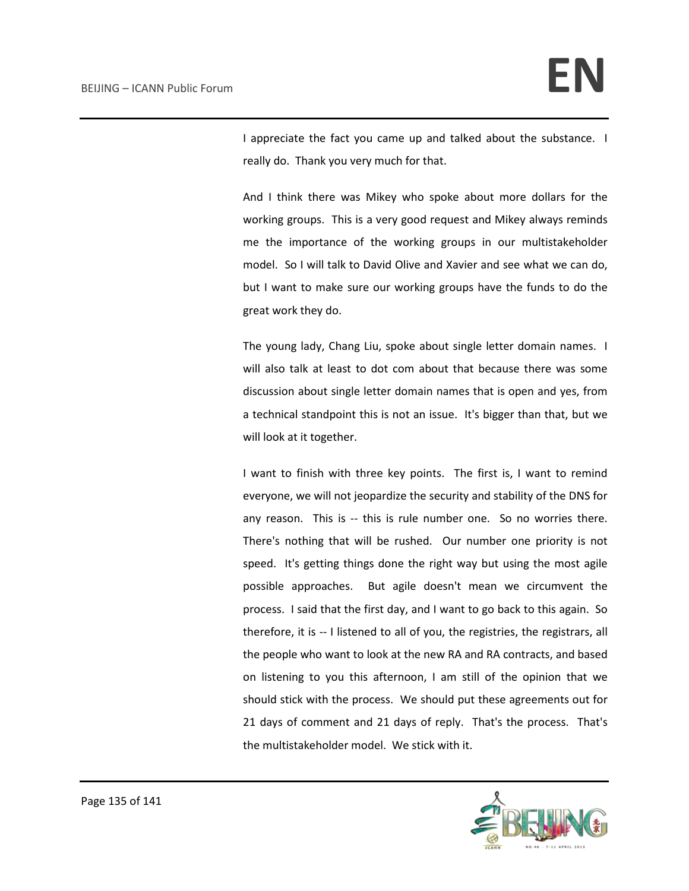I appreciate the fact you came up and talked about the substance. I really do. Thank you very much for that.

And I think there was Mikey who spoke about more dollars for the working groups. This is a very good request and Mikey always reminds me the importance of the working groups in our multistakeholder model. So I will talk to David Olive and Xavier and see what we can do, but I want to make sure our working groups have the funds to do the great work they do.

The young lady, Chang Liu, spoke about single letter domain names. I will also talk at least to dot com about that because there was some discussion about single letter domain names that is open and yes, from a technical standpoint this is not an issue. It's bigger than that, but we will look at it together.

I want to finish with three key points. The first is, I want to remind everyone, we will not jeopardize the security and stability of the DNS for any reason. This is -- this is rule number one. So no worries there. There's nothing that will be rushed. Our number one priority is not speed. It's getting things done the right way but using the most agile possible approaches. But agile doesn't mean we circumvent the process. I said that the first day, and I want to go back to this again. So therefore, it is -- I listened to all of you, the registries, the registrars, all the people who want to look at the new RA and RA contracts, and based on listening to you this afternoon, I am still of the opinion that we should stick with the process. We should put these agreements out for 21 days of comment and 21 days of reply. That's the process. That's the multistakeholder model. We stick with it.

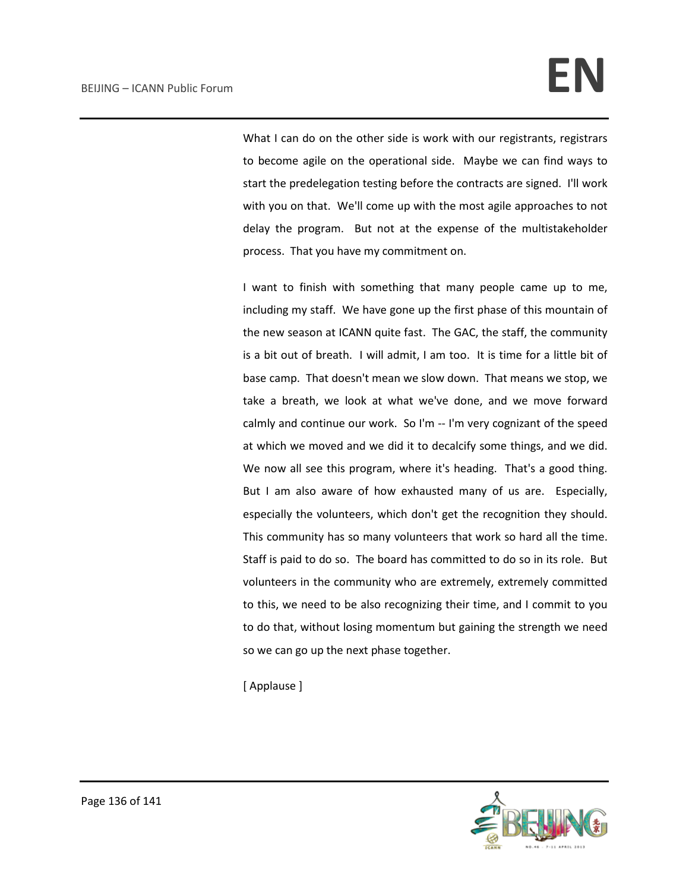What I can do on the other side is work with our registrants, registrars to become agile on the operational side. Maybe we can find ways to start the predelegation testing before the contracts are signed. I'll work with you on that. We'll come up with the most agile approaches to not delay the program. But not at the expense of the multistakeholder process. That you have my commitment on.

I want to finish with something that many people came up to me, including my staff. We have gone up the first phase of this mountain of the new season at ICANN quite fast. The GAC, the staff, the community is a bit out of breath. I will admit, I am too. It is time for a little bit of base camp. That doesn't mean we slow down. That means we stop, we take a breath, we look at what we've done, and we move forward calmly and continue our work. So I'm -- I'm very cognizant of the speed at which we moved and we did it to decalcify some things, and we did. We now all see this program, where it's heading. That's a good thing. But I am also aware of how exhausted many of us are. Especially, especially the volunteers, which don't get the recognition they should. This community has so many volunteers that work so hard all the time. Staff is paid to do so. The board has committed to do so in its role. But volunteers in the community who are extremely, extremely committed to this, we need to be also recognizing their time, and I commit to you to do that, without losing momentum but gaining the strength we need so we can go up the next phase together.

[ Applause ]

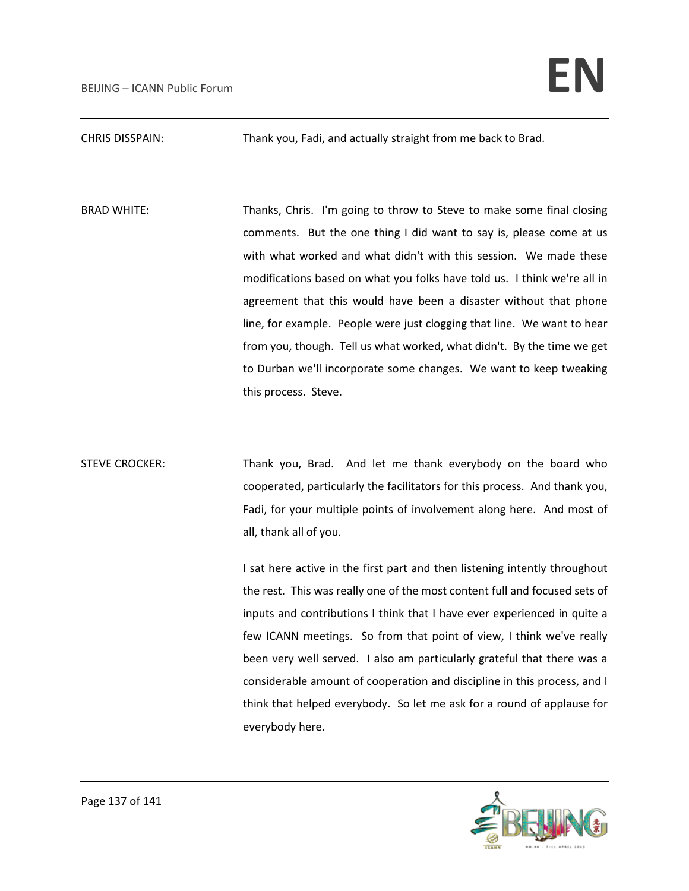### CHRIS DISSPAIN: Thank you, Fadi, and actually straight from me back to Brad.

BRAD WHITE: Thanks, Chris. I'm going to throw to Steve to make some final closing comments. But the one thing I did want to say is, please come at us with what worked and what didn't with this session. We made these modifications based on what you folks have told us. I think we're all in agreement that this would have been a disaster without that phone line, for example. People were just clogging that line. We want to hear from you, though. Tell us what worked, what didn't. By the time we get to Durban we'll incorporate some changes. We want to keep tweaking this process. Steve.

STEVE CROCKER: Thank you, Brad. And let me thank everybody on the board who cooperated, particularly the facilitators for this process. And thank you, Fadi, for your multiple points of involvement along here. And most of all, thank all of you.

> I sat here active in the first part and then listening intently throughout the rest. This was really one of the most content full and focused sets of inputs and contributions I think that I have ever experienced in quite a few ICANN meetings. So from that point of view, I think we've really been very well served. I also am particularly grateful that there was a considerable amount of cooperation and discipline in this process, and I think that helped everybody. So let me ask for a round of applause for everybody here.

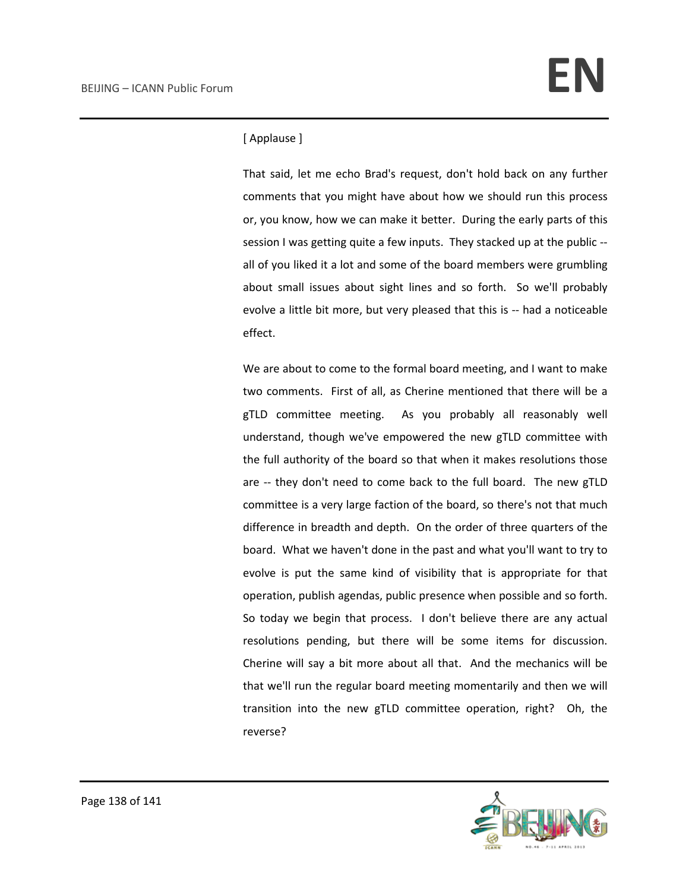## [ Applause ]

That said, let me echo Brad's request, don't hold back on any further comments that you might have about how we should run this process or, you know, how we can make it better. During the early parts of this session I was getting quite a few inputs. They stacked up at the public - all of you liked it a lot and some of the board members were grumbling about small issues about sight lines and so forth. So we'll probably evolve a little bit more, but very pleased that this is -- had a noticeable effect.

We are about to come to the formal board meeting, and I want to make two comments. First of all, as Cherine mentioned that there will be a gTLD committee meeting. As you probably all reasonably well understand, though we've empowered the new gTLD committee with the full authority of the board so that when it makes resolutions those are -- they don't need to come back to the full board. The new gTLD committee is a very large faction of the board, so there's not that much difference in breadth and depth. On the order of three quarters of the board. What we haven't done in the past and what you'll want to try to evolve is put the same kind of visibility that is appropriate for that operation, publish agendas, public presence when possible and so forth. So today we begin that process. I don't believe there are any actual resolutions pending, but there will be some items for discussion. Cherine will say a bit more about all that. And the mechanics will be that we'll run the regular board meeting momentarily and then we will transition into the new gTLD committee operation, right? Oh, the reverse?

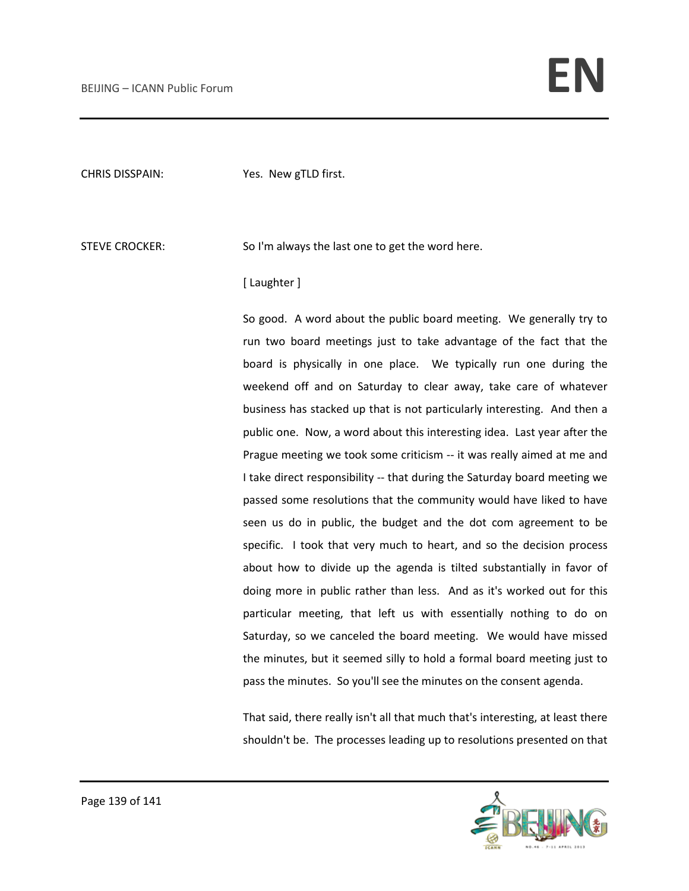CHRIS DISSPAIN: Yes. New gTLD first.

STEVE CROCKER: So I'm always the last one to get the word here.

## [ Laughter ]

So good. A word about the public board meeting. We generally try to run two board meetings just to take advantage of the fact that the board is physically in one place. We typically run one during the weekend off and on Saturday to clear away, take care of whatever business has stacked up that is not particularly interesting. And then a public one. Now, a word about this interesting idea. Last year after the Prague meeting we took some criticism -- it was really aimed at me and I take direct responsibility -- that during the Saturday board meeting we passed some resolutions that the community would have liked to have seen us do in public, the budget and the dot com agreement to be specific. I took that very much to heart, and so the decision process about how to divide up the agenda is tilted substantially in favor of doing more in public rather than less. And as it's worked out for this particular meeting, that left us with essentially nothing to do on Saturday, so we canceled the board meeting. We would have missed the minutes, but it seemed silly to hold a formal board meeting just to pass the minutes. So you'll see the minutes on the consent agenda.

That said, there really isn't all that much that's interesting, at least there shouldn't be. The processes leading up to resolutions presented on that

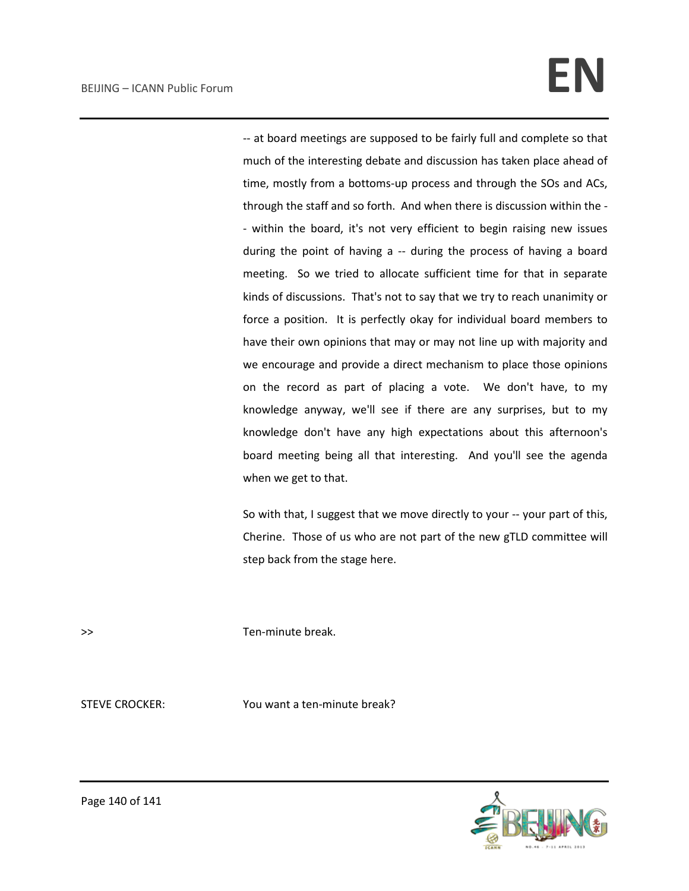# BEIJING – ICANN Public Forum **EN**

-- at board meetings are supposed to be fairly full and complete so that much of the interesting debate and discussion has taken place ahead of time, mostly from a bottoms-up process and through the SOs and ACs, through the staff and so forth. And when there is discussion within the - - within the board, it's not very efficient to begin raising new issues during the point of having a -- during the process of having a board meeting. So we tried to allocate sufficient time for that in separate kinds of discussions. That's not to say that we try to reach unanimity or force a position. It is perfectly okay for individual board members to have their own opinions that may or may not line up with majority and we encourage and provide a direct mechanism to place those opinions on the record as part of placing a vote. We don't have, to my knowledge anyway, we'll see if there are any surprises, but to my knowledge don't have any high expectations about this afternoon's board meeting being all that interesting. And you'll see the agenda when we get to that.

So with that, I suggest that we move directly to your -- your part of this, Cherine. Those of us who are not part of the new gTLD committee will step back from the stage here.

>> Ten-minute break.

STEVE CROCKER: You want a ten-minute break?